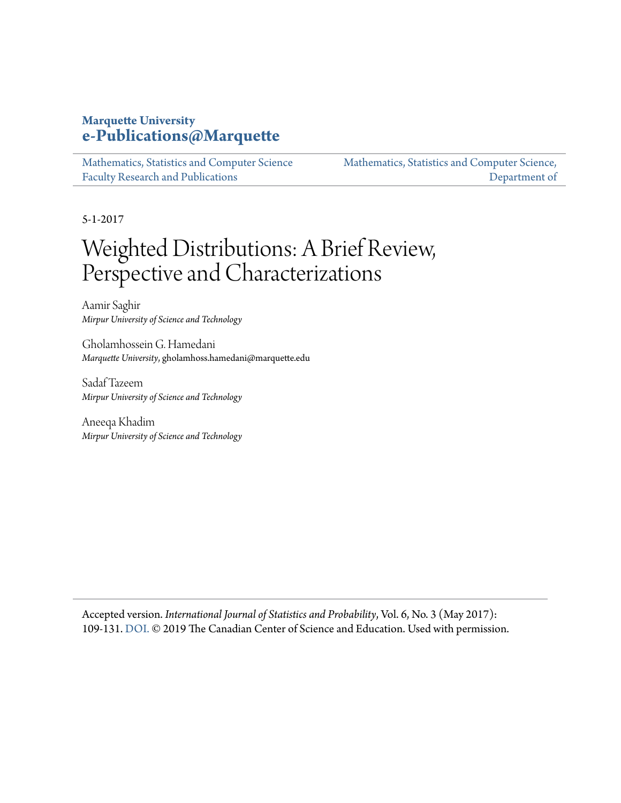### **Marquette University [e-Publications@Marquette](https://epublications.marquette.edu)**

[Mathematics, Statistics and Computer Science](https://epublications.marquette.edu/mscs_fac) [Faculty Research and Publications](https://epublications.marquette.edu/mscs_fac)

[Mathematics, Statistics and Computer Science,](https://epublications.marquette.edu/mscs) [Department of](https://epublications.marquette.edu/mscs)

5-1-2017

# Weighted Distributions: A Brief Review, Perspective and Characterizations

Aamir Saghir *Mirpur University of Science and Technology*

Gholamhossein G. Hamedani *Marquette University*, gholamhoss.hamedani@marquette.edu

Sadaf Tazeem *Mirpur University of Science and Technology*

Aneeqa Khadim *Mirpur University of Science and Technology*

Accepted version. *International Journal of Statistics and Probability*, Vol. 6, No. 3 (May 2017): 109-131. [DOI.](https://doi.org/10.5539/ijsp.v6n3p109) © 2019 The Canadian Center of Science and Education. Used with permission.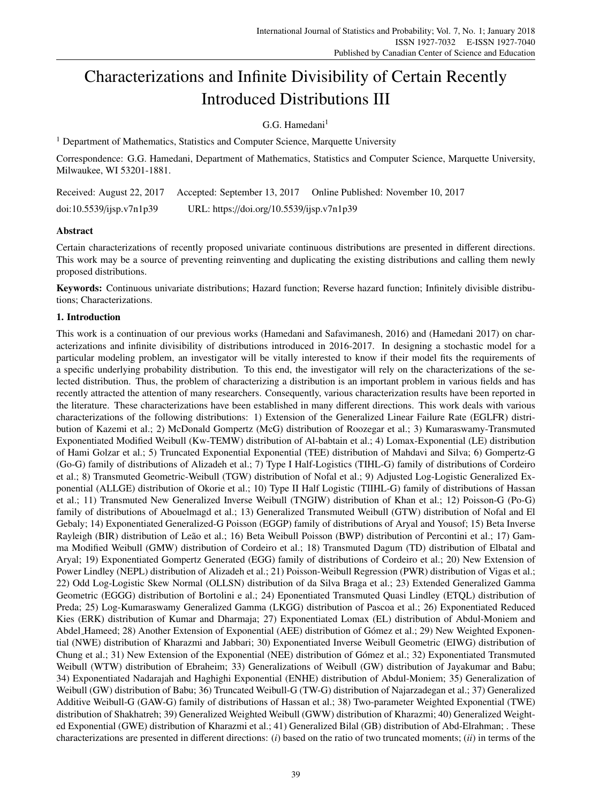## Characterizations and Infinite Divisibility of Certain Recently Introduced Distributions III

G.G. Hamedani $<sup>1</sup>$ </sup>

<sup>1</sup> Department of Mathematics, Statistics and Computer Science, Marquette University

Correspondence: G.G. Hamedani, Department of Mathematics, Statistics and Computer Science, Marquette University, Milwaukee, WI 53201-1881.

|                          | Received: August 22, 2017 Accepted: September 13, 2017 | Online Published: November 10, 2017 |
|--------------------------|--------------------------------------------------------|-------------------------------------|
| doi:10.5539/jisp.v7n1p39 | URL: https://doi.org/10.5539/ijsp.v7n1p39              |                                     |

#### Abstract

Certain characterizations of recently proposed univariate continuous distributions are presented in different directions. This work may be a source of preventing reinventing and duplicating the existing distributions and calling them newly proposed distributions.

Keywords: Continuous univariate distributions; Hazard function; Reverse hazard function; Infinitely divisible distributions; Characterizations.

#### 1. Introduction

This work is a continuation of our previous works (Hamedani and Safavimanesh, 2016) and (Hamedani 2017) on characterizations and infinite divisibility of distributions introduced in 2016-2017. In designing a stochastic model for a particular modeling problem, an investigator will be vitally interested to know if their model fits the requirements of a specific underlying probability distribution. To this end, the investigator will rely on the characterizations of the selected distribution. Thus, the problem of characterizing a distribution is an important problem in various fields and has recently attracted the attention of many researchers. Consequently, various characterization results have been reported in the literature. These characterizations have been established in many different directions. This work deals with various characterizations of the following distributions: 1) Extension of the Generalized Linear Failure Rate (EGLFR) distribution of Kazemi et al.; 2) McDonald Gompertz (McG) distribution of Roozegar et al.; 3) Kumaraswamy-Transmuted Exponentiated Modified Weibull (Kw-TEMW) distribution of Al-babtain et al.; 4) Lomax-Exponential (LE) distribution of Hami Golzar et al.; 5) Truncated Exponential Exponential (TEE) distribution of Mahdavi and Silva; 6) Gompertz-G (Go-G) family of distributions of Alizadeh et al.; 7) Type I Half-Logistics (TIHL-G) family of distributions of Cordeiro et al.; 8) Transmuted Geometric-Weibull (TGW) distribution of Nofal et al.; 9) Adjusted Log-Logistic Generalized Exponential (ALLGE) distribution of Okorie et al.; 10) Type II Half Logistic (TIIHL-G) family of distributions of Hassan et al.; 11) Transmuted New Generalized Inverse Weibull (TNGIW) distribution of Khan et al.; 12) Poisson-G (Po-G) family of distributions of Abouelmagd et al.; 13) Generalized Transmuted Weibull (GTW) distribution of Nofal and El Gebaly; 14) Exponentiated Generalized-G Poisson (EGGP) family of distributions of Aryal and Yousof; 15) Beta Inverse Rayleigh (BIR) distribution of Leão et al.; 16) Beta Weibull Poisson (BWP) distribution of Percontini et al.; 17) Gamma Modified Weibull (GMW) distribution of Cordeiro et al.; 18) Transmuted Dagum (TD) distribution of Elbatal and Aryal; 19) Exponentiated Gompertz Generated (EGG) family of distributions of Cordeiro et al.; 20) New Extension of Power Lindley (NEPL) distribution of Alizadeh et al.; 21) Poisson-Weibull Regression (PWR) distribution of Vigas et al.; 22) Odd Log-Logistic Skew Normal (OLLSN) distribution of da Silva Braga et al.; 23) Extended Generalized Gamma Geometric (EGGG) distribution of Bortolini e al.; 24) Eponentiated Transmuted Quasi Lindley (ETQL) distribution of Preda; 25) Log-Kumaraswamy Generalized Gamma (LKGG) distribution of Pascoa et al.; 26) Exponentiated Reduced Kies (ERK) distribution of Kumar and Dharmaja; 27) Exponentiated Lomax (EL) distribution of Abdul-Moniem and Abdel Hameed; 28) Another Extension of Exponential (AEE) distribution of Gómez et al.; 29) New Weighted Exponential (NWE) distribution of Kharazmi and Jabbari; 30) Exponentiated Inverse Weibull Geometric (EIWG) distribution of Chung et al.; 31) New Extension of the Exponential (NEE) distribution of Gómez et al.; 32) Exponentiated Transmuted Weibull (WTW) distribution of Ebraheim; 33) Generalizations of Weibull (GW) distribution of Jayakumar and Babu; 34) Exponentiated Nadarajah and Haghighi Exponential (ENHE) distribution of Abdul-Moniem; 35) Generalization of Weibull (GW) distribution of Babu; 36) Truncated Weibull-G (TW-G) distribution of Najarzadegan et al.; 37) Generalized Additive Weibull-G (GAW-G) family of distributions of Hassan et al.; 38) Two-parameter Weighted Exponential (TWE) distribution of Shakhatreh; 39) Generalized Weighted Weibull (GWW) distribution of Kharazmi; 40) Generalized Weighted Exponential (GWE) distribution of Kharazmi et al.; 41) Generalized Bilal (GB) distribution of Abd-Elrahman; . These characterizations are presented in different directions: (*i*) based on the ratio of two truncated moments; (*ii*) in terms of the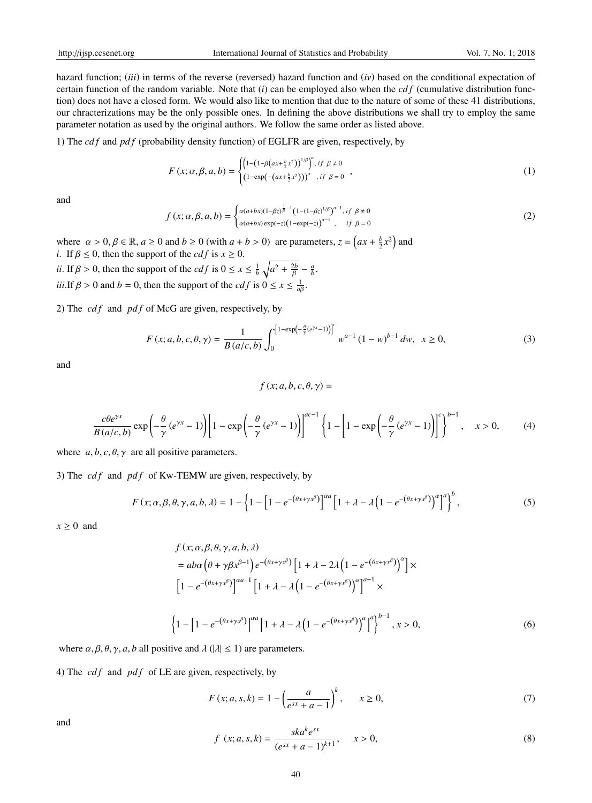hazard function; (*iii*) in terms of the reverse (reversed) hazard function and (*iv*) based on the conditional expectation of certain function of the random variable. Note that  $(i)$  can be employed also when the  $cdf$  (cumulative distribution function) does not have a closed form. We would also like to mention that due to the nature of some of these 41 distributions, our chracterizations may be the only possible ones. In defining the above distributions we shall try to employ the same parameter notation as used by the original authors. We follow the same order as listed above.

1) The *cd f* and *pd f* (probability density function) of EGLFR are given, respectively, by

$$
F(x; \alpha, \beta, a, b) = \begin{cases} \left(1 - \left(1 - \beta(ax + \frac{b}{2}x^2)\right)^{1/\beta}\right)^{\alpha}, \text{if } \beta \neq 0\\ \left(1 - \exp(-(ax + \frac{b}{2}x^2))\right)^{\alpha}, \text{if } \beta = 0 \end{cases},
$$
\n(1)

and

$$
f(x; \alpha, \beta, a, b) = \begin{cases} \alpha(a+bx)(1-\beta z)^{\frac{1}{\beta}-1} (1-(1-\beta z)^{1/\beta})^{\alpha-1}, & \text{if } \beta \neq 0\\ \alpha(a+bx)\exp(-z)(1-\exp(-z))^{\alpha-1}, & \text{if } \beta = 0 \end{cases}
$$
 (2)

where  $\alpha > 0, \beta \in \mathbb{R}, a \ge 0$  and  $b \ge 0$  (with  $a + b > 0$ ) are parameters,  $z = \left( ax + \frac{b}{2}x^2 \right)$  and *i*. If  $\beta \le 0$ , then the support of the *cdf* is  $x \ge 0$ .

*ii*. If  $\beta > 0$ , then the support of the *cdf* is  $0 \le x \le \frac{1}{b} \sqrt{a^2 + \frac{2b}{\beta}} - \frac{a}{b}$ . *iii*.If  $\beta > 0$  and  $b = 0$ , then the support of the *cdf* is  $0 \le x \le \frac{1}{a\beta}$ .

2) The *cdf* and *pdf* of McG are given, respectively, by

$$
F(x;a,b,c,\theta,\gamma) = \frac{1}{B(a/c,b)} \int_0^{\left[1-\exp\left(-\frac{\theta}{\gamma}(e^{\gamma x}-1)\right)\right]^c} w^{a-1} (1-w)^{b-1} dw, \quad x \ge 0,
$$
 (3)

and

$$
f(x;a,b,c,\theta,\gamma) =
$$

$$
\frac{c\theta e^{\gamma x}}{B(a/c,b)}\exp\left(-\frac{\theta}{\gamma}(e^{\gamma x}-1)\right)\left[1-\exp\left(-\frac{\theta}{\gamma}(e^{\gamma x}-1)\right)\right]^{ac-1}\left\{1-\left[1-\exp\left(-\frac{\theta}{\gamma}(e^{\gamma x}-1)\right)\right]^{c}\right\}^{b-1}, \quad x>0, \tag{4}
$$

where  $a, b, c, \theta, \gamma$  are all positive parameters.

3) The *cdf* and *pdf* of Kw-TEMW are given, respectively, by

$$
F(x; \alpha, \beta, \theta, \gamma, a, b, \lambda) = 1 - \left\{ 1 - \left[ 1 - e^{-(\theta x + \gamma x^{\beta})} \right]^{a a} \left[ 1 + \lambda - \lambda \left( 1 - e^{-(\theta x + \gamma x^{\beta})} \right)^{a} \right]^{b}, \right\}
$$
(5)

 $x \geq 0$  and

$$
f(x; \alpha, \beta, \theta, \gamma, a, b, \lambda)
$$
  
=  $a b \alpha \left(\theta + \gamma \beta x^{\beta - 1}\right) e^{-(\theta x + \gamma x^{\beta})} \left[1 + \lambda - 2\lambda \left(1 - e^{-(\theta x + \gamma x^{\beta})}\right)^{\alpha}\right] \times$   

$$
\left[1 - e^{-(\theta x + \gamma x^{\beta})}\right]^{\alpha a - 1} \left[1 + \lambda - \lambda \left(1 - e^{-(\theta x + \gamma x^{\beta})}\right)^{\alpha}\right]^{\alpha - 1} \times
$$
  

$$
\left\{1 - \left[1 - e^{-(\theta x + \gamma x^{\beta})}\right]^{\alpha a} \left[1 + \lambda - \lambda \left(1 - e^{-(\theta x + \gamma x^{\beta})}\right)^{\alpha}\right]^{\alpha}\right\}^{b - 1}, x > 0,
$$
 (6)

where  $\alpha, \beta, \theta, \gamma, a, b$  all positive and  $\lambda$  ( $|\lambda| \leq 1$ ) are parameters.

4) The  $cdf$  and  $pdf$  of LE are given, respectively, by

$$
F(x; a, s, k) = 1 - \left(\frac{a}{e^{sx} + a - 1}\right)^{k}, \qquad x \ge 0,
$$
\n(7)

and

$$
f(x; a, s, k) = \frac{sk a^k e^{sx}}{(e^{sx} + a - 1)^{k+1}}, \quad x > 0,
$$
\n(8)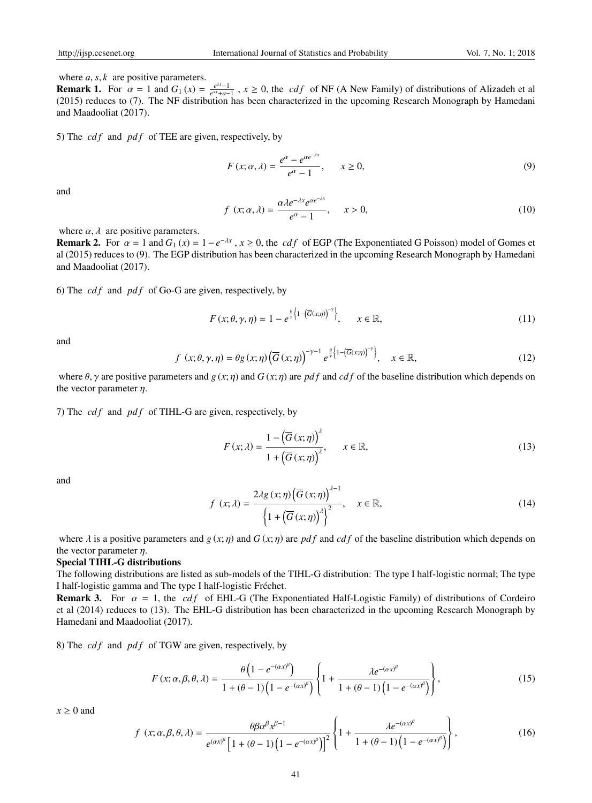where *a*, *s*, *k* are positive parameters.

**Remark 1.** For  $\alpha = 1$  and  $G_1(x) = \frac{e^{sx} - 1}{e^{sx} + a - 1}$ ,  $x \ge 0$ , the *cdf* of NF (A New Family) of distributions of Alizadeh et al (2015) reduces to (7). The NF distribution has been characterized in the upcoming Research Monograph by Hamedani and Maadooliat (2017).

5) The *cdf* and *pdf* of TEE are given, respectively, by

$$
F(x; \alpha, \lambda) = \frac{e^{\alpha} - e^{\alpha e^{-\lambda x}}}{e^{\alpha} - 1}, \qquad x \ge 0,
$$
\n<sup>(9)</sup>

and

$$
f(x; \alpha, \lambda) = \frac{\alpha \lambda e^{-\lambda x} e^{\alpha e^{-\lambda x}}}{e^{\alpha} - 1}, \quad x > 0,
$$
\n(10)

where  $\alpha$ ,  $\lambda$  are positive parameters.

**Remark 2.** For  $\alpha = 1$  and  $G_1(x) = 1 - e^{-\lambda x}$ ,  $x \ge 0$ , the *cdf* of EGP (The Exponentiated G Poisson) model of Gomes et al (2015) reduces to (9). The EGP distribution has been characterized in the upcoming Research Monograph by Hamedani and Maadooliat (2017).

6) The  $cdf$  and  $pdf$  of Go-G are given, respectively, by

$$
F(x; \theta, \gamma, \eta) = 1 - e^{\frac{\theta}{\gamma} \left\{1 - \left(\overline{G}(x; \eta)\right)^{-\gamma}\right\}}, \qquad x \in \mathbb{R}, \tag{11}
$$

and

$$
f(x; \theta, \gamma, \eta) = \theta g(x; \eta) \left( \overline{G}(x; \eta) \right)^{-\gamma - 1} e^{\frac{\theta}{\gamma} \left( 1 - \left( \overline{G}(x; \eta) \right)^{-\gamma} \right)}, \quad x \in \mathbb{R}, \tag{12}
$$

where  $\theta$ ,  $\gamma$  are positive parameters and *g* (*x*; *n*) and *G* (*x*; *n*) are *pdf* and *cdf* of the baseline distribution which depends on the vector parameter  $\eta$ .

7) The *cdf* and *pdf* of TIHL-G are given, respectively, by

$$
F(x; \lambda) = \frac{1 - \left(\overline{G}\left(x; \eta\right)\right)^{\lambda}}{1 + \left(\overline{G}\left(x; \eta\right)\right)^{\lambda}}, \qquad x \in \mathbb{R}, \tag{13}
$$

and

$$
f(x; \lambda) = \frac{2\lambda g(x; \eta) (\overline{G}(x; \eta))^{4-1}}{\left\{1 + (\overline{G}(x; \eta))^{4}\right\}^{2}}, \quad x \in \mathbb{R},
$$
\n(14)

)<sup>λ</sup>−<sup>1</sup>

where  $\lambda$  is a positive parameters and  $g(x; \eta)$  and  $G(x; \eta)$  are pdf and cdf of the baseline distribution which depends on the vector parameter  $n$ .

#### Special TIHL-G distributions

The following distributions are listed as sub-models of the TIHL-G distribution: The type I half-logistic normal; The type I half-logistic gamma and The type I half-logistic Frechet. ´

**Remark 3.** For  $\alpha = 1$ , the *cdf* of EHL-G (The Exponentiated Half-Logistic Family) of distributions of Cordeiro et al (2014) reduces to (13). The EHL-G distribution has been characterized in the upcoming Research Monograph by Hamedani and Maadooliat (2017).

8) The *cdf* and *pdf* of TGW are given, respectively, by

$$
F(x; \alpha, \beta, \theta, \lambda) = \frac{\theta \left( 1 - e^{-(\alpha x)^{\beta}} \right)}{1 + (\theta - 1) \left( 1 - e^{-(\alpha x)^{\beta}} \right)} \left\{ 1 + \frac{\lambda e^{-(\alpha x)^{\beta}}}{1 + (\theta - 1) \left( 1 - e^{-(\alpha x)^{\beta}} \right)} \right\},
$$
(15)

 $x \geq 0$  and

$$
f(x; \alpha, \beta, \theta, \lambda) = \frac{\theta \beta \alpha^{\beta} x^{\beta - 1}}{e^{(\alpha x)^{\beta}} \left[ 1 + (\theta - 1) \left( 1 - e^{-(\alpha x)^{\beta}} \right) \right]^2} \left\{ 1 + \frac{\lambda e^{-(\alpha x)^{\beta}}}{1 + (\theta - 1) \left( 1 - e^{-(\alpha x)^{\beta}} \right)} \right\},
$$
(16)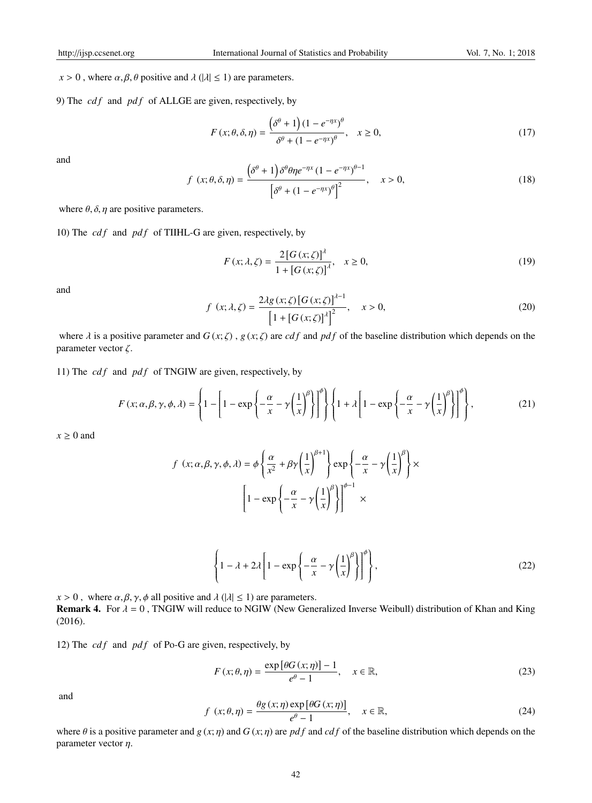$x > 0$ , where  $\alpha, \beta, \theta$  positive and  $\lambda$  ( $|\lambda| \le 1$ ) are parameters.

9) The *cdf* and *pdf* of ALLGE are given, respectively, by

$$
F(x; \theta, \delta, \eta) = \frac{\left(\delta^{\theta} + 1\right)(1 - e^{-\eta x})^{\theta}}{\delta^{\theta} + (1 - e^{-\eta x})^{\theta}}, \quad x \ge 0,
$$
\n(17)

and

$$
f(x; \theta, \delta, \eta) = \frac{\left(\delta^{\theta} + 1\right)\delta^{\theta}\theta\eta e^{-\eta x} (1 - e^{-\eta x})^{\theta - 1}}{\left[\delta^{\theta} + (1 - e^{-\eta x})^{\theta}\right]^2}, \quad x > 0,
$$
\n(18)

where  $\theta$ ,  $\delta$ ,  $\eta$  are positive parameters.

10) The *cdf* and *pdf* of TIIHL-G are given, respectively, by

$$
F(x; \lambda, \zeta) = \frac{2\left[G(x; \zeta)\right]^{\lambda}}{1 + \left[G(x; \zeta)\right]^{\lambda}}, \quad x \ge 0,
$$
\n(19)

and

$$
f(x; \lambda, \zeta) = \frac{2\lambda g(x; \zeta) [G(x; \zeta)]^{\lambda - 1}}{[1 + [G(x; \zeta)]^{\lambda}]^2}, \quad x > 0,
$$
\n(20)

where  $\lambda$  is a positive parameter and  $G(x;\zeta)$ ,  $g(x;\zeta)$  are *cdf* and *pdf* of the baseline distribution which depends on the parameter vector  $\zeta$ .

11) The  $cdf$  and  $pdf$  of TNGIW are given, respectively, by

 $\mathcal{L}_{\mathcal{A}}$ 

$$
F(x; \alpha, \beta, \gamma, \phi, \lambda) = \left\{ 1 - \left[ 1 - \exp\left\{ -\frac{\alpha}{x} - \gamma \left( \frac{1}{x} \right)^{\beta} \right\} \right]^{\phi} \right\} \left\{ 1 + \lambda \left[ 1 - \exp\left\{ -\frac{\alpha}{x} - \gamma \left( \frac{1}{x} \right)^{\beta} \right\} \right]^{\phi} \right\},
$$
(21)

ϕ

 $x \geq 0$  and

$$
f(x; \alpha, \beta, \gamma, \phi, \lambda) = \phi \left\{ \frac{\alpha}{x^2} + \beta \gamma \left( \frac{1}{x} \right)^{\beta + 1} \right\} \exp \left\{ -\frac{\alpha}{x} - \gamma \left( \frac{1}{x} \right)^{\beta} \right\} \times \left[ 1 - \exp \left\{ -\frac{\alpha}{x} - \gamma \left( \frac{1}{x} \right)^{\beta} \right\} \right]^{\phi - 1} \times
$$

$$
\left\{1 - \lambda + 2\lambda \left[1 - \exp\left\{-\frac{\alpha}{x} - \gamma \left(\frac{1}{x}\right)^{\beta}\right\}\right]^{\phi}\right\},\tag{22}
$$

*x* > 0, where  $\alpha$ ,  $\beta$ ,  $\gamma$ ,  $\phi$  all positive and  $\lambda$  ( $|\lambda| \le 1$ ) are parameters. **Remark 4.** For  $\lambda = 0$ , TNGIW will reduce to NGIW (New Generalized Inverse Weibull) distribution of Khan and King (2016).

12) The  $cdf$  and  $pdf$  of Po-G are given, respectively, by

$$
F(x; \theta, \eta) = \frac{\exp[\theta G(x; \eta)] - 1}{e^{\theta} - 1}, \quad x \in \mathbb{R},
$$
\n(23)

and

$$
f(x; \theta, \eta) = \frac{\theta g(x; \eta) \exp[\theta G(x; \eta)]}{e^{\theta} - 1}, \quad x \in \mathbb{R},
$$
\n(24)

where  $\theta$  is a positive parameter and *g* (*x*; *n*) and *G* (*x*; *n*) are *pdf* and *cdf* of the baseline distribution which depends on the parameter vector  $\eta$ .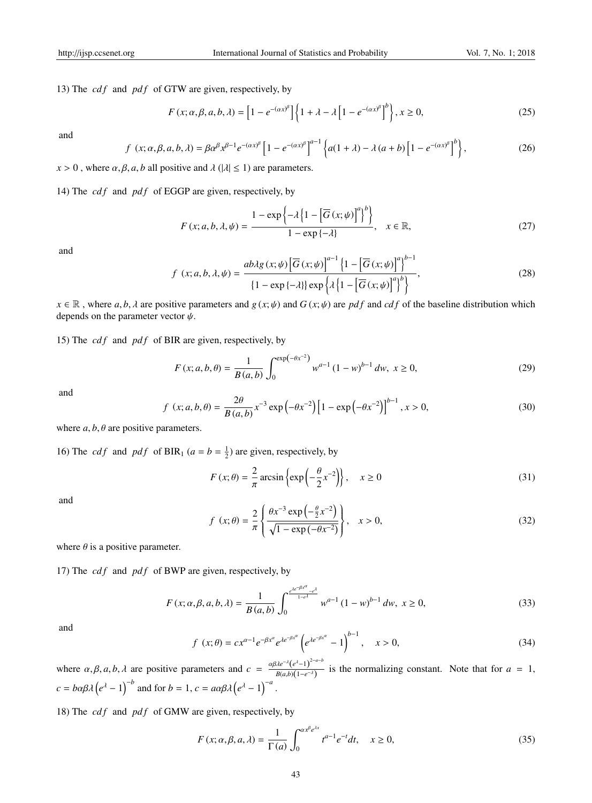13) The  $cdf$  and  $pdf$  of GTW are given, respectively, by

$$
F(x; \alpha, \beta, a, b, \lambda) = \left[1 - e^{-(\alpha x)^{\beta}}\right] \left\{1 + \lambda - \lambda\left[1 - e^{-(\alpha x)^{\beta}}\right]^{b}\right\}, x \ge 0,
$$
\n(25)

and

$$
f(x; \alpha, \beta, a, b, \lambda) = \beta \alpha^{\beta} x^{\beta - 1} e^{-(\alpha x)^{\beta}} \left[ 1 - e^{-(\alpha x)^{\beta}} \right]^{a-1} \left\{ a(1 + \lambda) - \lambda (a + b) \left[ 1 - e^{-(\alpha x)^{\beta}} \right]^{b} \right\},\tag{26}
$$

 $x > 0$ , where  $\alpha, \beta, a, b$  all positive and  $\lambda$  ( $|\lambda| \le 1$ ) are parameters.

14) The *cd f* and *pd f* of EGGP are given, respectively, by

$$
F(x; a, b, \lambda, \psi) = \frac{1 - \exp\left\{-\lambda \left\{1 - \left[\overline{G}(x; \psi)\right]^a\right\}^b\right\}}{1 - \exp\left\{-\lambda\right\}}, \quad x \in \mathbb{R},
$$
\n(27)

and

$$
f(x; a, b, \lambda, \psi) = \frac{ab\lambda g(x; \psi) \left[\overline{G}(x; \psi)\right]^{a-1} \left\{1 - \left[\overline{G}(x; \psi)\right]^{a}\right\}^{b-1}}{\left\{1 - \exp\{-\lambda\}\right\} \exp\left\{\lambda \left\{1 - \left[\overline{G}(x; \psi)\right]^{a}\right\}^{b}\right\}},
$$
\n(28)

 $x \in \mathbb{R}$ , where *a*, *b*,  $\lambda$  are positive parameters and  $g(x, \psi)$  and  $G(x, \psi)$  are *pdf* and *cdf* of the baseline distribution which depends on the parameter vector  $\psi$ .

15) The  $cdf$  and  $pdf$  of BIR are given, respectively, by

$$
F(x; a, b, \theta) = \frac{1}{B(a, b)} \int_0^{\exp(-\theta x^{-2})} w^{a-1} (1 - w)^{b-1} dw, \ x \ge 0,
$$
 (29)

and

$$
f(x; a, b, \theta) = \frac{2\theta}{B(a, b)} x^{-3} \exp(-\theta x^{-2}) \left[1 - \exp(-\theta x^{-2})\right]^{b-1}, x > 0,
$$
\n(30)

where  $a, b, \theta$  are positive parameters.

16) The *cdf* and *pdf* of BIR<sub>1</sub> ( $a = b = \frac{1}{2}$ ) are given, respectively, by

$$
F(x; \theta) = \frac{2}{\pi} \arcsin \left\{ \exp\left(-\frac{\theta}{2}x^{-2}\right) \right\}, \quad x \ge 0
$$
 (31)

and

$$
f(x; \theta) = \frac{2}{\pi} \left\{ \frac{\theta x^{-3} \exp\left(-\frac{\theta}{2} x^{-2}\right)}{\sqrt{1 - \exp(-\theta x^{-2})}} \right\}, \quad x > 0,
$$
\n(32)

where  $\theta$  is a positive parameter.

17) The  $cdf$  and  $pdf$  of BWP are given, respectively, by

$$
F(x; \alpha, \beta, a, b, \lambda) = \frac{1}{B(a, b)} \int_0^{\frac{e^{ac-\beta x^{\alpha}} - e^{d}}{1 - e^{d}}} w^{a-1} (1 - w)^{b-1} dw, \ x \ge 0,
$$
 (33)

and

$$
f(x; \theta) = cx^{\alpha - 1} e^{-\beta x^{\alpha}} e^{\lambda e^{-\beta x^{\alpha}}} \left( e^{\lambda e^{-\beta x^{\alpha}}} - 1 \right)^{b - 1}, \quad x > 0,
$$
 (34)

where  $\alpha, \beta, a, b, \lambda$  are positive parameters and  $c = \frac{\alpha \beta \lambda e^{-\lambda} (e^{\lambda} - 1)^{2-a-b}}{R(a-b)(1-a^{-\lambda})}$  $\frac{f(x)}{B(a,b)(1-e^{-\lambda})}$  is the normalizing constant. Note that for *a* = 1,  $c = b\alpha\beta\lambda \left(e^{\lambda} - 1\right)^{-b}$  and for  $b = 1, c = a\alpha\beta\lambda \left(e^{\lambda} - 1\right)^{-a}$ .

18) The  $cdf$  and  $pdf$  of GMW are given, respectively, by

$$
F(x; \alpha, \beta, a, \lambda) = \frac{1}{\Gamma(a)} \int_0^{\alpha x^{\beta} e^{\lambda x}} t^{a-1} e^{-t} dt, \quad x \ge 0,
$$
 (35)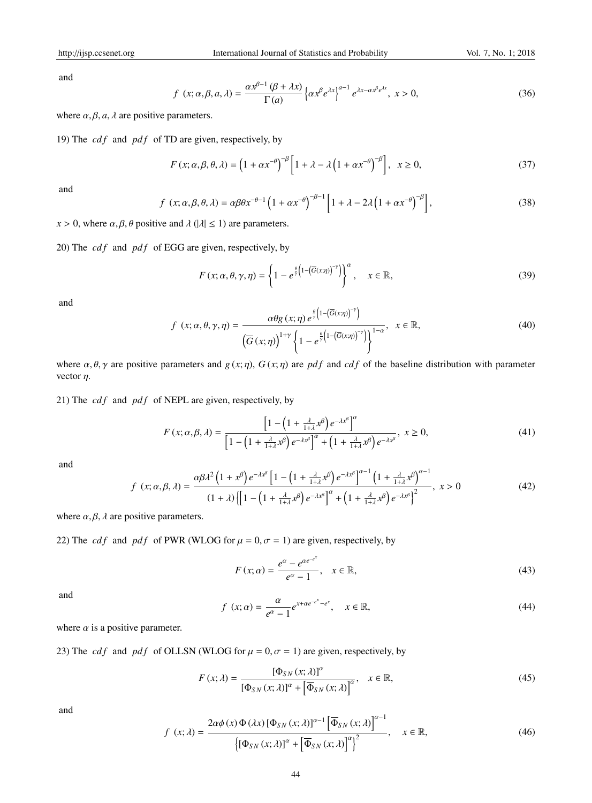and

$$
f(x; \alpha, \beta, a, \lambda) = \frac{\alpha x^{\beta - 1} (\beta + \lambda x)}{\Gamma(a)} \left\{ \alpha x^{\beta} e^{\lambda x} \right\}^{a - 1} e^{\lambda x - \alpha x^{\beta} e^{\lambda x}}, \ x > 0,
$$
 (36)

where  $\alpha$ ,  $\beta$ ,  $\alpha$ ,  $\lambda$  are positive parameters.

19) The  $cdf$  and  $pdf$  of TD are given, respectively, by

$$
F(x; \alpha, \beta, \theta, \lambda) = \left(1 + \alpha x^{-\theta}\right)^{-\beta} \left[1 + \lambda - \lambda \left(1 + \alpha x^{-\theta}\right)^{-\beta}\right], \quad x \ge 0,
$$
\n(37)

and

$$
f(x; \alpha, \beta, \theta, \lambda) = \alpha \beta \theta x^{-\theta - 1} \left( 1 + \alpha x^{-\theta} \right)^{-\beta - 1} \left[ 1 + \lambda - 2\lambda \left( 1 + \alpha x^{-\theta} \right)^{-\beta} \right],
$$
\n(38)

*x* > 0, where  $\alpha$ ,  $\beta$ ,  $\theta$  positive and  $\lambda$  ( $|\lambda| \le 1$ ) are parameters.

20) The  $cdf$  and  $pdf$  of EGG are given, respectively, by

$$
F(x; \alpha, \theta, \gamma, \eta) = \left\{ 1 - e^{\frac{\theta}{\gamma} \left( 1 - \left( \overline{G}(x; \eta) \right)^{-\gamma} \right)} \right\}^{\alpha}, \quad x \in \mathbb{R},
$$
\n(39)

and

$$
f(x; \alpha, \theta, \gamma, \eta) = \frac{\alpha \theta g(x; \eta) e^{\frac{\theta}{\gamma} \left(1 - \left(\overline{G}(x; \eta)\right)^{-\gamma}\right)}}{\left(\overline{G}(x; \eta)\right)^{1+\gamma} \left\{1 - e^{\frac{\theta}{\gamma} \left(1 - \left(\overline{G}(x; \eta)\right)^{-\gamma}\right)}\right\}^{1-\alpha}}, \quad x \in \mathbb{R},
$$
\n(40)

where  $\alpha$ ,  $\theta$ ,  $\gamma$  are positive parameters and *g*(*x*; *n*), *G*(*x*; *n*) are *pdf* and *cdf* of the baseline distribution with parameter vector  $\eta$ .

21) The  $cdf$  and  $pdf$  of NEPL are given, respectively, by

$$
F(x; \alpha, \beta, \lambda) = \frac{\left[1 - \left(1 + \frac{\lambda}{1 + \lambda} x^{\beta}\right) e^{-\lambda x^{\beta}}\right]^{\alpha}}{\left[1 - \left(1 + \frac{\lambda}{1 + \lambda} x^{\beta}\right) e^{-\lambda x^{\beta}}\right]^{\alpha} + \left(1 + \frac{\lambda}{1 + \lambda} x^{\beta}\right) e^{-\lambda x^{\beta}}}, \ x \ge 0,
$$
\n(41)

and

$$
f(x; \alpha, \beta, \lambda) = \frac{\alpha \beta \lambda^2 \left(1 + x^{\beta}\right) e^{-\lambda x^{\beta}} \left[1 - \left(1 + \frac{\lambda}{1 + \lambda} x^{\beta}\right) e^{-\lambda x^{\beta}}\right]^{\alpha - 1} \left(1 + \frac{\lambda}{1 + \lambda} x^{\beta}\right)^{\alpha - 1}}{\left(1 + \lambda\right) \left\{\left[1 - \left(1 + \frac{\lambda}{1 + \lambda} x^{\beta}\right) e^{-\lambda x^{\beta}}\right]^{\alpha} + \left(1 + \frac{\lambda}{1 + \lambda} x^{\beta}\right) e^{-\lambda x^{\beta}}\right\}^2}, \quad x > 0
$$
\n
$$
(42)
$$

where  $\alpha, \beta, \lambda$  are positive parameters.

22) The *cdf* and *pdf* of PWR (WLOG for  $\mu = 0$ ,  $\sigma = 1$ ) are given, respectively, by

$$
F(x; \alpha) = \frac{e^{\alpha} - e^{\alpha e^{-e^x}}}{e^{\alpha} - 1}, \quad x \in \mathbb{R},
$$
\n(43)

and

$$
f(x; \alpha) = \frac{\alpha}{e^{\alpha} - 1} e^{x + \alpha e^{-e^x} - e^x}, \quad x \in \mathbb{R},
$$
\n(44)

where  $\alpha$  is a positive parameter.

23) The *cdf* and *pdf* of OLLSN (WLOG for  $\mu = 0, \sigma = 1$ ) are given, respectively, by

$$
F(x; \lambda) = \frac{[\Phi_{SN}(x; \lambda)]^{\alpha}}{[\Phi_{SN}(x; \lambda)]^{\alpha} + [\overline{\Phi}_{SN}(x; \lambda)]^{\alpha}}, \quad x \in \mathbb{R},
$$
\n(45)

and

$$
f(x; \lambda) = \frac{2\alpha\phi(x)\Phi(\lambda x)\left[\Phi_{SN}(x; \lambda)\right]^{\alpha-1} \left[\overline{\Phi}_{SN}(x; \lambda)\right]^{\alpha-1}}{\left\{\left[\Phi_{SN}(x; \lambda)\right]^{\alpha} + \left[\overline{\Phi}_{SN}(x; \lambda)\right]^{\alpha}\right\}^2}, \quad x \in \mathbb{R},
$$
\n(46)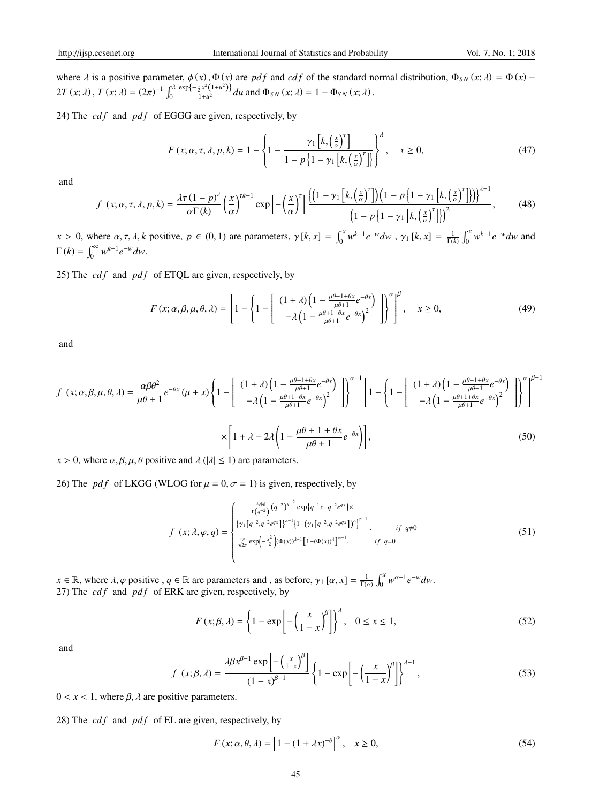where  $\lambda$  is a positive parameter,  $\phi(x)$ ,  $\Phi(x)$  are *pdf* and *cdf* of the standard normal distribution,  $\Phi_{SN}(x;\lambda) = \Phi(x)$  –  $2T(x; \lambda)$ ,  $T(x; \lambda) = (2\pi)^{-1} \int_0^{\lambda}$  $\exp\{-\frac{1}{2}x^2(1+u^2)\}\$  $\frac{\partial}{\partial x} \frac{\partial}{\partial x} \left( \frac{\partial}{\partial t} + u^2 \right) d\mu$  and  $\overline{\Phi}_{SN}(x; \lambda) = 1 - \Phi_{SN}(x; \lambda)$ .

24) The  $cdf$  and  $pdf$  of EGGG are given, respectively, by

$$
F(x; \alpha, \tau, \lambda, p, k) = 1 - \left\{ 1 - \frac{\gamma_1 \left[ k, \left( \frac{x}{\alpha} \right)^{\tau} \right]}{1 - p \left\{ 1 - \gamma_1 \left[ k, \left( \frac{x}{\alpha} \right)^{\tau} \right] \right\}} \right\}^{\lambda}, \quad x \ge 0,
$$
\n
$$
(47)
$$

and

$$
f(x; \alpha, \tau, \lambda, p, k) = \frac{\lambda \tau (1 - p)^{\lambda}}{\alpha \Gamma(k)} \left(\frac{x}{\alpha}\right)^{\tau k - 1} \exp\left[-\left(\frac{x}{\alpha}\right)^{\tau}\right] \frac{\left\{\left(1 - \gamma_{1}\left[k, \left(\frac{x}{\alpha}\right)^{\tau}\right]\right)\left(1 - p\left\{1 - \gamma_{1}\left[k, \left(\frac{x}{\alpha}\right)^{\tau}\right]\right\}\right)\right\}^{\lambda - 1}}{\left(1 - p\left\{1 - \gamma_{1}\left[k, \left(\frac{x}{\alpha}\right)^{\tau}\right]\right\}\right)^{2}},\tag{48}
$$

 $x > 0$ , where  $\alpha, \tau, \lambda, k$  positive,  $p \in (0, 1)$  are parameters,  $\gamma[k, x] = \int_0^x w^{k-1} e^{-w} dw$ ,  $\gamma_1[k, x] = \frac{1}{\Gamma(k)} \int_0^x w^{k-1} e^{-w} dw$  and  $\Gamma(k) = \int_0^\infty w^{k-1} e^{-w} dw.$ 

25) The  $cdf$  and  $pdf$  of ETQL are given, respectively, by

$$
F(x; \alpha, \beta, \mu, \theta, \lambda) = \left[1 - \left\{1 - \left[\begin{array}{c} (1+\lambda)\left(1 - \frac{\mu\theta + 1 + \theta x}{\mu\theta + 1}e^{-\theta x}\right) \\ -\lambda\left(1 - \frac{\mu\theta + 1 + \theta x}{\mu\theta + 1}e^{-\theta x}\right)^2 \end{array}\right]\right\}^{\alpha}\right]^{\beta}, \quad x \ge 0,
$$
\n(49)

and

$$
f(x; \alpha, \beta, \mu, \theta, \lambda) = \frac{\alpha \beta \theta^2}{\mu \theta + 1} e^{-\theta x} (\mu + x) \left\{ 1 - \begin{bmatrix} (1 + \lambda) \left( 1 - \frac{\mu \theta + 1 + \theta x}{\mu \theta + 1} e^{-\theta x} \right) \\ -\lambda \left( 1 - \frac{\mu \theta + 1 + \theta x}{\mu \theta + 1} e^{-\theta x} \right)^2 \end{bmatrix} \right\}^{\alpha - 1} \left[ 1 - \begin{Bmatrix} (1 + \lambda) \left( 1 - \frac{\mu \theta + 1 + \theta x}{\mu \theta + 1} e^{-\theta x} \right) \\ -\lambda \left( 1 - \frac{\mu \theta + 1 + \theta x}{\mu \theta + 1} e^{-\theta x} \right)^2 \end{Bmatrix} \right]^{ \alpha - 1} \left[ 1 - \lambda \left( 1 - \frac{\mu \theta + 1 + \theta x}{\mu \theta + 1} e^{-\theta x} \right)^2 \right] \right\}^{\alpha - 1} \left[ 1 - \lambda \left( 1 - \frac{\mu \theta + 1 + \theta x}{\mu \theta + 1} e^{-\theta x} \right)^2 \right]^{ \alpha - 1} \left[ 1 - \lambda \left( 1 - \frac{\mu \theta + 1 + \theta x}{\mu \theta + 1} e^{-\theta x} \right)^2 \right]^{ \alpha - 1} \left[ 1 - \lambda \left( 1 - \frac{\mu \theta + 1 + \theta x}{\mu \theta + 1} e^{-\theta x} \right)^2 \right]^{ \alpha - 1} \left[ 1 - \lambda \left( 1 - \frac{\mu \theta + 1 + \theta x}{\mu \theta + 1} e^{-\theta x} \right)^2 \right]^{ \alpha - 1} \left[ 1 - \lambda \left( 1 - \frac{\mu \theta + 1 + \theta x}{\mu \theta + 1} e^{-\theta x} \right)^2 \right]^{ \alpha - 1} \left[ 1 - \lambda \left( 1 - \frac{\mu \theta + 1 + \theta x}{\mu \theta + 1} e^{-\theta x} \right)^2 \right]^{ \alpha - 1} \left[ 1 - \lambda \left( 1 - \frac{\mu \theta + 1 + \theta x}{\mu \theta + 1} e^{-\theta x} \right)^2 \right]^{ \alpha - 1} \left[ 1 - \lambda \left( 1 - \frac{\mu \theta + 1 + \theta x}{\mu
$$

 $x > 0$ , where  $\alpha, \beta, \mu, \theta$  positive and  $\lambda$  ( $|\lambda| \le 1$ ) are parameters.

26) The *pdf* of LKGG (WLOG for  $\mu = 0$ ,  $\sigma = 1$ ) is given, respectively, by

$$
f(x; \lambda, \varphi, q) = \begin{cases} \frac{\lambda \varphi |q|}{\Gamma(q^{-2})} (q^{-2})^{q^{-2}} \exp\{q^{-1}x - q^{-2}e^{qx}\} \times \\ \{\gamma_1 [q^{-2}, q^{-2}e^{qx}]\}^{\lambda - 1} \{1 - (\gamma_1 [q^{-2}, q^{-2}e^{qx}])^{\lambda}\}^{\varphi - 1}, & \text{if } q \neq 0 \\ \frac{\lambda \varphi}{\sqrt{2\pi}} \exp\left(-\frac{x^2}{2}\right) (\Phi(x))^{\lambda - 1} [1 - (\Phi(x))^{\lambda}]^{\varphi - 1}, & \text{if } q = 0 \end{cases}
$$
(51)

 $x \in \mathbb{R}$ , where  $\lambda$ ,  $\varphi$  positive ,  $q \in \mathbb{R}$  are parameters and , as before,  $\gamma_1 [\alpha, x] = \frac{1}{\Gamma(\alpha)} \int_0^x w^{\alpha-1} e^{-w} dw$ . 27) The  $cdf$  and  $pdf$  of ERK are given, respectively, by

$$
F(x; \beta, \lambda) = \left\{ 1 - \exp\left[ -\left(\frac{x}{1-x}\right)^{\beta} \right] \right\}^{\lambda}, \quad 0 \le x \le 1,
$$
 (52)

and

$$
f(x; \beta, \lambda) = \frac{\lambda \beta x^{\beta - 1} \exp\left[-\left(\frac{x}{1 - x}\right)^{\beta}\right]}{(1 - x)^{\beta + 1}} \left\{1 - \exp\left[-\left(\frac{x}{1 - x}\right)^{\beta}\right]\right\}^{\lambda - 1},\tag{53}
$$

 $0 < x < 1$ , where  $\beta$ ,  $\lambda$  are positive parameters.

28) The *cdf* and *pdf* of EL are given, respectively, by

$$
F(x; \alpha, \theta, \lambda) = \left[1 - (1 + \lambda x)^{-\theta}\right]^{\alpha}, \quad x \ge 0,
$$
\n
$$
(54)
$$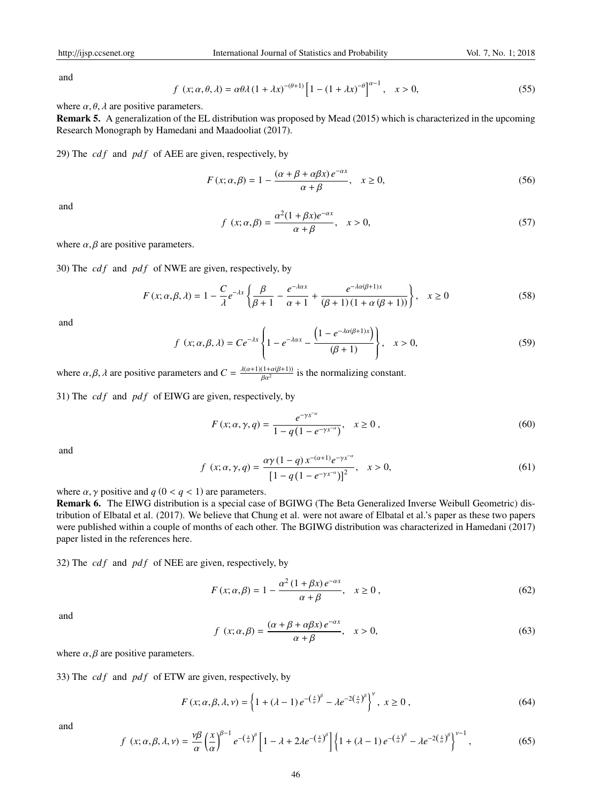and

$$
f(x; \alpha, \theta, \lambda) = \alpha \theta \lambda (1 + \lambda x)^{-(\theta + 1)} \left[ 1 - (1 + \lambda x)^{-\theta} \right]^{\alpha - 1}, \quad x > 0,
$$
\n
$$
(55)
$$

where  $\alpha$ ,  $\theta$ ,  $\lambda$  are positive parameters.

Remark 5. A generalization of the EL distribution was proposed by Mead (2015) which is characterized in the upcoming Research Monograph by Hamedani and Maadooliat (2017).

29) The *cdf* and *pdf* of AEE are given, respectively, by

$$
F(x; \alpha, \beta) = 1 - \frac{(\alpha + \beta + \alpha \beta x) e^{-\alpha x}}{\alpha + \beta}, \quad x \ge 0,
$$
\n
$$
(56)
$$

and

$$
f(x; \alpha, \beta) = \frac{\alpha^2 (1 + \beta x)e^{-\alpha x}}{\alpha + \beta}, \quad x > 0,
$$
\n
$$
(57)
$$

where  $\alpha$ ,  $\beta$  are positive parameters.

30) The *cd f* and *pd f* of NWE are given, respectively, by

$$
F(x; \alpha, \beta, \lambda) = 1 - \frac{C}{\lambda} e^{-\lambda x} \left\{ \frac{\beta}{\beta + 1} - \frac{e^{-\lambda \alpha x}}{\alpha + 1} + \frac{e^{-\lambda \alpha (\beta + 1)x}}{(\beta + 1)(1 + \alpha (\beta + 1))} \right\}, \quad x \ge 0
$$
\n
$$
(58)
$$

and

$$
f(x; \alpha, \beta, \lambda) = Ce^{-\lambda x} \left\{ 1 - e^{-\lambda \alpha x} - \frac{\left( 1 - e^{-\lambda \alpha (\beta + 1)x} \right)}{(\beta + 1)} \right\}, \quad x > 0,
$$
 (59)

where  $\alpha, \beta, \lambda$  are positive parameters and  $C = \frac{\lambda(\alpha+1)(1+\alpha(\beta+1))}{\beta \alpha^2}$  $\frac{(1+a(p+1))}{\beta\alpha^2}$  is the normalizing constant.

31) The  $cdf$  and  $pdf$  of EIWG are given, respectively, by

$$
F(x; \alpha, \gamma, q) = \frac{e^{-\gamma x^{-\alpha}}}{1 - q(1 - e^{-\gamma x^{-\alpha}})}, \quad x \ge 0,
$$
\n(60)

and

$$
f(x; \alpha, \gamma, q) = \frac{\alpha \gamma (1 - q) x^{-(\alpha + 1)} e^{-\gamma x^{-\alpha}}}{[1 - q (1 - e^{-\gamma x^{-\alpha}})]^2}, \quad x > 0,
$$
\n(61)

where  $\alpha$ ,  $\gamma$  positive and  $q$  ( $0 < q < 1$ ) are parameters.

Remark 6. The EIWG distribution is a special case of BGIWG (The Beta Generalized Inverse Weibull Geometric) distribution of Elbatal et al. (2017). We believe that Chung et al. were not aware of Elbatal et al.'s paper as these two papers were published within a couple of months of each other. The BGIWG distribution was characterized in Hamedani (2017) paper listed in the references here.

32) The *cdf* and *pdf* of NEE are given, respectively, by

$$
F(x; \alpha, \beta) = 1 - \frac{\alpha^2 (1 + \beta x) e^{-\alpha x}}{\alpha + \beta}, \quad x \ge 0,
$$
\n
$$
(62)
$$

and

$$
f(x; \alpha, \beta) = \frac{(\alpha + \beta + \alpha \beta x)e^{-\alpha x}}{\alpha + \beta}, \quad x > 0,
$$
\n(63)

where  $\alpha$ ,  $\beta$  are positive parameters.

33) The *cdf* and *pdf* of ETW are given, respectively, by

$$
F(x; \alpha, \beta, \lambda, \nu) = \left\{ 1 + (\lambda - 1) e^{-\left(\frac{x}{\alpha}\right)^{\beta}} - \lambda e^{-2\left(\frac{x}{\alpha}\right)^{\beta}} \right\}^{\nu}, \ x \ge 0 \ , \tag{64}
$$

and

$$
f(x; \alpha, \beta, \lambda, \nu) = \frac{\nu \beta}{\alpha} \left(\frac{x}{\alpha}\right)^{\beta - 1} e^{-\left(\frac{x}{\alpha}\right)^{\beta}} \left[1 - \lambda + 2\lambda e^{-\left(\frac{x}{\alpha}\right)^{\beta}}\right] \left\{1 + (\lambda - 1) e^{-\left(\frac{x}{\alpha}\right)^{\beta}} - \lambda e^{-2\left(\frac{x}{\alpha}\right)^{\beta}}\right\}^{\nu - 1},\tag{65}
$$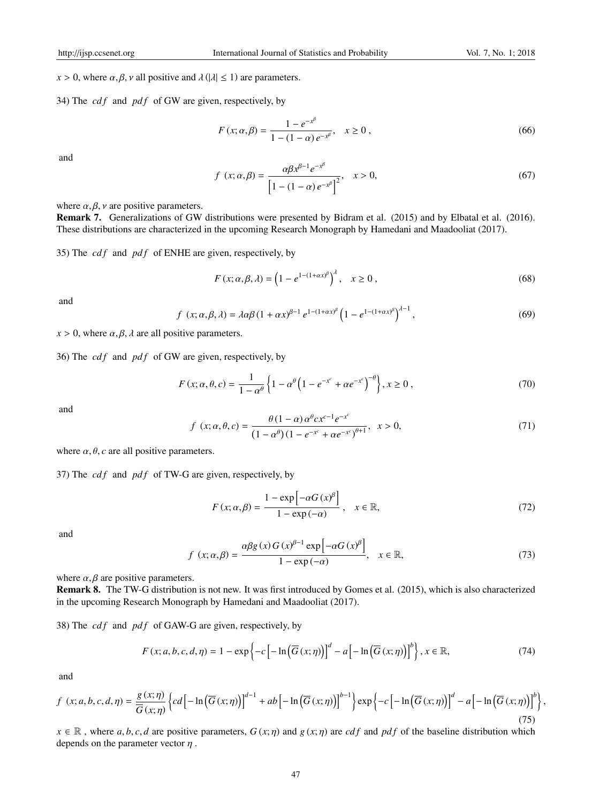$x > 0$ , where  $\alpha, \beta, \nu$  all positive and  $\lambda$  ( $|\lambda| \le 1$ ) are parameters.

34) The *cd f* and *pd f* of GW are given, respectively, by

$$
F(x; \alpha, \beta) = \frac{1 - e^{-x^{\beta}}}{1 - (1 - \alpha) e^{-x^{\beta}}}, \quad x \ge 0,
$$
\n(66)

and

$$
f(x; \alpha, \beta) = \frac{\alpha \beta x^{\beta - 1} e^{-x^{\beta}}}{\left[1 - (1 - \alpha) e^{-x^{\beta}}\right]^2}, \quad x > 0,
$$
\n(67)

where  $\alpha, \beta, \nu$  are positive parameters.

Remark 7. Generalizations of GW distributions were presented by Bidram et al. (2015) and by Elbatal et al. (2016). These distributions are characterized in the upcoming Research Monograph by Hamedani and Maadooliat (2017).

35) The *cd f* and *pd f* of ENHE are given, respectively, by

$$
F(x; \alpha, \beta, \lambda) = \left(1 - e^{1 - (1 + \alpha x)^{\beta}}\right)^{\lambda}, \quad x \ge 0,
$$
\n(68)

and

$$
f(x; \alpha, \beta, \lambda) = \lambda \alpha \beta (1 + \alpha x)^{\beta - 1} e^{1 - (1 + \alpha x)^{\beta}} \left( 1 - e^{1 - (1 + \alpha x)^{\beta}} \right)^{\lambda - 1}, \tag{69}
$$

 $x > 0$ , where  $\alpha, \beta, \lambda$  are all positive parameters.

36) The *cdf* and *pdf* of GW are given, respectively, by

$$
F(x; \alpha, \theta, c) = \frac{1}{1 - \alpha^{\theta}} \left\{ 1 - \alpha^{\theta} \left( 1 - e^{-x^{c}} + \alpha e^{-x^{c}} \right)^{-\theta} \right\}, x \ge 0,
$$
 (70)

and

$$
f(x; \alpha, \theta, c) = \frac{\theta(1-\alpha)\alpha^{\theta}cx^{c-1}e^{-x^{c}}}{(1-\alpha^{\theta})(1-e^{-x^{c}}+\alpha e^{-x^{c}})^{\theta+1}}, \quad x > 0,
$$
\n(71)

where  $\alpha$ ,  $\theta$ ,  $c$  are all positive parameters.

37) The *cdf* and *pdf* of TW-G are given, respectively, by

$$
F(x; \alpha, \beta) = \frac{1 - \exp\left[-\alpha G\left(x\right)^{\beta}\right]}{1 - \exp\left(-\alpha\right)}, \quad x \in \mathbb{R}, \tag{72}
$$

and

$$
f(x; \alpha, \beta) = \frac{\alpha \beta g(x) G(x)^{\beta - 1} \exp\left[-\alpha G(x)^{\beta}\right]}{1 - \exp(-\alpha)}, \quad x \in \mathbb{R},
$$
\n(73)

where  $\alpha$ ,  $\beta$  are positive parameters.

Remark 8. The TW-G distribution is not new. It was first introduced by Gomes et al. (2015), which is also characterized in the upcoming Research Monograph by Hamedani and Maadooliat (2017).

38) The *cdf* and *pdf* of GAW-G are given, respectively, by

$$
F(x; a, b, c, d, \eta) = 1 - \exp\left\{-c\left[-\ln\left(\overline{G}\left(x; \eta\right)\right)\right]^d - a\left[-\ln\left(\overline{G}\left(x; \eta\right)\right)\right]^b\right\}, x \in \mathbb{R},\tag{74}
$$

and

$$
f(x;a,b,c,d,\eta) = \frac{g(x;\eta)}{\overline{G}(x;\eta)} \left\{ cd \left[ -\ln \left( \overline{G}(x;\eta) \right) \right]^{d-1} + ab \left[ -\ln \left( \overline{G}(x;\eta) \right) \right]^{b-1} \right\} \exp \left\{ -c \left[ -\ln \left( \overline{G}(x;\eta) \right) \right]^{d} - a \left[ -\ln \left( \overline{G}(x;\eta) \right) \right]^{b} \right\},\tag{75}
$$

 $x \in \mathbb{R}$ , where *a*, *b*, *c*, *d* are positive parameters,  $G(x; \eta)$  and  $g(x; \eta)$  are *cdf* and *pdf* of the baseline distribution which depends on the parameter vector  $\eta$ .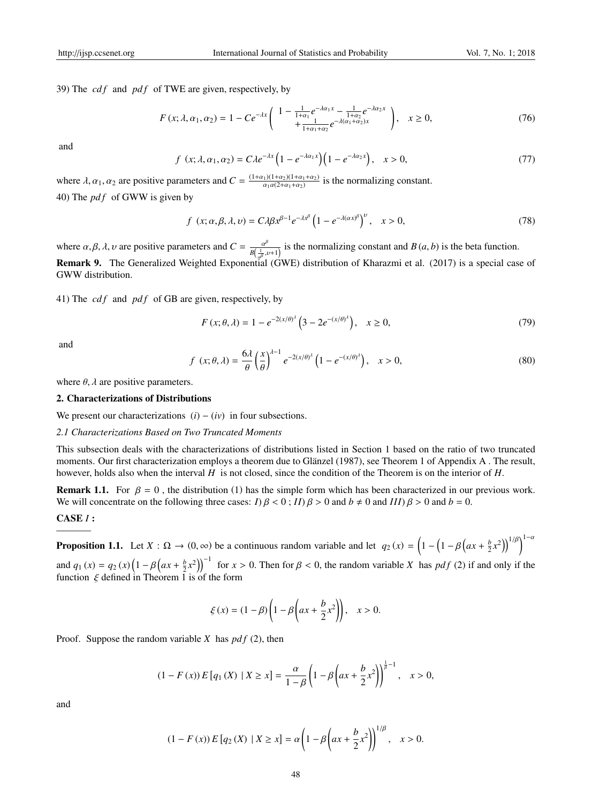39) The *cdf* and *pdf* of TWE are given, respectively, by

$$
F(x; \lambda, \alpha_1, \alpha_2) = 1 - Ce^{-\lambda x} \left( \begin{array}{c} 1 - \frac{1}{1 + \alpha_1} e^{-\lambda \alpha_1 x} - \frac{1}{1 + \alpha_2} e^{-\lambda \alpha_2 x} \\ + \frac{1}{1 + \alpha_1 + \alpha_2} e^{-\lambda (\alpha_1 + \alpha_2)x} \end{array} \right), \quad x \ge 0,
$$
 (76)

and

$$
f(x; \lambda, \alpha_1, \alpha_2) = C\lambda e^{-\lambda x} \left( 1 - e^{-\lambda \alpha_1 x} \right) \left( 1 - e^{-\lambda \alpha_2 x} \right), \quad x > 0,
$$
\n(77)

where  $\lambda$ ,  $\alpha_1$ ,  $\alpha_2$  are positive parameters and  $C = \frac{(1+\alpha_1)(1+\alpha_2)(1+\alpha_1+\alpha_2)}{\alpha_1\alpha(2+\alpha_1+\alpha_2)}$  is the normalizing constant. 40) The *pd f* of GWW is given by

$$
f(x; \alpha, \beta, \lambda, \nu) = C\lambda \beta x^{\beta - 1} e^{-\lambda x^{\beta}} \left( 1 - e^{-\lambda (\alpha x)^{\beta}} \right)^{\nu}, \quad x > 0,
$$
\n
$$
(78)
$$

where  $\alpha, \beta, \lambda, \nu$  are positive parameters and  $C = \frac{\alpha^{\beta}}{R(1-\lambda)}$  $\frac{a^{\rho}}{B\left(\frac{1}{a^{\beta}}, \nu+1\right)}$  is the normalizing constant and *B* (*a*, *b*) is the beta function. Remark 9. The Generalized Weighted Exponential (GWE) distribution of Kharazmi et al. (2017) is a special case of GWW distribution.

41) The *cdf* and *pdf* of GB are given, respectively, by

$$
F(x; \theta, \lambda) = 1 - e^{-2(x/\theta)^{\lambda}} \left( 3 - 2e^{-(x/\theta)^{\lambda}} \right), \quad x \ge 0,
$$
\n(79)

and

$$
f(x; \theta, \lambda) = \frac{6\lambda}{\theta} \left(\frac{x}{\theta}\right)^{\lambda - 1} e^{-2(x/\theta)^{\lambda}} \left(1 - e^{-(x/\theta)^{\lambda}}\right), \quad x > 0,
$$
\n(80)

where  $\theta$ ,  $\lambda$  are positive parameters.

#### 2. Characterizations of Distributions

We present our characterizations  $(i) - (iv)$  in four subsections.

#### *2.1 Characterizations Based on Two Truncated Moments*

This subsection deals with the characterizations of distributions listed in Section 1 based on the ratio of two truncated moments. Our first characterization employs a theorem due to Glänzel (1987), see Theorem 1 of Appendix A. The result, however, holds also when the interval *H* is not closed, since the condition of the Theorem is on the interior of *H*.

**Remark 1.1.** For  $\beta = 0$ , the distribution (1) has the simple form which has been characterized in our previous work. We will concentrate on the following three cases:  $I$ )  $\beta$  < 0 ;  $II$ )  $\beta$  > 0 and  $b \neq 0$  and  $III$ )  $\beta$  > 0 and  $b = 0$ .

#### CASE *I* :

———– **Proposition 1.1.** Let  $X : \Omega \to (0, \infty)$  be a continuous random variable and let  $q_2(x) = (1 - (1 - \beta (ax + \frac{b}{2}x^2)))^{1/\beta})^{1-\alpha}$ 

and  $q_1(x) = q_2(x) \left(1 - \beta \left(ax + \frac{b}{2}x^2\right)\right)^{-1}$  for  $x > 0$ . Then for  $\beta < 0$ , the random variable *X* has  $pdf(2)$  if and only if the function  $\xi$  defined in Theorem 1 is of the form

$$
\xi(x) = (1 - \beta) \left( 1 - \beta \left( ax + \frac{b}{2} x^2 \right) \right), \quad x > 0.
$$

Proof. Suppose the random variable *X* has  $pdf(2)$ , then

$$
(1 - F(x)) E [q_1(X) | X \ge x] = \frac{\alpha}{1 - \beta} \left( 1 - \beta \left( ax + \frac{b}{2} x^2 \right) \right)^{\frac{1}{\beta} - 1}, \quad x > 0,
$$

and

$$
(1 - F(x)) E [q_2(X) | X \ge x] = \alpha \left( 1 - \beta \left( ax + \frac{b}{2} x^2 \right) \right)^{1/\beta}, \quad x > 0.
$$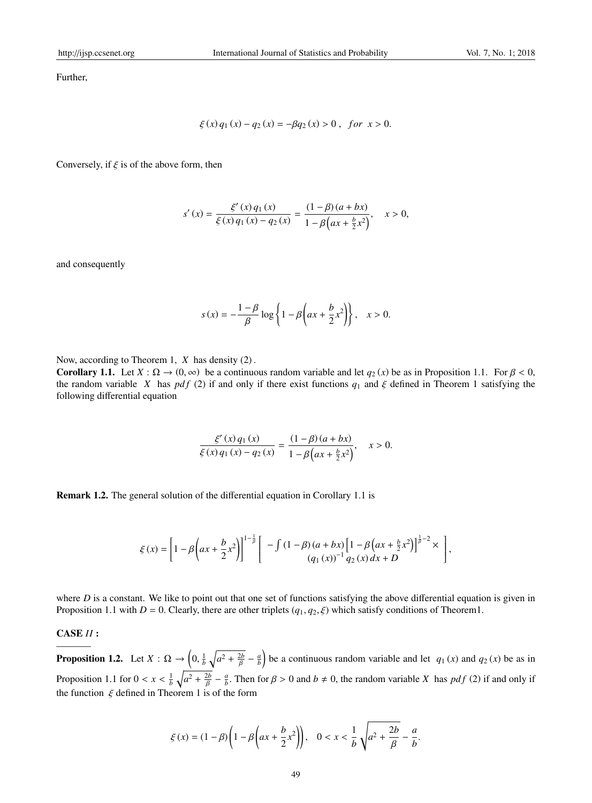Further,

$$
\xi(x) q_1(x) - q_2(x) = -\beta q_2(x) > 0, \text{ for } x > 0.
$$

Conversely, if  $\xi$  is of the above form, then

$$
s'(x) = \frac{\xi'(x) q_1(x)}{\xi(x) q_1(x) - q_2(x)} = \frac{(1 - \beta)(a + bx)}{1 - \beta(ax + \frac{b}{2}x^2)}, \quad x > 0,
$$

and consequently

$$
s(x) = -\frac{1-\beta}{\beta}\log\left\{1-\beta\left(ax + \frac{b}{2}x^2\right)\right\}, \quad x > 0.
$$

Now, according to Theorem 1, *X* has density (2) .

**Corollary 1.1.** Let  $X : \Omega \to (0, \infty)$  be a continuous random variable and let  $q_2(x)$  be as in Proposition 1.1. For  $\beta < 0$ , the random variable *X* has *pdf* (2) if and only if there exist functions  $q_1$  and  $\xi$  defined in Theorem 1 satisfying the following differential equation

$$
\frac{\xi'(x)q_1(x)}{\xi(x)q_1(x)-q_2(x)} = \frac{(1-\beta)(a+bx)}{1-\beta(ax+\frac{b}{2}x^2)}, \quad x > 0.
$$

Remark 1.2. The general solution of the differential equation in Corollary 1.1 is

$$
\xi(x) = \left[1 - \beta \left(ax + \frac{b}{2}x^2\right)\right]^{1 - \frac{1}{\beta}} \left[ - \int (1 - \beta)(a + bx) \left[1 - \beta \left(ax + \frac{b}{2}x^2\right)\right]^{\frac{1}{\beta} - 2} \times \right],
$$
  
\n
$$
(q_1(x))^{-1} q_2(x) dx + D
$$

where *D* is a constant. We like to point out that one set of functions satisfying the above differential equation is given in Proposition 1.1 with  $D = 0$ . Clearly, there are other triplets ( $q_1, q_2, \xi$ ) which satisfy conditions of Theorem1.

#### CASE *II* :

———– **Proposition 1.2.** Let  $X : \Omega \to \left(0, \frac{1}{b} \sqrt{a^2 + \frac{2b}{\beta}} - \frac{a}{b}\right)$  be a continuous random variable and let  $q_1(x)$  and  $q_2(x)$  be as in Proposition 1.1 for  $0 < x < \frac{1}{b} \sqrt{a^2 + \frac{2b}{\beta} - \frac{a}{b}}$ . Then for  $\beta > 0$  and  $b \neq 0$ , the random variable *X* has *pdf* (2) if and only if the function  $\xi$  defined in Theorem 1 is of the form

$$
\xi(x) = (1 - \beta) \left( 1 - \beta \left( ax + \frac{b}{2} x^2 \right) \right), \quad 0 < x < \frac{1}{b} \sqrt{a^2 + \frac{2b}{\beta}} - \frac{a}{b}.
$$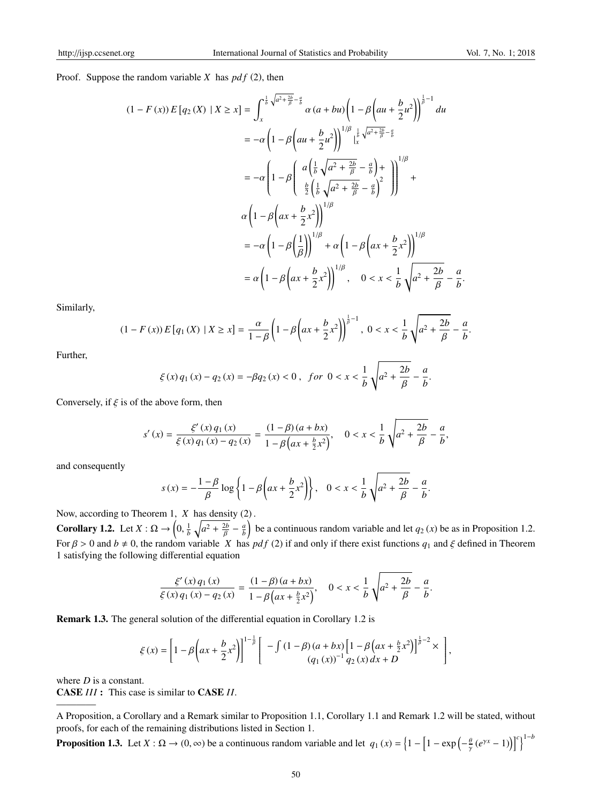Proof. Suppose the random variable *X* has *pd f* (2), then

$$
(1 - F(x)) E [q_2(X) | X \ge x] = \int_x^{\frac{1}{b} \sqrt{a^2 + \frac{2b}{\beta} - \frac{a}{b}}} \alpha (a + bu) \left( 1 - \beta \left( au + \frac{b}{2} u^2 \right) \right)^{\frac{1}{\beta} - 1} du
$$
  
\n
$$
= -\alpha \left( 1 - \beta \left( au + \frac{b}{2} u^2 \right) \right)^{1/\beta} \Big|_x^{\frac{1}{b} \sqrt{a^2 + \frac{2b}{\beta} - \frac{a}{b}}} + C
$$
  
\n
$$
= -\alpha \left( 1 - \beta \left( \frac{a \left( \frac{1}{b} \sqrt{a^2 + \frac{2b}{\beta} - \frac{a}{b}} \right) + b}{\frac{b}{2} \left( \frac{1}{b} \sqrt{a^2 + \frac{2b}{\beta} - \frac{a}{b}} \right)^2} \right) \right)^{1/\beta} + C
$$
  
\n
$$
\alpha \left( 1 - \beta \left( ax + \frac{b}{2} x^2 \right) \right)^{1/\beta}
$$
  
\n
$$
= -\alpha \left( 1 - \beta \left( \frac{1}{\beta} \right) \right)^{1/\beta} + \alpha \left( 1 - \beta \left( ax + \frac{b}{2} x^2 \right) \right)^{1/\beta}
$$
  
\n
$$
= \alpha \left( 1 - \beta \left( ax + \frac{b}{2} x^2 \right) \right)^{1/\beta}, \quad 0 < x < \frac{1}{b} \sqrt{a^2 + \frac{2b}{\beta} - \frac{a}{b}}.
$$

Similarly,

$$
(1 - F(x)) E [q_1(X) | X \ge x] = \frac{\alpha}{1 - \beta} \left( 1 - \beta \left( ax + \frac{b}{2} x^2 \right) \right)^{\frac{1}{\beta} - 1}, \ 0 < x < \frac{1}{b} \sqrt{a^2 + \frac{2b}{\beta}} - \frac{a}{b}.
$$

Further,

$$
\xi(x) q_1(x) - q_2(x) = -\beta q_2(x) < 0, \quad \text{for } 0 < x < \frac{1}{b} \sqrt{a^2 + \frac{2b}{\beta}} - \frac{a}{b}.
$$

Conversely, if  $\xi$  is of the above form, then

$$
s'(x) = \frac{\xi'(x) q_1(x)}{\xi(x) q_1(x) - q_2(x)} = \frac{(1-\beta)(a+bx)}{1-\beta\left(ax+\frac{b}{2}x^2\right)}, \quad 0 < x < \frac{1}{b}\sqrt{a^2 + \frac{2b}{\beta} - \frac{a}{b}},
$$

and consequently

$$
s(x) = -\frac{1-\beta}{\beta} \log \left\{ 1 - \beta \left( ax + \frac{b}{2}x^2 \right) \right\}, \quad 0 < x < \frac{1}{b} \sqrt{a^2 + \frac{2b}{\beta} - \frac{a}{b}}.
$$

Now, according to Theorem 1, *X* has density (2) .

**Corollary 1.2.** Let  $X : \Omega \to \left(0, \frac{1}{b} \sqrt{a^2 + \frac{2b}{\beta}} - \frac{a}{b}\right)$  be a continuous random variable and let  $q_2(x)$  be as in Proposition 1.2. For  $\beta > 0$  and  $b \neq 0$ , the random variable *X* has *pdf* (2) if and only if there exist functions  $q_1$  and  $\xi$  defined in Theorem 1 satisfying the following differential equation

$$
\frac{\xi'(x)q_1(x)}{\xi(x)q_1(x)-q_2(x)} = \frac{(1-\beta)(a+bx)}{1-\beta(ax+\frac{b}{2}x^2)}, \quad 0 < x < \frac{1}{b}\sqrt{a^2+\frac{2b}{\beta}} - \frac{a}{b}.
$$

Remark 1.3. The general solution of the differential equation in Corollary 1.2 is

$$
\xi(x) = \left[1 - \beta \left(ax + \frac{b}{2}x^2\right)\right]^{1 - \frac{1}{\beta}} \left[ -\int (1 - \beta)(a + bx) \left[1 - \beta \left(ax + \frac{b}{2}x^2\right)\right]^{\frac{1}{\beta} - 2} \times \right],
$$

where *D* is a constant.

————

CASE *III* : This case is similar to CASE *II*.

A Proposition, a Corollary and a Remark similar to Proposition 1.1, Corollary 1.1 and Remark 1.2 will be stated, without proofs, for each of the remaining distributions listed in Section 1.

**Proposition 1.3.** Let  $X : \Omega \to (0, \infty)$  be a continuous random variable and let  $q_1(x) = \left\{1 - \left[1 - \exp\left(-\frac{\theta}{\gamma}(e^{\gamma x} - 1)\right)\right]^{c}\right\}^{1-b}$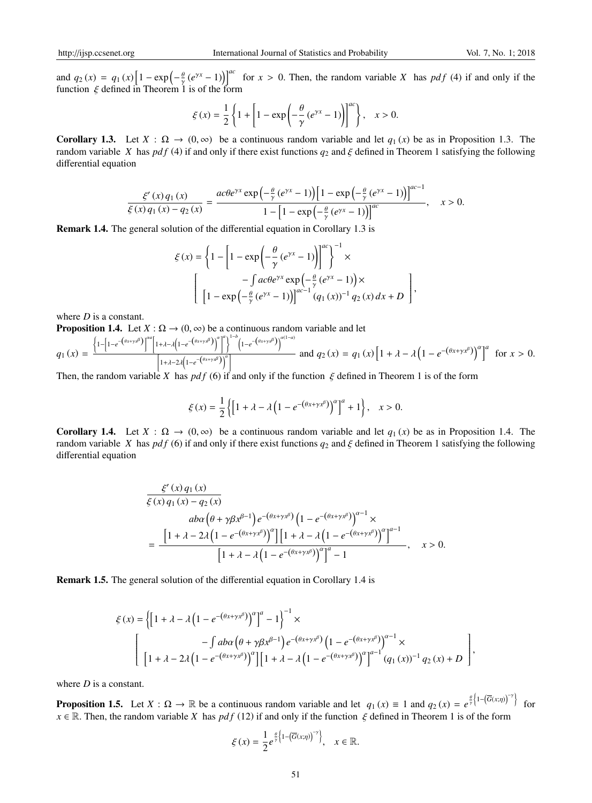and  $q_2(x) = q_1(x) \left[1 - \exp\left(-\frac{\theta}{\gamma}(e^{\gamma x} - 1)\right)\right]^{ac}$  for  $x > 0$ . Then, the random variable *X* has *pdf* (4) if and only if the function  $\xi$  defined in Theorem 1 is of the form

$$
\xi(x)=\frac{1}{2}\left\{1+\left[1-\exp\left(-\frac{\theta}{\gamma}\left(e^{\gamma x}-1\right)\right)\right]^{ac}\right\},\quad x>0.
$$

Corollary 1.3. Let  $X : \Omega \to (0, \infty)$  be a continuous random variable and let  $q_1(x)$  be as in Proposition 1.3. The random variable *X* has *pdf* (4) if and only if there exist functions  $q_2$  and  $\xi$  defined in Theorem 1 satisfying the following differential equation

$$
\frac{\xi'(x) q_1(x)}{\xi(x) q_1(x) - q_2(x)} = \frac{ac\theta e^{\gamma x} \exp\left(-\frac{\theta}{\gamma}(e^{\gamma x} - 1)\right) \left[1 - \exp\left(-\frac{\theta}{\gamma}(e^{\gamma x} - 1)\right)\right]^{ac-1}}{1 - \left[1 - \exp\left(-\frac{\theta}{\gamma}(e^{\gamma x} - 1)\right)\right]^{ac}}, \quad x > 0.
$$

Remark 1.4. The general solution of the differential equation in Corollary 1.3 is

$$
\xi(x) = \left\{ 1 - \left[ 1 - \exp\left( -\frac{\theta}{\gamma} (e^{\gamma x} - 1) \right) \right]^{ac} \right\}^{-1} \times
$$

$$
\left[ 1 - \exp\left( -\frac{\theta}{\gamma} (e^{\gamma x} - 1) \right) \right]^{ac-1} (q_1(x))^{-1} q_2(x) dx + D \right],
$$

where *D* is a constant.

**Proposition 1.4.** Let  $X : \Omega \to (0, \infty)$  be a continuous random variable and let

$$
q_1(x) = \frac{\left\{1-\left[1-e^{-\left(\theta x + \gamma x^{\beta}\right)}\right]^{\alpha a}\left[1+\lambda-\lambda\left(1-e^{-\left(\theta x + \gamma x^{\beta}\right)}\right)^{\alpha}\right]\right\}^{1-b}\left(1-e^{-\left(\theta x + \gamma x^{\beta}\right)}\right)^{\alpha(1-a)}}{\left[1+\lambda-2\lambda\left(1-e^{-\left(\theta x + \gamma x^{\beta}\right)}\right)^{\alpha}\right]}
$$
 and  $q_2(x) = q_1(x)\left[1+\lambda-\lambda\left(1-e^{-\left(\theta x + \gamma x^{\beta}\right)}\right)^{\alpha}\right]^{\alpha}$  for  $x > 0$ .

Then, the random variable *X* has  $pdf(6)$  if and only if the function  $\xi$  defined in Theorem 1 is of the form

$$
\xi(x) = \frac{1}{2} \left\{ \left[ 1 + \lambda - \lambda \left( 1 - e^{-(\theta x + \gamma x^{\beta})} \right)^{\alpha} \right]^a + 1 \right\}, \quad x > 0.
$$

Corollary 1.4. Let  $X : \Omega \to (0, \infty)$  be a continuous random variable and let  $q_1(x)$  be as in Proposition 1.4. The random variable *X* has *pdf* (6) if and only if there exist functions  $q_2$  and  $\xi$  defined in Theorem 1 satisfying the following differential equation

$$
\frac{\xi'(x) q_1(x)}{\xi(x) q_1(x) - q_2(x)}
$$
\n
$$
= \frac{\left[1 + \lambda - 2\lambda \left(1 - e^{-(\theta x + \gamma x^{\beta})}\right)^{\alpha}\right] \left[1 + \lambda - \lambda \left(1 - e^{-(\theta x + \gamma x^{\beta})}\right)^{\alpha}\right]^{a-1}}{\left[1 + \lambda - \lambda \left(1 - e^{-(\theta x + \gamma x^{\beta})}\right)^{\alpha}\right]^{\alpha} - 1}, \quad x > 0.
$$

Remark 1.5. The general solution of the differential equation in Corollary 1.4 is

$$
\xi(x) = \left\{ \left[ 1 + \lambda - \lambda \left( 1 - e^{-(\theta x + \gamma x^{\beta})} \right)^{\alpha} \right]^{a} - 1 \right\}^{-1} \times
$$
  

$$
- \int ab\alpha \left( \theta + \gamma \beta x^{\beta - 1} \right) e^{-(\theta x + \gamma x^{\beta})} \left( 1 - e^{-(\theta x + \gamma x^{\beta})} \right)^{\alpha - 1} \times
$$
  

$$
\left[ 1 + \lambda - 2\lambda \left( 1 - e^{-(\theta x + \gamma x^{\beta})} \right)^{\alpha} \right] \left[ 1 + \lambda - \lambda \left( 1 - e^{-(\theta x + \gamma x^{\beta})} \right)^{\alpha} \right]^{a - 1} (q_1(x))^{-1} q_2(x) + D \right],
$$

where *D* is a constant.

**Proposition 1.5.** Let  $X : \Omega \to \mathbb{R}$  be a continuous random variable and let  $q_1(x) \equiv 1$  and  $q_2(x) = e^{\frac{\theta}{\gamma} \left\{1 - (\overline{G}(x;\eta))^{-\gamma}\right\}}$  for  $x \in \mathbb{R}$ . Then, the random variable *X* has *pdf* (12) if and only if the function  $\xi$  defined in Theorem 1 is of the form

$$
\xi(x) = \frac{1}{2}e^{\frac{\theta}{\gamma}\left\{1-\left(\overline{G}(x;\eta)\right)^{-\gamma}\right\}}, \quad x \in \mathbb{R}.
$$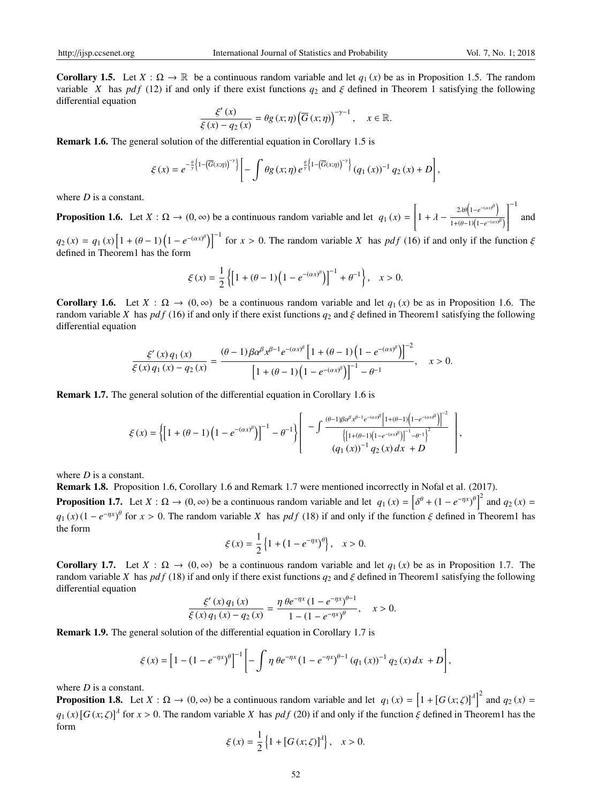**Corollary 1.5.** Let  $X : \Omega \to \mathbb{R}$  be a continuous random variable and let  $q_1(x)$  be as in Proposition 1.5. The random variable *X* has *pdf* (12) if and only if there exist functions  $q_2$  and  $\xi$  defined in Theorem 1 satisfying the following differential equation

$$
\frac{\xi'(x)}{\xi(x) - q_2(x)} = \theta g(x; \eta) \left(\overline{G}(x; \eta)\right)^{-\gamma - 1}, \quad x \in \mathbb{R}.
$$

Remark 1.6. The general solution of the differential equation in Corollary 1.5 is

$$
\xi(x) = e^{-\frac{\theta}{\gamma}\left\{1-\left(\overline{G}(x,\eta)\right)^{-\gamma}\right\}} \left[-\int \theta g\left(x;\eta\right) e^{\frac{\theta}{\gamma}\left\{1-\left(\overline{G}(x,\eta)\right)^{-\gamma}\right\}} \left(q_1\left(x\right)\right)^{-1} q_2\left(x\right) + D\right],
$$

where *D* is a constant.

**Proposition 1.6.** Let  $X : \Omega \to (0, \infty)$  be a continuous random variable and let  $q_1(x) = \begin{vmatrix} 1 + \lambda - \lambda \end{vmatrix}$  $\overline{\mathsf{l}}$  $2\lambda\theta\left(1-e^{-(\alpha x)^{\beta}}\right)$  $1+(\theta-1)\left(1-e^{-(\alpha x)^{\beta}}\right)$  $\overline{1}^{-1}$  $\overline{\phantom{a}}$ and

 $q_2(x) = q_1(x) \left[ 1 + (\theta - 1) \left( 1 - e^{-(\alpha x)^{\beta}} \right) \right]^{-1}$  for  $x > 0$ . The random variable *X* has *pdf* (16) if and only if the function  $\xi$ defined in Theorem1 has the form

$$
\xi(x) = \frac{1}{2} \left\{ \left[ 1 + (\theta - 1) \left( 1 - e^{-(\alpha x)^{\beta}} \right) \right]^{-1} + \theta^{-1} \right\}, \quad x > 0.
$$

Corollary 1.6. Let  $X : \Omega \to (0, \infty)$  be a continuous random variable and let  $q_1(x)$  be as in Proposition 1.6. The random variable *X* has *pdf* (16) if and only if there exist functions  $q_2$  and  $\zeta$  defined in Theorem1 satisfying the following differential equation

$$
\frac{\xi'(x) q_1(x)}{\xi(x) q_1(x) - q_2(x)} = \frac{(\theta - 1)\beta \alpha^{\beta} x^{\beta - 1} e^{-(\alpha x)^{\beta}} \left[1 + (\theta - 1)\left(1 - e^{-(\alpha x)^{\beta}}\right)\right]^{-2}}{\left[1 + (\theta - 1)\left(1 - e^{-(\alpha x)^{\beta}}\right)\right]^{-1} - \theta^{-1}}, \quad x > 0.
$$

Remark 1.7. The general solution of the differential equation in Corollary 1.6 is

$$
\xi(x) = \left\{ \left[ 1 + (\theta - 1) \left( 1 - e^{-(\alpha x)^{\beta}} \right) \right]^{-1} - \theta^{-1} \right\} \left[ - \int \frac{^{(\theta - 1)\beta \alpha^{\beta} x^{\beta - 1} e^{-(\alpha x)^{\beta}} \left[ 1 + (\theta - 1) \left( 1 - e^{-(\alpha x)^{\beta}} \right) \right]^{-2}}}{\left( \left[ 1 + (\theta - 1) \left( 1 - e^{-(\alpha x)^{\beta}} \right) \right]^{-1} - \theta^{-1} \right)^{2}} \right], \quad (q_1(x))^{-1} q_2(x) dx + D \right\},
$$

where *D* is a constant.

Remark 1.8. Proposition 1.6, Corollary 1.6 and Remark 1.7 were mentioned incorrectly in Nofal et al. (2017).

**Proposition 1.7.** Let  $X : \Omega \to (0, \infty)$  be a continuous random variable and let  $q_1(x) = \left[\delta^{\theta} + (1 - e^{-\eta x})^{\theta}\right]^2$  and  $q_2(x) =$  $q_1(x) (1 - e^{-\eta x})^{\theta}$  for  $x > 0$ . The random variable *X* has *pdf* (18) if and only if the function  $\xi$  defined in Theorem1 has the form

$$
\xi(x) = \frac{1}{2} \left\{ 1 + (1 - e^{-\eta x})^{\theta} \right\}, \quad x > 0.
$$

**Corollary 1.7.** Let  $X : \Omega \to (0, \infty)$  be a continuous random variable and let  $q_1(x)$  be as in Proposition 1.7. The random variable *X* has *pdf* (18) if and only if there exist functions  $q_2$  and  $\xi$  defined in Theorem1 satisfying the following differential equation

$$
\frac{\xi'(x) q_1(x)}{\xi(x) q_1(x) - q_2(x)} = \frac{\eta \theta e^{-\eta x} (1 - e^{-\eta x})^{\theta - 1}}{1 - (1 - e^{-\eta x})^{\theta}}, \quad x > 0.
$$

Remark 1.9. The general solution of the differential equation in Corollary 1.7 is

$$
\xi(x) = \left[1 - \left(1 - e^{-\eta x}\right)^{\theta}\right]^{-1} \left[-\int \eta \theta e^{-\eta x} \left(1 - e^{-\eta x}\right)^{\theta - 1} \left(q_1(x)\right)^{-1} q_2(x) dx + D\right],
$$

where *D* is a constant.

**Proposition 1.8.** Let  $X : \Omega \to (0, \infty)$  be a continuous random variable and let  $q_1(x) = \left[1 + \left[G(x; \zeta)\right]^{\lambda}\right]^2$  and  $q_2(x) =$  $q_1(x)$  [ $G(x;\zeta)$ ]<sup> $\lambda$ </sup> for  $x > 0$ . The random variable *X* has *pdf* (20) if and only if the function  $\xi$  defined in Theorem1 has the form

$$
\xi(x) = \frac{1}{2} \{ 1 + [G(x; \zeta)]^{\lambda} \}, \quad x > 0.
$$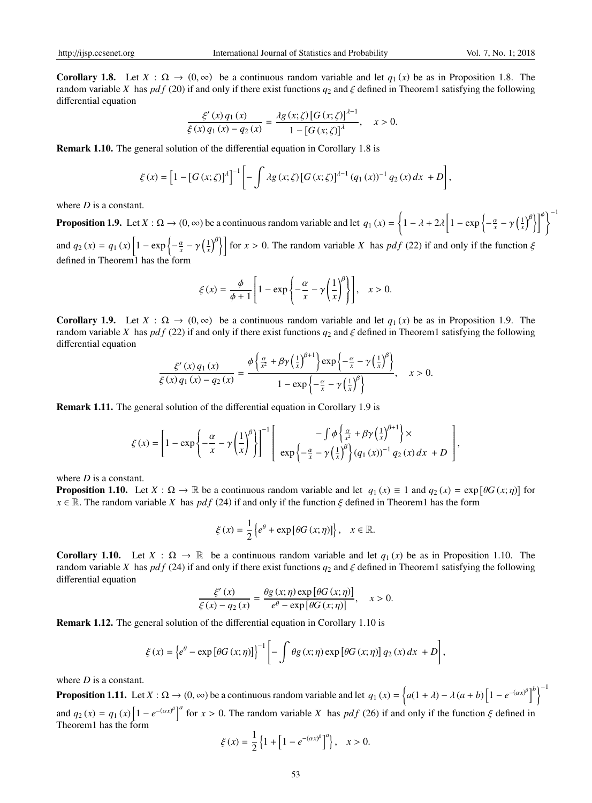**Corollary 1.8.** Let  $X : \Omega \to (0, \infty)$  be a continuous random variable and let  $q_1(x)$  be as in Proposition 1.8. The random variable *X* has *pdf* (20) if and only if there exist functions  $q_2$  and  $\xi$  defined in Theorem1 satisfying the following differential equation

$$
\frac{\xi'(x)q_1(x)}{\xi(x)q_1(x) - q_2(x)} = \frac{\lambda g(x;\zeta) [G(x;\zeta)]^{\lambda-1}}{1 - [G(x;\zeta)]^{\lambda}}, \quad x > 0.
$$

Remark 1.10. The general solution of the differential equation in Corollary 1.8 is

$$
\xi(x) = \left[1 - \left[G(x; \zeta)\right]^{\lambda}\right]^{-1} \left[-\int \lambda g(x; \zeta) \left[G(x; \zeta)\right]^{\lambda - 1} (q_1(x))^{-1} q_2(x) dx + D\right],
$$

where *D* is a constant.

**Proposition 1.9.** Let  $X : \Omega \to (0, \infty)$  be a continuous random variable and let  $q_1(x) = \left\{1 - \lambda + 2\lambda \left[1 - \exp\left\{-\frac{\alpha}{x} - \gamma \left(\frac{1}{x}\right)^{\beta}\right\}\right]^{\phi}\right\}^{-1}$ and  $q_2(x) = q_1(x) \left[ 1 - \exp \left\{ -\frac{\alpha}{x} - \gamma \left( \frac{1}{x} \right)^{\beta} \right\} \right]$  for  $x > 0$ . The random variable *X* has *pdf* (22) if and only if the function  $\xi$ defined in Theorem1 has the form

$$
\xi(x) = \frac{\phi}{\phi + 1} \left[ 1 - \exp\left\{ -\frac{\alpha}{x} - \gamma \left( \frac{1}{x} \right)^{\beta} \right\} \right], \quad x > 0.
$$

Corollary 1.9. Let  $X : \Omega \to (0, \infty)$  be a continuous random variable and let  $q_1(x)$  be as in Proposition 1.9. The random variable *X* has *pdf* (22) if and only if there exist functions  $q_2$  and  $\zeta$  defined in Theorem1 satisfying the following differential equation

$$
\frac{\xi'(x)q_1(x)}{\xi(x)q_1(x)-q_2(x)} = \frac{\phi\left\{\frac{\alpha}{x^2}+\beta\gamma\left(\frac{1}{x}\right)^{\beta+1}\right\}\exp\left\{-\frac{\alpha}{x}-\gamma\left(\frac{1}{x}\right)^{\beta}\right\}}{1-\exp\left\{-\frac{\alpha}{x}-\gamma\left(\frac{1}{x}\right)^{\beta}\right\}}, \quad x>0.
$$

Remark 1.11. The general solution of the differential equation in Corollary 1.9 is

$$
\xi(x) = \left[1 - \exp\left\{-\frac{\alpha}{x} - \gamma \left(\frac{1}{x}\right)^{\beta}\right\}\right]^{-1} \left[\exp\left\{-\frac{\alpha}{x} - \gamma \left(\frac{1}{x}\right)^{\beta}\right\} (\alpha_1(x))^{-1} \alpha_2(x) dx + D\right],
$$

where *D* is a constant.

**Proposition 1.10.** Let  $X : \Omega \to \mathbb{R}$  be a continuous random variable and let  $q_1(x) \equiv 1$  and  $q_2(x) = \exp[\theta G(x;\eta)]$  for  $x \in \mathbb{R}$ . The random variable *X* has *pdf* (24) if and only if the function  $\xi$  defined in Theorem1 has the form

$$
\xi(x) = \frac{1}{2} \left\{ e^{\theta} + \exp \left[ \theta G(x; \eta) \right] \right\}, \quad x \in \mathbb{R}.
$$

**Corollary 1.10.** Let  $X : \Omega \to \mathbb{R}$  be a continuous random variable and let  $q_1(x)$  be as in Proposition 1.10. The random variable *X* has *pdf* (24) if and only if there exist functions  $q_2$  and  $\xi$  defined in Theorem1 satisfying the following differential equation

$$
\frac{\xi'(x)}{\xi(x) - q_2(x)} = \frac{\theta g(x; \eta) \exp [\theta G(x; \eta)]}{e^{\theta} - \exp [\theta G(x; \eta)]}, \quad x > 0.
$$

Remark 1.12. The general solution of the differential equation in Corollary 1.10 is

$$
\xi(x) = \left\{ e^{\theta} - \exp \left[ \theta G(x; \eta) \right] \right\}^{-1} \left[ - \int \theta g(x; \eta) \exp \left[ \theta G(x; \eta) \right] q_2(x) dx + D \right],
$$

where *D* is a constant.

**Proposition 1.11.** Let  $X : \Omega \to (0, \infty)$  be a continuous random variable and let  $q_1(x) = \left\{a(1 + \lambda) - \lambda(a + b)\left[1 - e^{-(\alpha x)^{\beta}}\right]^b\right\}^{-1}$ and  $q_2(x) = q_1(x) \left[1 - e^{-(ax)^{\beta}}\right]^a$  for  $x > 0$ . The random variable *X* has *pdf* (26) if and only if the function  $\xi$  defined in Theorem1 has the form

$$
\xi(x) = \frac{1}{2} \left\{ 1 + \left[ 1 - e^{-(\alpha x)^{\beta}} \right]^{a} \right\}, \quad x > 0.
$$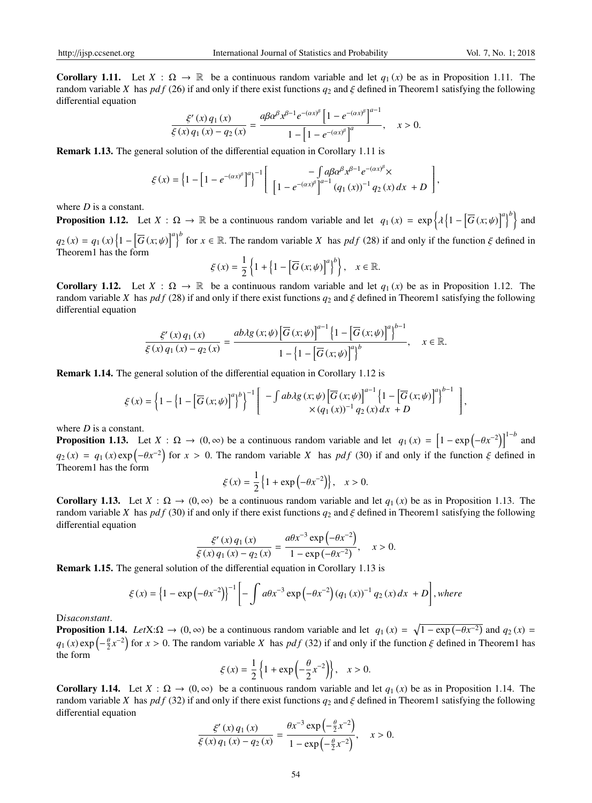**Corollary 1.11.** Let  $X : \Omega \to \mathbb{R}$  be a continuous random variable and let  $q_1(x)$  be as in Proposition 1.11. The random variable *X* has *pdf* (26) if and only if there exist functions  $q_2$  and  $\xi$  defined in Theorem1 satisfying the following differential equation

$$
\frac{\xi'(x) q_1(x)}{\xi(x) q_1(x) - q_2(x)} = \frac{a \beta \alpha^{\beta} x^{\beta - 1} e^{-(\alpha x)^{\beta}} \left[ 1 - e^{-(\alpha x)^{\beta}} \right]^{a-1}}{1 - \left[ 1 - e^{-(\alpha x)^{\beta}} \right]^a}, \quad x > 0.
$$

Remark 1.13. The general solution of the differential equation in Corollary 1.11 is

$$
\xi(x) = \left\{1 - \left[1 - e^{-(\alpha x)^{\beta}}\right]^{a}\right\}^{-1} \left[\begin{array}{c} -\int a\beta \alpha^{\beta} x^{\beta-1} e^{-(\alpha x)^{\beta}} \times \\ \left[1 - e^{-(\alpha x)^{\beta}}\right]^{a-1} (q_1(x))^{-1} q_2(x) dx + D \end{array}\right],
$$

where *D* is a constant.

**Proposition 1.12.** Let  $X : \Omega \to \mathbb{R}$  be a continuous random variable and let  $q_1(x) = \exp\left\{\lambda \left\{1 - \left[\overline{G}(x; \psi)\right]^a\right\}^b\right\}$  and  $q_2(x) = q_1(x) \left\{1 - \left[\overline{G}(x; \psi)\right]^a\right\}^b$  for  $x \in \mathbb{R}$ . The random variable *X* has *pdf* (28) if and only if the function  $\xi$  defined in Theorem<sub>1</sub> has the form

$$
\xi(x) = \frac{1}{2} \left\{ 1 + \left\{ 1 - \left[ \overline{G} \left( x; \psi \right) \right]^a \right\}^b \right\}, \quad x \in \mathbb{R}.
$$

Corollary 1.12. Let  $X : \Omega \to \mathbb{R}$  be a continuous random variable and let  $q_1(x)$  be as in Proposition 1.12. The random variable *X* has *pdf* (28) if and only if there exist functions  $q_2$  and  $\xi$  defined in Theorem1 satisfying the following differential equation

$$
\frac{\xi'(x)q_1(x)}{\xi(x)q_1(x)-q_2(x)} = \frac{ab\lambda g(x;\psi)\left[\overline{G}(x;\psi)\right]^{a-1}\left\{1-\left[\overline{G}(x;\psi)\right]^{a}\right\}^{b-1}}{1-\left\{1-\left[\overline{G}(x;\psi)\right]^{a}\right\}^{b}}, \quad x \in \mathbb{R}.
$$

Remark 1.14. The general solution of the differential equation in Corollary 1.12 is

$$
\xi(x) = \left\{1 - \left[1 - \left[\overline{G}(x; \psi)\right]^a\right]^b\right\}^{-1} \left[\begin{array}{c} -\int ab\lambda g\left(x; \psi\right) \left[\overline{G}(x; \psi)\right]^{a-1} \left\{1 - \left[\overline{G}(x; \psi)\right]^a\right\}^{b-1} \\ \times (q_1(x))^{-1} q_2(x) dx + D \end{array}\right],
$$

where *D* is a constant.

**Proposition 1.13.** Let  $X : \Omega \to (0, \infty)$  be a continuous random variable and let  $q_1(x) = \left[1 - \exp(-\theta x^{-2})\right]^{1-b}$  and  $q_2(x) = q_1(x) \exp(-\theta x^{-2})$  for  $x > 0$ . The random variable *X* has *pdf* (30) if and only if the function  $\xi$  defined in Theorem1 has the form

$$
\xi(x) = \frac{1}{2} \{ 1 + \exp(-\theta x^{-2}) \}, \quad x > 0.
$$

**Corollary 1.13.** Let  $X : \Omega \to (0, \infty)$  be a continuous random variable and let  $q_1(x)$  be as in Proposition 1.13. The random variable *X* has *pdf* (30) if and only if there exist functions  $q_2$  and  $\zeta$  defined in Theorem1 satisfying the following differential equation

$$
\frac{\xi'(x) q_1(x)}{\xi(x) q_1(x) - q_2(x)} = \frac{a \theta x^{-3} \exp(-\theta x^{-2})}{1 - \exp(-\theta x^{-2})}, \quad x > 0.
$$

Remark 1.15. The general solution of the differential equation in Corollary 1.13 is

$$
\xi(x) = \left\{1 - \exp\left(-\theta x^{-2}\right)\right\}^{-1} \left[-\int a\theta x^{-3} \exp\left(-\theta x^{-2}\right) \left(q_1\left(x\right)\right)^{-1} q_2\left(x\right) dx + D\right], where
$$

D*isaconstant*.

**Proposition 1.14.** *Let* $X:\Omega \to (0,\infty)$  be a continuous random variable and let  $q_1(x) = \sqrt{1 - \exp(-\theta x^{-2})}$  and  $q_2(x) =$  $q_1(x) \exp\left(-\frac{\theta}{2}x^{-2}\right)$  for  $x > 0$ . The random variable *X* has *pdf* (32) if and only if the function  $\xi$  defined in Theorem1 has the form

$$
\xi(x) = \frac{1}{2} \left\{ 1 + \exp\left(-\frac{\theta}{2}x^{-2}\right) \right\}, \quad x > 0.
$$

**Corollary 1.14.** Let  $X : \Omega \to (0, \infty)$  be a continuous random variable and let  $q_1(x)$  be as in Proposition 1.14. The random variable *X* has *pdf* (32) if and only if there exist functions  $q_2$  and  $\xi$  defined in Theorem1 satisfying the following differential equation

$$
\frac{\xi'(x) q_1(x)}{\xi(x) q_1(x) - q_2(x)} = \frac{\theta x^{-3} \exp\left(-\frac{\theta}{2} x^{-2}\right)}{1 - \exp\left(-\frac{\theta}{2} x^{-2}\right)}, \quad x > 0.
$$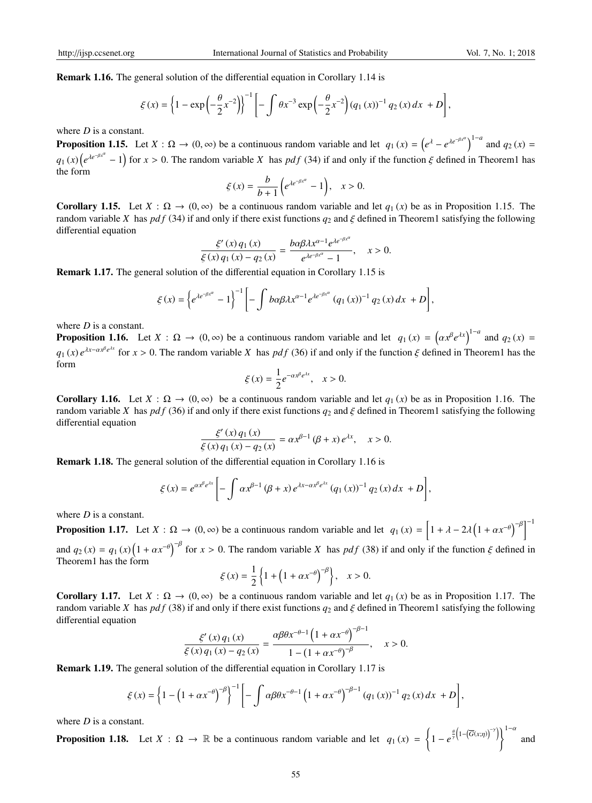Remark 1.16. The general solution of the differential equation in Corollary 1.14 is

$$
\xi(x) = \left\{1 - \exp\left(-\frac{\theta}{2}x^{-2}\right)\right\}^{-1} \left[-\int \theta x^{-3} \exp\left(-\frac{\theta}{2}x^{-2}\right) (q_1(x))^{-1} q_2(x) dx + D\right],
$$

where *D* is a constant.

**Proposition 1.15.** Let  $X : \Omega \to (0, \infty)$  be a continuous random variable and let  $q_1(x) = (e^{\lambda} - e^{\lambda e^{-\beta x^{\alpha}}})^{1-a}$  and  $q_2(x) =$  $q_1(x) \left( e^{\lambda e^{-\beta x^{\alpha}}} - 1 \right)$  for  $x > 0$ . The random variable *X* has *pdf* (34) if and only if the function  $\xi$  defined in Theorem1 has the form

$$
\xi(x) = \frac{b}{b+1} \left( e^{\lambda e^{-\beta x^{\alpha}}} - 1 \right), \quad x > 0.
$$

**Corollary 1.15.** Let  $X : \Omega \to (0, \infty)$  be a continuous random variable and let  $q_1(x)$  be as in Proposition 1.15. The random variable *X* has *pdf* (34) if and only if there exist functions  $q_2$  and  $\xi$  defined in Theorem1 satisfying the following differential equation

$$
\frac{\xi'(x) q_1(x)}{\xi(x) q_1(x) - q_2(x)} = \frac{b \alpha \beta \lambda x^{\alpha - 1} e^{\lambda e^{-\beta x^{\alpha}}}}{e^{\lambda e^{-\beta x^{\alpha}}} - 1}, \quad x > 0.
$$

Remark 1.17. The general solution of the differential equation in Corollary 1.15 is

$$
\xi(x) = \left\{ e^{\lambda e^{-\beta x^{\alpha}}} - 1 \right\}^{-1} \left[ - \int b\alpha \beta \lambda x^{\alpha-1} e^{\lambda e^{-\beta x^{\alpha}}} (q_1(x))^{-1} q_2(x) dx + D \right],
$$

where *D* is a constant.

**Proposition 1.16.** Let  $X : \Omega \to (0, \infty)$  be a continuous random variable and let  $q_1(x) = (\alpha x^{\beta} e^{\lambda x})^{1-a}$  and  $q_2(x) =$  $q_1(x)e^{\lambda x-\alpha x^{\beta}e^{\lambda x}}$  for  $x>0$ . The random variable *X* has  $pdf(36)$  if and only if the function  $\xi$  defined in Theorem1 has the form

$$
\xi(x) = \frac{1}{2}e^{-\alpha x^{\beta}e^{\lambda x}}, \quad x > 0.
$$

**Corollary 1.16.** Let  $X : \Omega \to (0, \infty)$  be a continuous random variable and let  $q_1(x)$  be as in Proposition 1.16. The random variable *X* has *pdf* (36) if and only if there exist functions  $q_2$  and  $\xi$  defined in Theorem1 satisfying the following differential equation

$$
\frac{\xi'(x) q_1(x)}{\xi(x) q_1(x) - q_2(x)} = \alpha x^{\beta - 1} (\beta + x) e^{\lambda x}, \quad x > 0.
$$

Remark 1.18. The general solution of the differential equation in Corollary 1.16 is

$$
\xi(x) = e^{\alpha x^{\beta} e^{\lambda x}} \left[ - \int \alpha x^{\beta - 1} (\beta + x) e^{\lambda x - \alpha x^{\beta} e^{\lambda x}} (q_1(x))^{-1} q_2(x) dx + D \right],
$$

where *D* is a constant.

**Proposition 1.17.** Let  $X : \Omega \to (0, \infty)$  be a continuous random variable and let  $q_1(x) = \left[1 + \lambda - 2\lambda\left(1 + \alpha x^{-\theta}\right)^{-\beta}\right]^{-1}$ and  $q_2(x) = q_1(x) \left(1 + \alpha x^{-\theta}\right)^{-\beta}$  for  $x > 0$ . The random variable *X* has *pdf* (38) if and only if the function  $\xi$  defined in

Theorem1 has the form

$$
\xi(x) = \frac{1}{2} \left\{ 1 + \left( 1 + \alpha x^{-\theta} \right)^{-\beta} \right\}, \quad x > 0.
$$

**Corollary 1.17.** Let  $X : \Omega \to (0, \infty)$  be a continuous random variable and let  $q_1(x)$  be as in Proposition 1.17. The random variable *X* has *pdf* (38) if and only if there exist functions  $q_2$  and  $\xi$  defined in Theorem1 satisfying the following differential equation  $\overline{R}$ −1

$$
\frac{\xi'(x) q_1(x)}{\xi(x) q_1(x) - q_2(x)} = \frac{\alpha \beta \theta x^{-\theta - 1} \left(1 + \alpha x^{-\theta}\right)^{-\beta - 1}}{1 - (1 + \alpha x^{-\theta})^{-\beta}}, \quad x > 0.
$$

Remark 1.19. The general solution of the differential equation in Corollary 1.17 is

$$
\xi(x) = \left\{1 - \left(1 + \alpha x^{-\theta}\right)^{-\beta}\right\}^{-1} \left[-\int \alpha \beta \theta x^{-\theta-1} \left(1 + \alpha x^{-\theta}\right)^{-\beta-1} (q_1(x))^{-1} q_2(x) dx + D\right],
$$

where *D* is a constant.

**Proposition 1.18.** Let  $X : \Omega \to \mathbb{R}$  be a continuous random variable and let  $q_1(x) = \left\{1 - e^{\frac{\theta}{\gamma} \left(1 - (\overline{G}(x;\eta))^{-\gamma}\right)}\right\}^{1-\alpha}$  and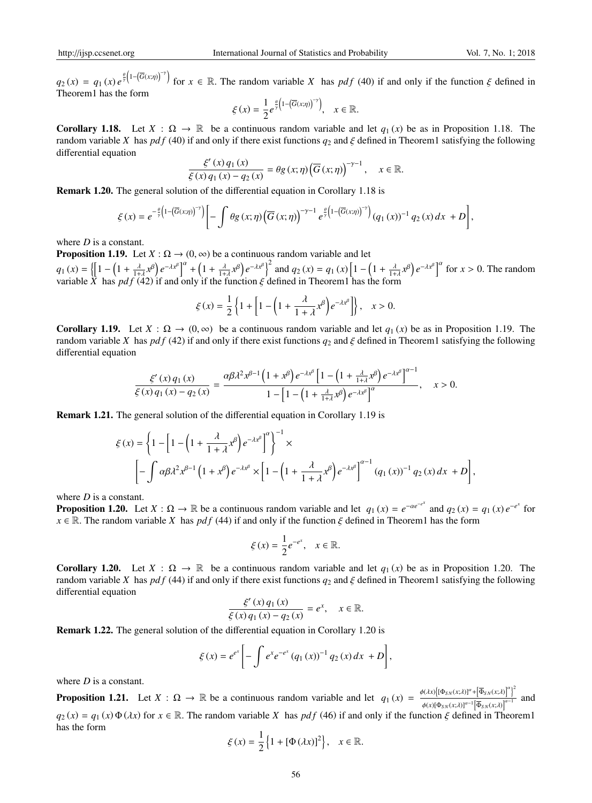$q_2(x) = q_1(x) e^{\frac{\theta}{\gamma} (1 - (\overline{G}(x, \eta))^{-\gamma}}$  for  $x \in \mathbb{R}$ . The random variable *X* has *pdf* (40) if and only if the function  $\xi$  defined in Theorem1 has the form

$$
\xi(x) = \frac{1}{2}e^{\frac{\theta}{\gamma}\left(1-\left(\overline{G}(x;\eta)\right)^{-\gamma}\right)}, \quad x \in \mathbb{R}.
$$

Corollary 1.18. Let  $X : \Omega \to \mathbb{R}$  be a continuous random variable and let  $q_1(x)$  be as in Proposition 1.18. The random variable *X* has *pdf* (40) if and only if there exist functions  $q_2$  and  $\xi$  defined in Theorem1 satisfying the following differential equation

$$
\frac{\xi'(x) q_1(x)}{\xi(x) q_1(x) - q_2(x)} = \theta g(x; \eta) (\overline{G}(x; \eta))^{-\gamma - 1}, \quad x \in \mathbb{R}.
$$

Remark 1.20. The general solution of the differential equation in Corollary 1.18 is

$$
\xi(x) = e^{-\frac{\theta}{\gamma}\left(1-\left(\overline{G}(x,\eta)\right)^{-\gamma}\right)} \left[-\int \theta g\left(x;\eta\right) \left(\overline{G}\left(x;\eta\right)\right)^{-\gamma-1} e^{\frac{\theta}{\gamma}\left(1-\left(\overline{G}(x,\eta)\right)^{-\gamma}\right)} \left(q_1\left(x\right)\right)^{-1} q_2\left(x\right) dx + D\right],
$$

where *D* is a constant.

**Proposition 1.19.** Let  $X : \Omega \to (0, \infty)$  be a continuous random variable and let

 $q_1(x) = \left\{ \left[1 - \left(1 + \frac{\lambda}{1+\lambda}x^{\beta}\right)e^{-\lambda x^{\beta}}\right]^{\alpha} + \left(1 + \frac{\lambda}{1+\lambda}x^{\beta}\right)e^{-\lambda x^{\beta}}\right\}^2$  and  $q_2(x) = q_1(x)\left[1 - \left(1 + \frac{\lambda}{1+\lambda}x^{\beta}\right)e^{-\lambda x^{\beta}}\right]^{\alpha}$  for  $x > 0$ . The random variable  $\tilde{X}$  has  $pdf(42)$  if and only if the function  $\xi$  defined in Theorem1 has the form

$$
\xi(x) = \frac{1}{2} \left\{ 1 + \left[ 1 - \left( 1 + \frac{\lambda}{1 + \lambda} x^{\beta} \right) e^{-\lambda x^{\beta}} \right] \right\}, \quad x > 0.
$$

**Corollary 1.19.** Let  $X : \Omega \to (0, \infty)$  be a continuous random variable and let  $q_1(x)$  be as in Proposition 1.19. The random variable *X* has *pdf* (42) if and only if there exist functions  $q_2$  and  $\zeta$  defined in Theorem1 satisfying the following differential equation

$$
\frac{\xi'(x)q_1(x)}{\xi(x)q_1(x)-q_2(x)}=\frac{\alpha\beta\lambda^2 x^{\beta-1}\left(1+x^{\beta}\right)e^{-\lambda x^{\beta}}\left[1-\left(1+\frac{\lambda}{1+\lambda}x^{\beta}\right)e^{-\lambda x^{\beta}}\right]^{\alpha-1}}{1-\left[1-\left(1+\frac{\lambda}{1+\lambda}x^{\beta}\right)e^{-\lambda x^{\beta}}\right]^{\alpha}},\quad x>0.
$$

Remark 1.21. The general solution of the differential equation in Corollary 1.19 is

$$
\xi(x) = \left\{ 1 - \left[ 1 - \left( 1 + \frac{\lambda}{1 + \lambda} x^{\beta} \right) e^{-\lambda x^{\beta}} \right]^{\alpha} \right\}^{-1} \times
$$
  

$$
\left[ - \int \alpha \beta \lambda^{2} x^{\beta - 1} \left( 1 + x^{\beta} \right) e^{-\lambda x^{\beta}} \times \left[ 1 - \left( 1 + \frac{\lambda}{1 + \lambda} x^{\beta} \right) e^{-\lambda x^{\beta}} \right]^{\alpha - 1} (q_{1}(x))^{-1} q_{2}(x) dx + D \right],
$$

where *D* is a constant.

**Proposition 1.20.** Let  $X : \Omega \to \mathbb{R}$  be a continuous random variable and let  $q_1(x) = e^{-\alpha e^{-x^x}}$  and  $q_2(x) = q_1(x) e^{-e^x}$  for  $x \in \mathbb{R}$ . The random variable *X* has *pdf* (44) if and only if the function  $\xi$  defined in Theorem1 has the form

$$
\xi(x) = \frac{1}{2}e^{-e^x}, \quad x \in \mathbb{R}.
$$

**Corollary 1.20.** Let  $X : \Omega \to \mathbb{R}$  be a continuous random variable and let  $q_1(x)$  be as in Proposition 1.20. The random variable *X* has *pdf* (44) if and only if there exist functions  $q_2$  and  $\zeta$  defined in Theorem1 satisfying the following differential equation

$$
\frac{\xi'(x) q_1(x)}{\xi(x) q_1(x) - q_2(x)} = e^x, \quad x \in \mathbb{R}.
$$

Remark 1.22. The general solution of the differential equation in Corollary 1.20 is

$$
\xi(x) = e^{e^x} \left[ - \int e^x e^{-e^x} (q_1(x))^{-1} q_2(x) dx + D \right],
$$

where *D* is a constant.

**Proposition 1.21.** Let  $X : \Omega \to \mathbb{R}$  be a continuous random variable and let  $q_1(x) = \frac{\phi(\lambda x) \left[ (\Phi_{SN}(x, \lambda))^{\alpha} + (\overline{\Phi}_{SN}(x, \lambda))^{\alpha} \right]^2}{\left| \lambda \right| \left| \lambda \right|^{1/2}}$  $\frac{\phi(x)[\Phi_{SN}(x;\lambda)]^{a-1} [\Phi_{SN}(x;\lambda)]^{a-1}}{\phi(x)[\Phi_{SN}(x;\lambda)]^{a-1} [\Phi_{SN}(x;\lambda)]^{a-1}}$  and  $q_2(x) = q_1(x) \Phi(\lambda x)$  for  $x \in \mathbb{R}$ . The random variable *X* has *pdf* (46) if and only if the function  $\xi$  defined in Theorem1 has the form

$$
\xi(x) = \frac{1}{2} \left\{ 1 + [\Phi(\lambda x)]^2 \right\}, \quad x \in \mathbb{R}.
$$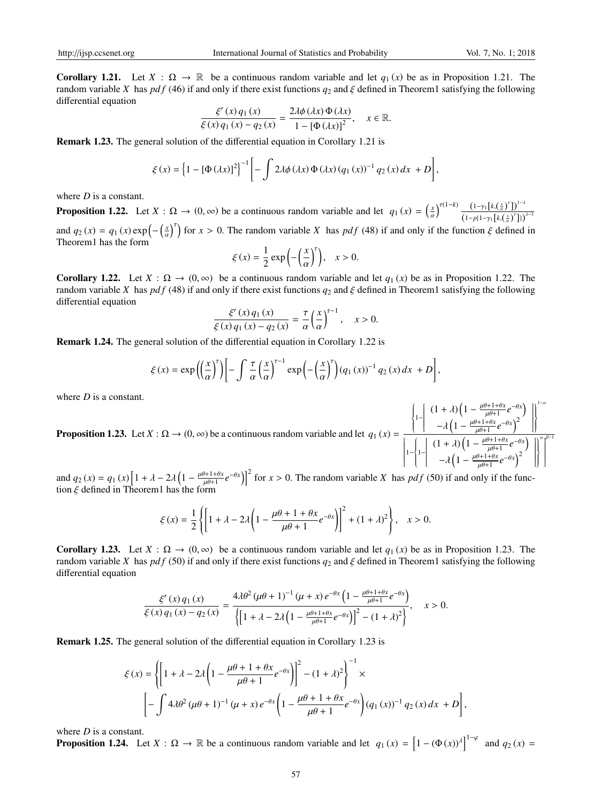**Corollary 1.21.** Let  $X : \Omega \to \mathbb{R}$  be a continuous random variable and let  $q_1(x)$  be as in Proposition 1.21. The random variable *X* has *pdf* (46) if and only if there exist functions  $q_2$  and  $\xi$  defined in Theorem1 satisfying the following differential equation

$$
\frac{\xi'(x) q_1(x)}{\xi(x) q_1(x) - q_2(x)} = \frac{2\lambda \phi(\lambda x) \Phi(\lambda x)}{1 - [\Phi(\lambda x)]^2}, \quad x \in \mathbb{R}.
$$

Remark 1.23. The general solution of the differential equation in Corollary 1.21 is

$$
\xi(x) = \left\{1 - [\Phi(\lambda x)]^2\right\}^{-1} \left[-\int 2\lambda \phi(\lambda x) \Phi(\lambda x) (q_1(x))^{-1} q_2(x) dx + D\right],
$$

where *D* is a constant.

**Proposition 1.22.** Let  $X : \Omega \to (0, \infty)$  be a continuous random variable and let  $q_1(x) = \left(\frac{x}{\alpha}\right)^{\tau(1-k)} \frac{(1-\gamma_1[k,(\frac{x}{\alpha})^{\tau}])^{1-\lambda}}{(1-n(1-\gamma_1[k,(\frac{x}{\alpha})^{\tau}]))^{1-\lambda}}$  $\left(1-p\{1-\gamma_1\left[k,\left(\frac{x}{\alpha}\right)^{\tau}\right]\}\right)^{\lambda-3}$ and  $q_2(x) = q_1(x) \exp\left(-\left(\frac{x}{a}\right)^r\right)$  for  $x > 0$ . The random variable *X* has *pdf* (48) if and only if the function  $\xi$  defined in Theorem1 has the form

$$
\xi(x) = \frac{1}{2} \exp\left(-\left(\frac{x}{\alpha}\right)^{r}\right), \quad x > 0.
$$

**Corollary 1.22.** Let  $X : \Omega \to (0, \infty)$  be a continuous random variable and let  $q_1(x)$  be as in Proposition 1.22. The random variable *X* has *pdf* (48) if and only if there exist functions  $q_2$  and  $\xi$  defined in Theorem1 satisfying the following differential equation

$$
\frac{\xi'(x) q_1(x)}{\xi(x) q_1(x) - q_2(x)} = \frac{\tau}{\alpha} \left(\frac{x}{\alpha}\right)^{\tau - 1}, \quad x > 0.
$$

Remark 1.24. The general solution of the differential equation in Corollary 1.22 is

$$
\xi(x) = \exp\left(\left(\frac{x}{\alpha}\right)^r\right) \left[ -\int \frac{\tau}{\alpha} \left(\frac{x}{\alpha}\right)^{r-1} \exp\left(-\left(\frac{x}{\alpha}\right)^r\right) (q_1(x))^{-1} q_2(x) dx + D \right],
$$

where *D* is a constant.

**Proposition 1.23.** Let  $X : \Omega \to (0, \infty)$  be a continuous random variable and let  $q_1(x) =$  $\Bigg\{$  $\left\{\frac{1}{2}\right\}$  $\left[ (1 + \lambda) \left( 1 - \frac{\mu \theta + 1 + \theta \lambda}{\mu \theta + 1} \right) \right]$   $\frac{\theta+1+\theta x}{\mu\theta+1}e^{-\theta x}$  $-\lambda \left(1 - \frac{\mu\theta + 1 + \theta x}{\mu\theta + 1}\right)$  $\frac{\partial+1+\theta x}{\partial+1}e^{-\theta x}\Big)^2$  $\mathbb{R}$   $\frac{1}{2}$  $\overline{\phantom{a}}$ 1−  $\left\{\right.$  $\begin{cases} 1- \end{cases}$  $\left[ (1 + \lambda) \left( 1 - \frac{\mu \theta + 1 + \theta \lambda}{\mu \theta + 1} \right) \right]$  $\begin{array}{c} \hline \rule{0pt}{2.2ex} \\[-2pt] \rule{0pt}{2.2ex} \end{array}$  $\frac{\partial+1+\theta x}{\mu\theta+1}e^{-\theta x}$  $-\lambda \left(1 - \frac{\mu \theta + 1 + \theta x}{\mu \theta + 1} e^{-\theta x}\right)^2$  $\mu\theta+1$  $\mathbb{R}$   $\sqrt{2}$ α β−1 

and  $q_2(x) = q_1(x) \left[ 1 + \lambda - 2\lambda \left( 1 - \frac{\mu\theta + 1 + \theta x}{\mu\theta + 1} \right) \right]$  $\left[\frac{\partial^2 h}{\partial t^2 + 1} e^{-\theta x} \right]_0^2$  for  $x > 0$ . The random variable *X* has *pdf* (50) if and only if the function  $\xi$  defined in Theorem1 has the form

$$
\xi(x) = \frac{1}{2} \left\{ \left[ 1 + \lambda - 2\lambda \left( 1 - \frac{\mu\theta + 1 + \theta x}{\mu\theta + 1} e^{-\theta x} \right) \right]^2 + (1 + \lambda)^2 \right\}, \quad x > 0.
$$

**Corollary 1.23.** Let  $X : \Omega \to (0, \infty)$  be a continuous random variable and let  $q_1(x)$  be as in Proposition 1.23. The random variable *X* has *pdf* (50) if and only if there exist functions  $q_2$  and  $\xi$  defined in Theorem1 satisfying the following differential equation

$$
\frac{\xi'(x) q_1(x)}{\xi(x) q_1(x) - q_2(x)} = \frac{4\lambda \theta^2 (\mu \theta + 1)^{-1} (\mu + x) e^{-\theta x} \left(1 - \frac{\mu \theta + 1 + \theta x}{\mu \theta + 1} e^{-\theta x}\right)}{\left\{ \left[1 + \lambda - 2\lambda \left(1 - \frac{\mu \theta + 1 + \theta x}{\mu \theta + 1} e^{-\theta x}\right)\right]^2 - (1 + \lambda)^2 \right\}}, \quad x > 0.
$$

Remark 1.25. The general solution of the differential equation in Corollary 1.23 is

$$
\xi(x) = \left\{ \left[ 1 + \lambda - 2\lambda \left( 1 - \frac{\mu\theta + 1 + \theta x}{\mu\theta + 1} e^{-\theta x} \right) \right]^2 - (1 + \lambda)^2 \right\}^{-1} \times
$$

$$
\left[ -\int 4\lambda \theta^2 (\mu\theta + 1)^{-1} (\mu + x) e^{-\theta x} \left( 1 - \frac{\mu\theta + 1 + \theta x}{\mu\theta + 1} e^{-\theta x} \right) (q_1(x))^{-1} q_2(x) dx + D \right],
$$

where *D* is a constant.

**Proposition 1.24.** Let  $X : \Omega \to \mathbb{R}$  be a continuous random variable and let  $q_1(x) = [1 - (\Phi(x))^{\lambda}]^{1-\varphi}$  and  $q_2(x) =$ 

1−α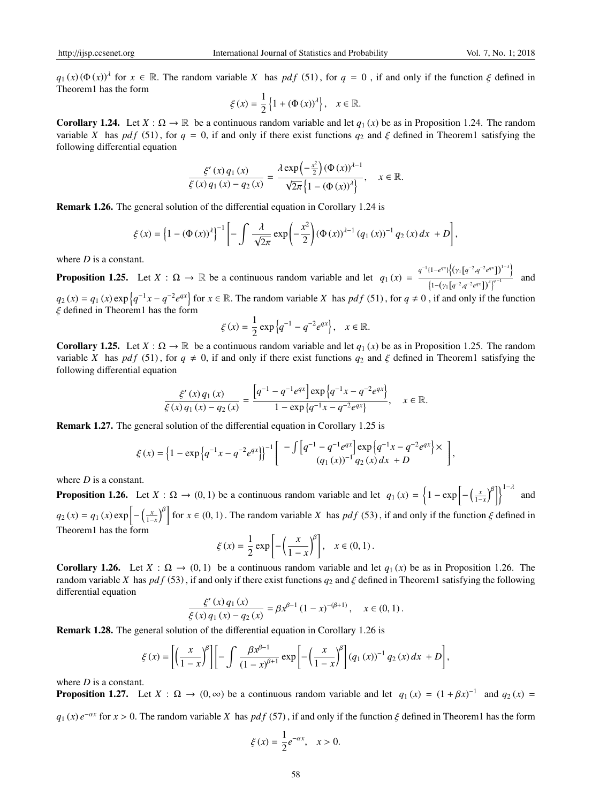$q_1(x)$  ( $\Phi(x)$ )<sup>λ</sup> for  $x \in \mathbb{R}$ . The random variable *X* has *pdf* (51), for  $q = 0$ , if and only if the function  $\xi$  defined in Theorem1 has the form

$$
\xi(x) = \frac{1}{2} \left\{ 1 + (\Phi(x))^{\lambda} \right\}, \quad x \in \mathbb{R}.
$$

Corollary 1.24. Let  $X : \Omega \to \mathbb{R}$  be a continuous random variable and let  $q_1(x)$  be as in Proposition 1.24. The random variable *X* has *pdf* (51), for  $q = 0$ , if and only if there exist functions  $q_2$  and  $\xi$  defined in Theorem1 satisfying the following differential equation

$$
\frac{\xi'(x) q_1(x)}{\xi(x) q_1(x) - q_2(x)} = \frac{\lambda \exp\left(-\frac{x^2}{2}\right) (\Phi(x))^{d-1}}{\sqrt{2\pi} \{1 - (\Phi(x))^{\lambda}\}}, \quad x \in \mathbb{R}.
$$

Remark 1.26. The general solution of the differential equation in Corollary 1.24 is

$$
\xi(x) = \left\{1 - (\Phi(x))^{\lambda}\right\}^{-1} \left[ -\int \frac{\lambda}{\sqrt{2\pi}} \exp\left(-\frac{x^2}{2}\right) (\Phi(x))^{\lambda - 1} (q_1(x))^{-1} q_2(x) dx + D \right],
$$

where *D* is a constant.

**Proposition 1.25.** Let  $X : \Omega \to \mathbb{R}$  be a continuous random variable and let  $q_1(x) = \frac{q^{-1}(1-e^{qx})\left\{\left(\gamma_1\left[q^{-2}, q^{-2}e^{qx}\right]\right\}^{-\lambda}\right\}}{\left(\gamma_1\left[q^{-2}, q^{-2}e^{qx}\right]\right\}^{-\lambda}}$  $\frac{\left(1-(\gamma_1\left[q^{-2},q^{-2}e^{qx}\right]\right)^{\lambda}\right)^{\varphi-1}}{2\pi\left[q^{-2},q^{-2}e^{qx}\right]^{\lambda}}$  and

 $q_2(x) = q_1(x) \exp\left\{q^{-1}x - q^{-2}e^{qx}\right\}$  for  $x \in \mathbb{R}$ . The random variable *X* has  $pdf(51)$ , for  $q \neq 0$ , if and only if the function  $\xi$  defined in Theorem1 has the form

$$
\xi(x) = \frac{1}{2} \exp \{q^{-1} - q^{-2} e^{qx}\}, \quad x \in \mathbb{R}.
$$

Corollary 1.25. Let  $X : \Omega \to \mathbb{R}$  be a continuous random variable and let  $q_1(x)$  be as in Proposition 1.25. The random variable *X* has *pdf* (51), for  $q \neq 0$ , if and only if there exist functions  $q_2$  and  $\xi$  defined in Theorem1 satisfying the following differential equation

$$
\frac{\xi'(x)q_1(x)}{\xi(x)q_1(x)-q_2(x)} = \frac{\left[q^{-1}-q^{-1}e^{qx}\right]\exp\left\{q^{-1}x-q^{-2}e^{qx}\right\}}{1-\exp\left\{q^{-1}x-q^{-2}e^{qx}\right\}}, \quad x \in \mathbb{R}.
$$

Remark 1.27. The general solution of the differential equation in Corollary 1.25 is

$$
\xi(x) = \left\{1 - \exp\left\{q^{-1}x - q^{-2}e^{qx}\right\}\right\}^{-1} \left[ \begin{array}{c} -\int \left[q^{-1} - q^{-1}e^{qx}\right] \exp\left\{q^{-1}x - q^{-2}e^{qx}\right\} \times \\ (q_1(x))^{-1} q_2(x) dx + D \end{array} \right],
$$

where *D* is a constant.

**Proposition 1.26.** Let  $X : \Omega \to (0, 1)$  be a continuous random variable and let  $q_1(x) = \left\{1 - \exp\left[-\left(\frac{x}{1-x}\right)^{\beta}\right]\right\}^{1-\lambda}$  and  $q_2(x) = q_1(x) \exp\left[-\left(\frac{x}{1-x}\right)^{\beta}\right]$  for  $x \in (0, 1)$ . The random variable *X* has  $pdf(53)$ , if and only if the function  $\xi$  defined in Theorem1 has the form

$$
\xi(x) = \frac{1}{2} \exp\left[-\left(\frac{x}{1-x}\right)^{\beta}\right], \quad x \in (0,1).
$$

**Corollary 1.26.** Let  $X : \Omega \to (0, 1)$  be a continuous random variable and let  $q_1(x)$  be as in Proposition 1.26. The random variable *X* has  $pdf(53)$ , if and only if there exist functions  $q_2$  and  $\xi$  defined in Theorem1 satisfying the following differential equation

$$
\frac{\xi'(x) q_1(x)}{\xi(x) q_1(x) - q_2(x)} = \beta x^{\beta - 1} (1 - x)^{-(\beta + 1)}, \quad x \in (0, 1).
$$

Remark 1.28. The general solution of the differential equation in Corollary 1.26 is

$$
\xi(x) = \left[ \left( \frac{x}{1-x} \right)^{\beta} \right] \left[ - \int \frac{\beta x^{\beta-1}}{(1-x)^{\beta+1}} \exp \left[ - \left( \frac{x}{1-x} \right)^{\beta} \right] (q_1(x))^{-1} q_2(x) dx + D \right],
$$

where *D* is a constant.

**Proposition 1.27.** Let  $X : \Omega \to (0, \infty)$  be a continuous random variable and let  $q_1(x) = (1 + \beta x)^{-1}$  and  $q_2(x) =$ 

 $q_1(x) e^{-\alpha x}$  for  $x > 0$ . The random variable *X* has  $pdf(57)$ , if and only if the function  $\xi$  defined in Theorem1 has the form

$$
\xi(x) = \frac{1}{2}e^{-\alpha x}, \quad x > 0.
$$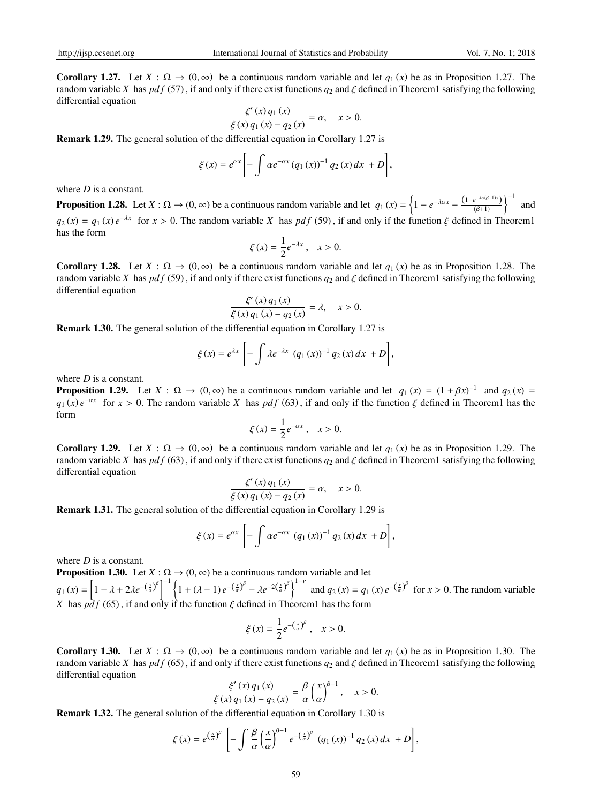**Corollary 1.27.** Let  $X : \Omega \to (0, \infty)$  be a continuous random variable and let  $q_1(x)$  be as in Proposition 1.27. The random variable *X* has *pdf* (57), if and only if there exist functions  $q_2$  and  $\xi$  defined in Theorem1 satisfying the following differential equation

$$
\frac{\xi'(x) q_1(x)}{\xi(x) q_1(x) - q_2(x)} = \alpha, \quad x > 0.
$$

Remark 1.29. The general solution of the differential equation in Corollary 1.27 is

$$
\xi(x) = e^{\alpha x} \left[ - \int \alpha e^{-\alpha x} (q_1(x))^{-1} q_2(x) dx + D \right],
$$

where *D* is a constant.

**Proposition 1.28.** Let  $X : \Omega \to (0, \infty)$  be a continuous random variable and let  $q_1(x) = \left\{1 - e^{-\lambda \alpha x} - \frac{(1 - e^{-\lambda \alpha(\beta + 1)x})}{(\beta + 1)}\right\}^{-1}$  and  $q_2(x) = q_1(x) e^{-\lambda x}$  for  $x > 0$ . The random variable *X* has *pdf* (59), if and only if the function  $\xi$  defined in Theorem1 has the form

$$
\xi(x) = \frac{1}{2}e^{-\lambda x}, \quad x > 0.
$$

**Corollary 1.28.** Let  $X : \Omega \to (0, \infty)$  be a continuous random variable and let  $q_1(x)$  be as in Proposition 1.28. The random variable *X* has *pdf* (59), if and only if there exist functions  $q_2$  and  $\xi$  defined in Theorem1 satisfying the following differential equation

$$
\frac{\xi'(x) q_1(x)}{\xi(x) q_1(x) - q_2(x)} = \lambda, \quad x > 0.
$$

Remark 1.30. The general solution of the differential equation in Corollary 1.27 is

$$
\xi(x) = e^{\lambda x} \left[ - \int \lambda e^{-\lambda x} \left( q_1(x) \right)^{-1} q_2(x) dx + D \right],
$$

where *D* is a constant.

**Proposition 1.29.** Let  $X : \Omega \to (0, \infty)$  be a continuous random variable and let  $q_1(x) = (1 + \beta x)^{-1}$  and  $q_2(x) =$  $q_1(x) e^{-\alpha x}$  for  $x > 0$ . The random variable *X* has *pdf* (63), if and only if the function  $\xi$  defined in Theorem1 has the form

$$
\xi(x) = \frac{1}{2}e^{-\alpha x}, \quad x > 0.
$$

Corollary 1.29. Let  $X : \Omega \to (0, \infty)$  be a continuous random variable and let  $q_1(x)$  be as in Proposition 1.29. The random variable *X* has  $pdf(63)$ , if and only if there exist functions  $q_2$  and  $\xi$  defined in Theorem1 satisfying the following differential equation

$$
\frac{\xi'(x) q_1(x)}{\xi(x) q_1(x) - q_2(x)} = \alpha, \quad x > 0.
$$

Remark 1.31. The general solution of the differential equation in Corollary 1.29 is

$$
\xi(x) = e^{\alpha x} \left[ -\int \alpha e^{-\alpha x} (q_1(x))^{-1} q_2(x) dx + D \right],
$$

where *D* is a constant.

**Proposition 1.30.** Let  $X : \Omega \to (0, \infty)$  be a continuous random variable and let  $q_1(x) = \left[1 - \lambda + 2\lambda e^{-(\frac{x}{\alpha})^{\beta}}\right]^{-1} \left\{1 + (\lambda - 1)e^{-(\frac{x}{\alpha})^{\beta}} - \lambda e^{-2(\frac{x}{\alpha})^{\beta}}\right\}^{1-\nu}$  and  $q_2(x) = q_1(x)e^{-(\frac{x}{\alpha})^{\beta}}$  for  $x > 0$ . The random variable *X* has  $pdf(65)$ , if and only if the function  $\xi$  defined in Theorem1 has the form

$$
\xi(x) = \frac{1}{2}e^{-(\frac{x}{a})^{\beta}}, \quad x > 0.
$$

**Corollary 1.30.** Let  $X : \Omega \to (0, \infty)$  be a continuous random variable and let  $q_1(x)$  be as in Proposition 1.30. The random variable *X* has  $pdf(65)$ , if and only if there exist functions  $q_2$  and  $\xi$  defined in Theorem1 satisfying the following differential equation

$$
\frac{\xi'(x) q_1(x)}{\xi(x) q_1(x) - q_2(x)} = \frac{\beta}{\alpha} \left(\frac{x}{\alpha}\right)^{\beta - 1}, \quad x > 0.
$$

Remark 1.32. The general solution of the differential equation in Corollary 1.30 is

$$
\xi(x) = e^{\left(\frac{x}{\alpha}\right)^{\beta}} \left[ -\int \frac{\beta}{\alpha} \left(\frac{x}{\alpha}\right)^{\beta-1} e^{-\left(\frac{x}{\alpha}\right)^{\beta}} (q_1(x))^{-1} q_2(x) dx + D \right],
$$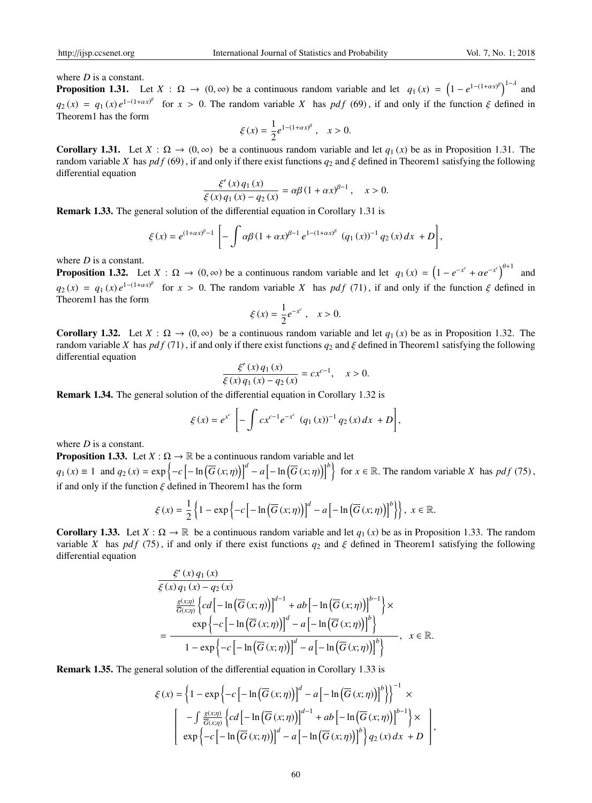where *D* is a constant.

**Proposition 1.31.** Let  $X : \Omega \to (0, \infty)$  be a continuous random variable and let  $q_1(x) = (1 - e^{1 - (1 + \alpha x)^{\beta}})^{1 - \lambda}$  and  $q_2(x) = q_1(x) e^{1-(1+\alpha x)^{\beta}}$  for  $x > 0$ . The random variable *X* has *pdf* (69), if and only if the function  $\xi$  defined in Theorem1 has the form

$$
\xi(x) = \frac{1}{2}e^{1-(1+\alpha x)^{\beta}}, \quad x > 0.
$$

**Corollary 1.31.** Let  $X : \Omega \to (0, \infty)$  be a continuous random variable and let  $q_1(x)$  be as in Proposition 1.31. The random variable *X* has *pdf* (69), if and only if there exist functions  $q_2$  and  $\xi$  defined in Theorem1 satisfying the following differential equation

$$
\frac{\xi'(x) q_1(x)}{\xi(x) q_1(x) - q_2(x)} = \alpha \beta (1 + \alpha x)^{\beta - 1}, \quad x > 0.
$$

Remark 1.33. The general solution of the differential equation in Corollary 1.31 is

$$
\xi(x) = e^{(1+\alpha x)^{\beta}-1} \left[ -\int \alpha \beta (1+\alpha x)^{\beta-1} e^{1-(1+\alpha x)^{\beta}} (q_1(x))^{-1} q_2(x) dx + D \right],
$$

where *D* is a constant.

**Proposition 1.32.** Let  $X : \Omega \to (0, \infty)$  be a continuous random variable and let  $q_1(x) = (1 - e^{-x^c} + \alpha e^{-x^c})^{\theta+1}$  and  $q_2(x) = q_1(x) e^{1-(1+\alpha x)^{\beta}}$  for  $x > 0$ . The random variable *X* has *pdf* (71), if and only if the function  $\xi$  defined in Theorem1 has the form

$$
\xi(x) = \frac{1}{2}e^{-x^c}, \quad x > 0.
$$

**Corollary 1.32.** Let  $X : \Omega \to (0, \infty)$  be a continuous random variable and let  $q_1(x)$  be as in Proposition 1.32. The random variable *X* has *pdf* (71), if and only if there exist functions  $q_2$  and  $\xi$  defined in Theorem1 satisfying the following differential equation

$$
\frac{\xi'(x) q_1(x)}{\xi(x) q_1(x) - q_2(x)} = c x^{c-1}, \quad x > 0.
$$

Remark 1.34. The general solution of the differential equation in Corollary 1.32 is

$$
\xi(x) = e^{x^c} \left[ - \int c x^{c-1} e^{-x^c} (q_1(x))^{-1} q_2(x) dx + D \right],
$$

where *D* is a constant.

**Proposition 1.33.** Let  $X : \Omega \to \mathbb{R}$  be a continuous random variable and let

 $q_1(x) \equiv 1$  and  $q_2(x) = \exp\left\{-c\left[-\ln\left(\overline{G}(x;\eta)\right)\right]^d - a\left[-\ln\left(\overline{G}(x;\eta)\right)\right]^b\right\}$  for  $x \in \mathbb{R}$ . The random variable X has  $pdf(75)$ , if and only if the function  $\xi$  defined in Theorem1 has the form

$$
\xi(x) = \frac{1}{2} \left\{ 1 - \exp \left\{ -c \left[ -\ln \left( \overline{G} \left( x; \eta \right) \right) \right]^{d} - a \left[ -\ln \left( \overline{G} \left( x; \eta \right) \right) \right]^{b} \right\} \right\}, x \in \mathbb{R}.
$$

Corollary 1.33. Let  $X : \Omega \to \mathbb{R}$  be a continuous random variable and let  $q_1(x)$  be as in Proposition 1.33. The random variable *X* has *pdf* (75), if and only if there exist functions  $q_2$  and  $\xi$  defined in Theorem1 satisfying the following differential equation

$$
\frac{\xi'(x) q_1(x)}{\xi(x) q_1(x) - q_2(x)}
$$
\n
$$
\frac{\frac{g(x;\eta)}{\overline{G}(x;\eta)} \left\{ c d \left[ -\ln \left( \overline{G}(x;\eta) \right) \right]^{d-1} + ab \left[ -\ln \left( \overline{G}(x;\eta) \right) \right]^{b-1} \right\} \times
$$
\n
$$
= \frac{\exp \left\{ -c \left[ -\ln \left( \overline{G}(x;\eta) \right) \right]^{d} - a \left[ -\ln \left( \overline{G}(x;\eta) \right) \right]^{b} \right\}}{1 - \exp \left\{ -c \left[ -\ln \left( \overline{G}(x;\eta) \right) \right]^{d} - a \left[ -\ln \left( \overline{G}(x;\eta) \right) \right]^{b} \right\}}, \quad x \in \mathbb{R}.
$$

Remark 1.35. The general solution of the differential equation in Corollary 1.33 is

$$
\xi(x) = \left\{1 - \exp\left\{-c\left[-\ln\left(\overline{G}\left(x;\eta\right)\right)\right]^d - a\left[-\ln\left(\overline{G}\left(x;\eta\right)\right)\right]^b\right\}\right\}^{-1} \times \left[\begin{array}{c} -\int \frac{g(x;\eta)}{\overline{G}(x;\eta)} \left\{cd\left[-\ln\left(\overline{G}\left(x;\eta\right)\right)\right]^{d-1} + ab\left[-\ln\left(\overline{G}\left(x;\eta\right)\right)\right]^{b-1}\right\} \times \\ \exp\left\{-c\left[-\ln\left(\overline{G}\left(x;\eta\right)\right)\right]^d - a\left[-\ln\left(\overline{G}\left(x;\eta\right)\right)\right]^b\right\} q_2(x) dx + D\end{array}\right],
$$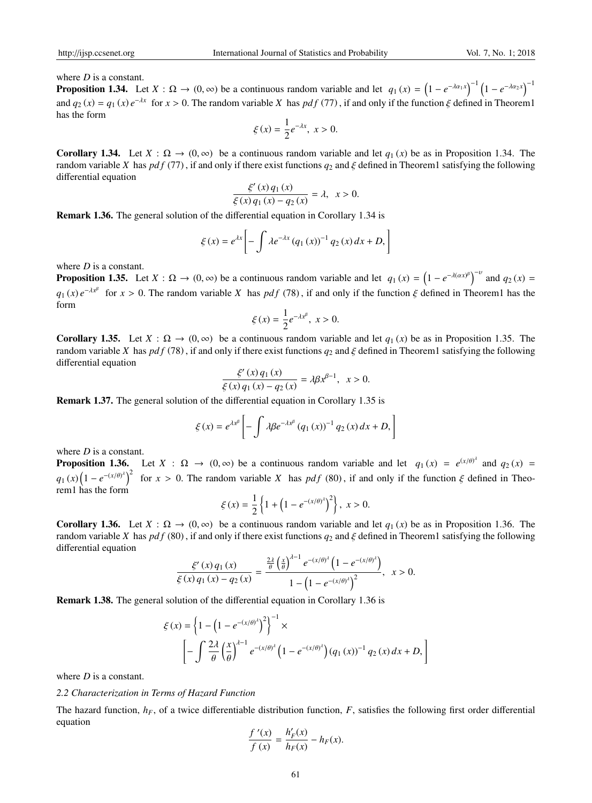where *D* is a constant.

**Proposition 1.34.** Let  $X : \Omega \to (0, \infty)$  be a continuous random variable and let  $q_1(x) = (1 - e^{-\lambda \alpha_1 x})^{-1} (1 - e^{-\lambda \alpha_2 x})^{-1}$ and  $q_2(x) = q_1(x) e^{-\lambda x}$  for  $x > 0$ . The random variable X has  $pdf(77)$ , if and only if the function  $\xi$  defined in Theorem1 has the form

$$
\xi(x) = \frac{1}{2}e^{-\lambda x}, x > 0.
$$

**Corollary 1.34.** Let  $X : \Omega \to (0, \infty)$  be a continuous random variable and let  $q_1(x)$  be as in Proposition 1.34. The random variable *X* has *pd f* (77) , if and only if there exist functions *q*<sup>2</sup> and ξ defined in Theorem1 satisfying the following differential equation

$$
\frac{\xi'(x) q_1(x)}{\xi(x) q_1(x) - q_2(x)} = \lambda, \ \ x > 0.
$$

Remark 1.36. The general solution of the differential equation in Corollary 1.34 is

$$
\xi(x) = e^{\lambda x} \left[ - \int \lambda e^{-\lambda x} (q_1(x))^{-1} q_2(x) dx + D, \right]
$$

where *D* is a constant.

**Proposition 1.35.** Let  $X : \Omega \to (0, \infty)$  be a continuous random variable and let  $q_1(x) = (1 - e^{-\lambda(\alpha x)^{\beta}})^{-\nu}$  and  $q_2(x) =$  $q_1(x) e^{-\lambda x^{\beta}}$  for  $x > 0$ . The random variable *X* has *pdf* (78), if and only if the function  $\xi$  defined in Theorem1 has the form

$$
\xi(x) = \frac{1}{2}e^{-\lambda x^{\beta}}, \ x > 0.
$$

**Corollary 1.35.** Let  $X : \Omega \to (0, \infty)$  be a continuous random variable and let  $q_1(x)$  be as in Proposition 1.35. The random variable *X* has *pdf* (78), if and only if there exist functions  $q_2$  and  $\xi$  defined in Theorem1 satisfying the following differential equation

$$
\frac{\xi'(x) q_1(x)}{\xi(x) q_1(x) - q_2(x)} = \lambda \beta x^{\beta - 1}, \quad x > 0.
$$

Remark 1.37. The general solution of the differential equation in Corollary 1.35 is

$$
\xi(x) = e^{\lambda x^{\beta}} \left[ -\int \lambda \beta e^{-\lambda x^{\beta}} (q_1(x))^{-1} q_2(x) dx + D, \right]
$$

where *D* is a constant.

**Proposition 1.36.** Let  $X : \Omega \to (0, \infty)$  be a continuous random variable and let  $q_1(x) = e^{(x/\theta)^2}$  and  $q_2(x) =$  $q_1(x) (1 - e^{-(x/\theta)^2})^2$  for  $x > 0$ . The random variable *X* has *pdf* (80), if and only if the function  $\xi$  defined in Theorem1 has the form

$$
\xi(x) = \frac{1}{2} \left\{ 1 + \left( 1 - e^{-(x/\theta)^2} \right)^2 \right\}, \ x > 0.
$$

**Corollary 1.36.** Let  $X : \Omega \to (0, \infty)$  be a continuous random variable and let  $q_1(x)$  be as in Proposition 1.36. The random variable *X* has  $pdf(80)$ , if and only if there exist functions  $q_2$  and  $\xi$  defined in Theorem1 satisfying the following differential equation

$$
\frac{\xi'(x)q_1(x)}{\xi(x)q_1(x)-q_2(x)}=\frac{\frac{2\lambda}{\theta}\left(\frac{x}{\theta}\right)^{\lambda-1}e^{-(x/\theta)^{\lambda}}\left(1-e^{-(x/\theta)^{\lambda}}\right)}{1-\left(1-e^{-(x/\theta)^{\lambda}}\right)^2},\ \ x>0.
$$

Remark 1.38. The general solution of the differential equation in Corollary 1.36 is

$$
\xi(x) = \left\{1 - \left(1 - e^{-(x/\theta)^{\lambda}}\right)^{2}\right\}^{-1} \times \left[-\int \frac{2\lambda}{\theta} \left(\frac{x}{\theta}\right)^{\lambda-1} e^{-(x/\theta)^{\lambda}} \left(1 - e^{-(x/\theta)^{\lambda}}\right) (q_{1}(x))^{-1} q_{2}(x) dx + D, \right]
$$

where *D* is a constant.

#### *2.2 Characterization in Terms of Hazard Function*

The hazard function, *hF*, of a twice differentiable distribution function, *F*, satisfies the following first order differential equation

$$
\frac{f'(x)}{f(x)} = \frac{h'_F(x)}{h_F(x)} - h_F(x).
$$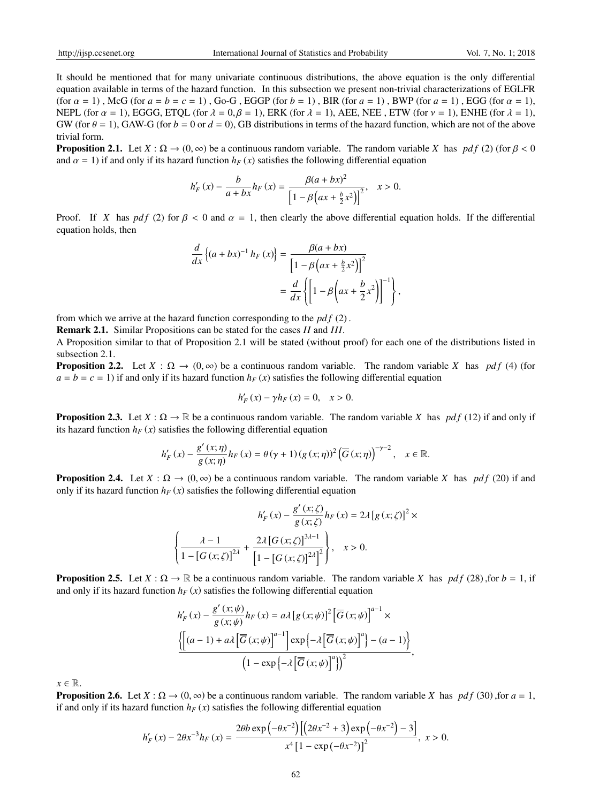It should be mentioned that for many univariate continuous distributions, the above equation is the only differential equation available in terms of the hazard function. In this subsection we present non-trivial characterizations of EGLFR (for  $\alpha = 1$ ), McG (for  $a = b = c = 1$ ), Go-G, EGGP (for  $b = 1$ ), BIR (for  $a = 1$ ), BWP (for  $a = 1$ ), EGG (for  $\alpha = 1$ ), NEPL (for  $\alpha = 1$ ), EGGG, ETQL (for  $\lambda = 0, \beta = 1$ ), ERK (for  $\lambda = 1$ ), AEE, NEE, ETW (for  $\nu = 1$ ), ENHE (for  $\lambda = 1$ ), GW (for  $\theta = 1$ ), GAW-G (for  $b = 0$  or  $d = 0$ ), GB distributions in terms of the hazard function, which are not of the above trivial form.

**Proposition 2.1.** Let  $X : \Omega \to (0, \infty)$  be a continuous random variable. The random variable *X* has *pdf* (2) (for  $\beta < 0$ and  $\alpha = 1$ ) if and only if its hazard function  $h_F(x)$  satisfies the following differential equation

$$
h'_{F}(x) - \frac{b}{a + bx}h_{F}(x) = \frac{\beta(a + bx)^{2}}{\left[1 - \beta\left(ax + \frac{b}{2}x^{2}\right)\right]^{2}}, \quad x > 0.
$$

Proof. If *X* has *pdf* (2) for  $\beta < 0$  and  $\alpha = 1$ , then clearly the above differential equation holds. If the differential equation holds, then

$$
\frac{d}{dx}\left\{(a+bx)^{-1}h_F(x)\right\} = \frac{\beta(a+bx)}{\left[1-\beta\left(ax+\frac{b}{2}x^2\right)\right]^2}
$$

$$
=\frac{d}{dx}\left\{\left[1-\beta\left(ax+\frac{b}{2}x^2\right)\right]^{-1}\right\}
$$

,

from which we arrive at the hazard function corresponding to the *pd f* (2) .

Remark 2.1. Similar Propositions can be stated for the cases *II* and *III*.

A Proposition similar to that of Proposition 2.1 will be stated (without proof) for each one of the distributions listed in subsection 2.1.

**Proposition 2.2.** Let  $X : \Omega \to (0, \infty)$  be a continuous random variable. The random variable *X* has *pdf* (4) (for  $a = b = c = 1$ ) if and only if its hazard function  $h_F(x)$  satisfies the following differential equation

$$
h'_{F}(x) - \gamma h_{F}(x) = 0, \quad x > 0.
$$

**Proposition 2.3.** Let  $X : \Omega \to \mathbb{R}$  be a continuous random variable. The random variable *X* has *pdf* (12) if and only if its hazard function  $h_F(x)$  satisfies the following differential equation

$$
h'_{F}(x) - \frac{g'(x;\eta)}{g(x;\eta)}h_{F}(x) = \theta(\gamma+1)(g(x;\eta))^{2}(\overline{G}(x;\eta))^{-\gamma-2}, \quad x \in \mathbb{R}.
$$

**Proposition 2.4.** Let  $X : \Omega \to (0, \infty)$  be a continuous random variable. The random variable X has *pdf* (20) if and only if its hazard function  $h_F(x)$  satisfies the following differential equation

$$
h'_{F}(x) - \frac{g'(x;\zeta)}{g(x;\zeta)}h_{F}(x) = 2\lambda [g(x;\zeta)]^{2} \times
$$

$$
\left\{\frac{\lambda - 1}{1 - [G(x;\zeta)]^{2\lambda}} + \frac{2\lambda [G(x;\zeta)]^{3\lambda - 1}}{\left[1 - [G(x;\zeta)]^{2\lambda}\right]^{2}}\right\}, \quad x > 0.
$$

**Proposition 2.5.** Let  $X : \Omega \to \mathbb{R}$  be a continuous random variable. The random variable *X* has  $pdf(28)$ , for  $b = 1$ , if and only if its hazard function  $h_F(x)$  satisfies the following differential equation

$$
h'_{F}(x) - \frac{g'(x;\psi)}{g(x;\psi)}h_{F}(x) = a\lambda [g(x;\psi)]^{2} [\overline{G}(x;\psi)]^{a-1} \times
$$
  

$$
\frac{\left\{\left[(a-1) + a\lambda [\overline{G}(x;\psi)]^{a-1}\right] \exp \left\{-\lambda [\overline{G}(x;\psi)]^{a}\right\} - (a-1)\right\}}{\left(1 - \exp \left\{-\lambda [\overline{G}(x;\psi)]^{a}\right\}\right)^{2}},
$$

 $x \in \mathbb{R}$ .

**Proposition 2.6.** Let  $X : \Omega \to (0, \infty)$  be a continuous random variable. The random variable *X* has *pdf* (30) ,for  $a = 1$ , if and only if its hazard function  $h_F(x)$  satisfies the following differential equation

$$
h'_{F}(x) - 2\theta x^{-3} h_{F}(x) = \frac{2\theta b \exp(-\theta x^{-2}) \left[ \left( 2\theta x^{-2} + 3 \right) \exp\left( -\theta x^{-2} \right) - 3 \right]}{x^{4} \left[ 1 - \exp(-\theta x^{-2}) \right]^{2}}, \ x > 0.
$$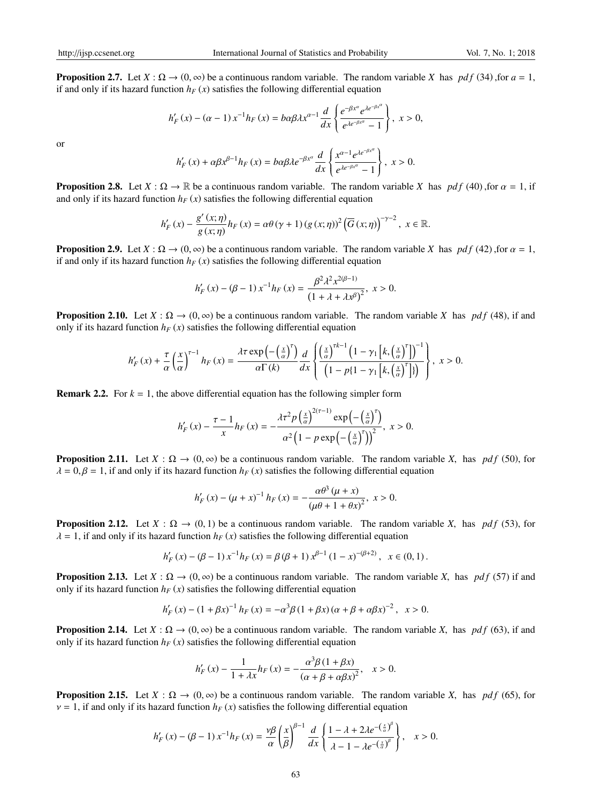**Proposition 2.7.** Let  $X : \Omega \to (0, \infty)$  be a continuous random variable. The random variable X has *pdf* (34) ,for  $a = 1$ , if and only if its hazard function  $h_F(x)$  satisfies the following differential equation

$$
h_F'(x) - (\alpha - 1) x^{-1} h_F(x) = b \alpha \beta \lambda x^{\alpha - 1} \frac{d}{dx} \left\{ \frac{e^{-\beta x^{\alpha}} e^{\lambda e^{-\beta x^{\alpha}}}}{e^{\lambda e^{-\beta x^{\alpha}}}-1} \right\}, \ x > 0,
$$

or

$$
h'_{F}(x) + \alpha \beta x^{\beta - 1} h_{F}(x) = b \alpha \beta \lambda e^{-\beta x^{\alpha}} \frac{d}{dx} \left\{ \frac{x^{\alpha - 1} e^{\lambda e^{-\beta x^{\alpha}}}}{e^{\lambda e^{-\beta x^{\alpha}}} - 1} \right\}, \ x > 0.
$$

**Proposition 2.8.** Let  $X : \Omega \to \mathbb{R}$  be a continuous random variable. The random variable *X* has *pdf* (40) ,for  $\alpha = 1$ , if and only if its hazard function  $h_F(x)$  satisfies the following differential equation

$$
h'_{F}(x) - \frac{g'(x;\eta)}{g(x;\eta)}h_{F}(x) = \alpha\theta(\gamma+1)(g(x;\eta))^{2}(\overline{G}(x;\eta))^{-\gamma-2}, x \in \mathbb{R}.
$$

**Proposition 2.9.** Let  $X : \Omega \to (0, \infty)$  be a continuous random variable. The random variable *X* has *pdf* (42), for  $\alpha = 1$ , if and only if its hazard function  $h_F(x)$  satisfies the following differential equation

$$
h'_{F}(x) - (\beta - 1) x^{-1} h_{F}(x) = \frac{\beta^{2} \lambda^{2} x^{2(\beta - 1)}}{\left(1 + \lambda + \lambda x^{\beta}\right)^{2}}, \ x > 0.
$$

**Proposition 2.10.** Let  $X : \Omega \to (0, \infty)$  be a continuous random variable. The random variable X has *pdf* (48), if and only if its hazard function  $h_F(x)$  satisfies the following differential equation

$$
h'_{F}(x) + \frac{\tau}{\alpha} \left(\frac{x}{\alpha}\right)^{\tau-1} h_{F}(x) = \frac{\lambda \tau \exp\left(-\left(\frac{x}{\alpha}\right)^{\tau}\right)}{\alpha \Gamma(k)} \frac{d}{dx} \left\{ \frac{\left(\frac{x}{\alpha}\right)^{\tau k-1} \left(1 - \gamma_{1} \left[k, \left(\frac{x}{\alpha}\right)^{\tau}\right]\right)^{-1}}{\left(1 - p\left(1 - \gamma_{1} \left[k, \left(\frac{x}{\alpha}\right)^{\tau}\right]\right)}\right\}, x > 0.
$$

**Remark 2.2.** For  $k = 1$ , the above differential equation has the following simpler form

$$
h'_{F}(x) - \frac{\tau - 1}{x} h_{F}(x) = -\frac{\lambda \tau^{2} p \left(\frac{x}{\alpha}\right)^{2(\tau - 1)} \exp\left(-\left(\frac{x}{\alpha}\right)^{\tau}\right)}{\alpha^{2} \left(1 - p \exp\left(-\left(\frac{x}{\alpha}\right)^{\tau}\right)\right)^{2}}, \ x > 0.
$$

**Proposition 2.11.** Let  $X : \Omega \to (0, \infty)$  be a continuous random variable. The random variable *X*, has *pdf* (50), for  $\lambda = 0, \beta = 1$ , if and only if its hazard function  $h_F(x)$  satisfies the following differential equation

$$
h'_{F}(x) - (\mu + x)^{-1} h_{F}(x) = -\frac{\alpha \theta^{3} (\mu + x)}{(\mu \theta + 1 + \theta x)^{2}}, \ x > 0.
$$

**Proposition 2.12.** Let  $X : \Omega \to (0, 1)$  be a continuous random variable. The random variable *X*, has *pdf* (53), for  $\lambda = 1$ , if and only if its hazard function  $h_F(x)$  satisfies the following differential equation

$$
h'_{F}(x) - (\beta - 1) x^{-1} h_{F}(x) = \beta (\beta + 1) x^{\beta - 1} (1 - x)^{-(\beta + 2)}, \quad x \in (0, 1).
$$

**Proposition 2.13.** Let  $X : \Omega \to (0, \infty)$  be a continuous random variable. The random variable *X*, has *pdf* (57) if and only if its hazard function  $h_F(x)$  satisfies the following differential equation

$$
h'_{F}(x) - (1 + \beta x)^{-1} h_{F}(x) = -\alpha^{3} \beta (1 + \beta x) (\alpha + \beta + \alpha \beta x)^{-2}, \quad x > 0.
$$

**Proposition 2.14.** Let  $X : \Omega \to (0, \infty)$  be a continuous random variable. The random variable *X*, has *pdf* (63), if and only if its hazard function  $h_F(x)$  satisfies the following differential equation

$$
h'_{F}(x) - \frac{1}{1 + \lambda x} h_{F}(x) = -\frac{\alpha^{3} \beta (1 + \beta x)}{(\alpha + \beta + \alpha \beta x)^{2}}, \quad x > 0.
$$

**Proposition 2.15.** Let  $X : \Omega \to (0, \infty)$  be a continuous random variable. The random variable *X*, has *pdf* (65), for  $v = 1$ , if and only if its hazard function  $h_F(x)$  satisfies the following differential equation

$$
h'_{F}(x) - (\beta - 1) x^{-1} h_{F}(x) = \frac{\gamma \beta}{\alpha} \left(\frac{x}{\beta}\right)^{\beta - 1} \frac{d}{dx} \left\{\frac{1 - \lambda + 2\lambda e^{-\left(\frac{x}{\alpha}\right)^{\beta}}}{\lambda - 1 - \lambda e^{-\left(\frac{x}{\alpha}\right)^{\beta}}}\right\}, \quad x > 0.
$$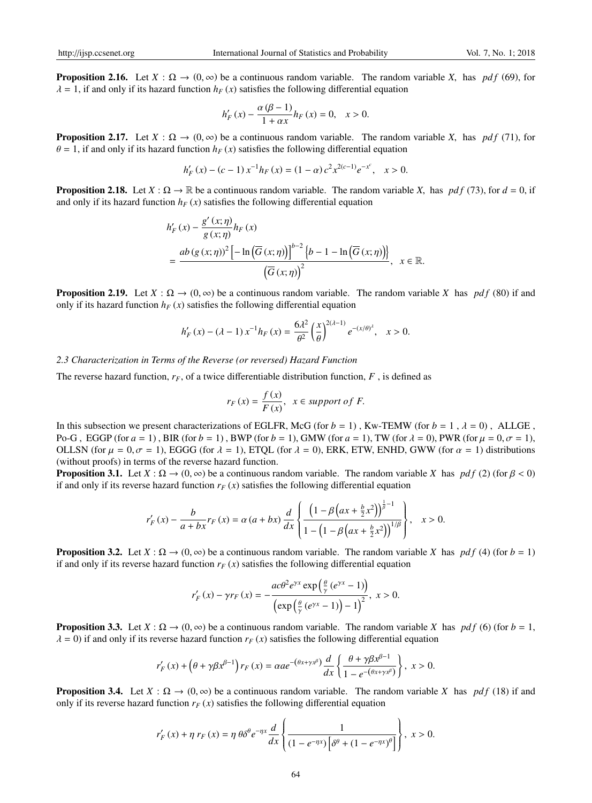**Proposition 2.16.** Let  $X : \Omega \to (0, \infty)$  be a continuous random variable. The random variable *X*, has *pdf* (69), for  $\lambda = 1$ , if and only if its hazard function  $h_F(x)$  satisfies the following differential equation

$$
h'_{F}(x) - \frac{\alpha (\beta - 1)}{1 + \alpha x} h_{F}(x) = 0, \quad x > 0.
$$

**Proposition 2.17.** Let  $X : \Omega \to (0, \infty)$  be a continuous random variable. The random variable *X*, has *pdf* (71), for  $\theta = 1$ , if and only if its hazard function  $h_F(x)$  satisfies the following differential equation

$$
h'_{F}(x) - (c - 1) x^{-1} h_{F}(x) = (1 - \alpha) c^{2} x^{2(c-1)} e^{-x^{c}}, \quad x > 0.
$$

**Proposition 2.18.** Let  $X : \Omega \to \mathbb{R}$  be a continuous random variable. The random variable *X*, has *pdf* (73), for  $d = 0$ , if and only if its hazard function  $h_F(x)$  satisfies the following differential equation

$$
h'_{F}(x) - \frac{g'(x;\eta)}{g(x;\eta)} h_{F}(x)
$$
  
= 
$$
\frac{ab(g(x;\eta))^{2} \left[-\ln(\overline{G}(x;\eta))\right]^{b-2} \left\{b-1 - \ln(\overline{G}(x;\eta))\right\}}{\left(\overline{G}(x;\eta)\right)^{2}}, \quad x \in \mathbb{R}.
$$

**Proposition 2.19.** Let  $X : \Omega \to (0, \infty)$  be a continuous random variable. The random variable *X* has *pdf* (80) if and only if its hazard function  $h_F(x)$  satisfies the following differential equation

$$
h'_F(x) - (\lambda - 1) x^{-1} h_F(x) = \frac{6\lambda^2}{\theta^2} \left(\frac{x}{\theta}\right)^{2(\lambda - 1)} e^{-(x/\theta)^{\lambda}}, \quad x > 0.
$$

#### *2.3 Characterization in Terms of the Reverse (or reversed) Hazard Function*

The reverse hazard function,  $r_F$ , of a twice differentiable distribution function,  $F$ , is defined as

$$
r_F(x) = \frac{f(x)}{F(x)}, \ \ x \in support \ of \ F.
$$

In this subsection we present characterizations of EGLFR, McG (for  $b = 1$ ), Kw-TEMW (for  $b = 1$ ,  $\lambda = 0$ ), ALLGE, Po-G, EGGP (for  $a = 1$ ), BIR (for  $b = 1$ ), BWP (for  $b = 1$ ), GMW (for  $a = 1$ ), TW (for  $\lambda = 0$ ), PWR (for  $\mu = 0, \sigma = 1$ ), OLLSN (for  $\mu = 0, \sigma = 1$ ), EGGG (for  $\lambda = 1$ ), ETOL (for  $\lambda = 0$ ), ERK, ETW, ENHD, GWW (for  $\alpha = 1$ ) distributions (without proofs) in terms of the reverse hazard function.

**Proposition 3.1.** Let  $X : \Omega \to (0, \infty)$  be a continuous random variable. The random variable *X* has *pdf* (2) (for  $\beta < 0$ ) if and only if its reverse hazard function  $r_F(x)$  satisfies the following differential equation

$$
r'_{F}(x) - \frac{b}{a + bx}r_{F}(x) = \alpha (a + bx) \frac{d}{dx} \left\{ \frac{\left(1 - \beta \left(ax + \frac{b}{2}x^{2}\right)\right)^{\frac{1}{\beta} - 1}}{1 - \left(1 - \beta \left(ax + \frac{b}{2}x^{2}\right)\right)^{1/\beta}} \right\}, \quad x > 0.
$$

**Proposition 3.2.** Let  $X : \Omega \to (0, \infty)$  be a continuous random variable. The random variable *X* has *pdf* (4) (for *b* = 1) if and only if its reverse hazard function  $r_F(x)$  satisfies the following differential equation

$$
r'_{F}(x) - \gamma r_{F}(x) = -\frac{ac\theta^{2}e^{\gamma x} \exp\left(\frac{\theta}{\gamma}(e^{\gamma x} - 1)\right)}{\left(\exp\left(\frac{\theta}{\gamma}(e^{\gamma x} - 1)\right) - 1\right)^{2}}, \ x > 0.
$$

**Proposition 3.3.** Let  $X : \Omega \to (0, \infty)$  be a continuous random variable. The random variable *X* has *pdf* (6) (for  $b = 1$ ,  $\lambda = 0$ ) if and only if its reverse hazard function  $r_F(x)$  satisfies the following differential equation

$$
r'_{F}(x) + \left(\theta + \gamma \beta x^{\beta - 1}\right) r_{F}(x) = \alpha a e^{-\left(\theta x + \gamma x^{\beta}\right)} \frac{d}{dx} \left\{\frac{\theta + \gamma \beta x^{\beta - 1}}{1 - e^{-\left(\theta x + \gamma x^{\beta}\right)}}\right\}, \ x > 0.
$$

**Proposition 3.4.** Let  $X : \Omega \to (0, \infty)$  be a continuous random variable. The random variable X has  $pdf(18)$  if and only if its reverse hazard function  $r_F(x)$  satisfies the following differential equation

$$
r'_{F}(x) + \eta r_{F}(x) = \eta \theta \delta^{\theta} e^{-\eta x} \frac{d}{dx} \left\{ \frac{1}{\left(1 - e^{-\eta x}\right) \left[\delta^{\theta} + \left(1 - e^{-\eta x}\right)^{\theta}\right]} \right\}, \ x > 0.
$$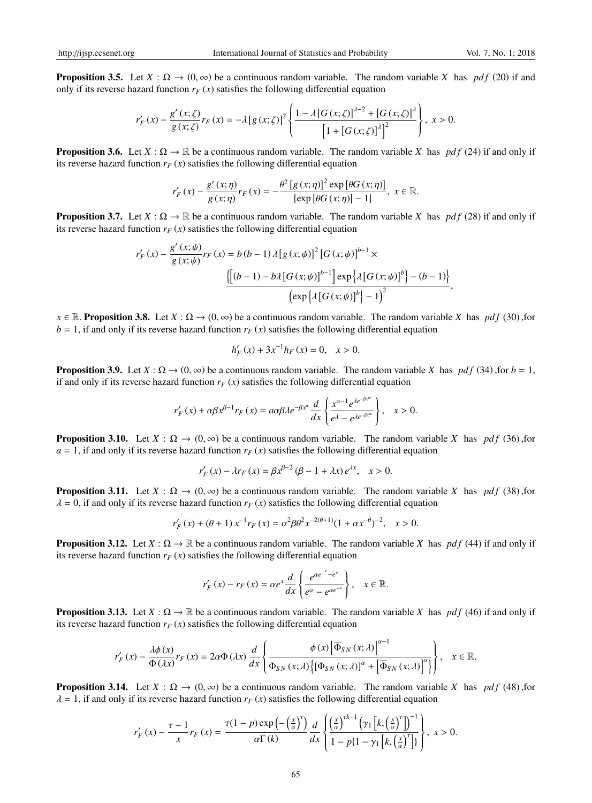**Proposition 3.5.** Let  $X : \Omega \to (0, \infty)$  be a continuous random variable. The random variable X has *pdf* (20) if and only if its reverse hazard function  $r_F(x)$  satisfies the following differential equation

$$
r'_{F}(x) - \frac{g'(x;\zeta)}{g(x;\zeta)}r_{F}(x) = -\lambda [g(x;\zeta)]^{2} \left\{ \frac{1 - \lambda [G(x;\zeta)]^{\lambda - 2} + [G(x;\zeta)]^{\lambda}}{[1 + [G(x;\zeta)]^{\lambda}]^{2}} \right\}, x > 0.
$$

**Proposition 3.6.** Let  $X : \Omega \to \mathbb{R}$  be a continuous random variable. The random variable *X* has *pdf* (24) if and only if its reverse hazard function  $r_F(x)$  satisfies the following differential equation

$$
r'_{F}(x) - \frac{g'(x;\eta)}{g(x;\eta)}r_{F}(x) = -\frac{\theta^{2}[g(x;\eta)]^{2}\exp[\theta G(x;\eta)]}{\{\exp[\theta G(x;\eta)] - 1\}}, x \in \mathbb{R}.
$$

**Proposition 3.7.** Let  $X : \Omega \to \mathbb{R}$  be a continuous random variable. The random variable X has *pdf* (28) if and only if its reverse hazard function  $r_F(x)$  satisfies the following differential equation

$$
r'_{F}(x) - \frac{g'(x;\psi)}{g(x;\psi)} r_{F}(x) = b (b-1) \lambda [g(x;\psi)]^{2} [G(x;\psi)]^{b-1} \times
$$
  

$$
\frac{\left[ \left[ (b-1) - b\lambda [G(x;\psi)]^{b-1} \right] \exp \left\{ \lambda [G(x;\psi)]^{b} \right\} - (b-1) \right]}{\left( \exp \left\{ \lambda [G(x;\psi)]^{b} \right\} - 1 \right)^{2}},
$$

 $x \in \mathbb{R}$ . **Proposition 3.8.** Let *X* :  $\Omega \to (0, \infty)$  be a continuous random variable. The random variable *X* has *pdf* (30),for  $b = 1$ , if and only if its reverse hazard function  $r_F(x)$  satisfies the following differential equation

$$
h'_{F}(x) + 3x^{-1}h_{F}(x) = 0, \quad x > 0.
$$

**Proposition 3.9.** Let  $X : \Omega \to (0, \infty)$  be a continuous random variable. The random variable *X* has *pdf* (34), for  $b = 1$ , if and only if its reverse hazard function  $r_F(x)$  satisfies the following differential equation

$$
r_F'(x) + \alpha \beta x^{\beta - 1} r_F(x) = a \alpha \beta \lambda e^{-\beta x^{\alpha}} \frac{d}{dx} \left\{ \frac{x^{\alpha - 1} e^{\lambda e^{-\beta x^{\alpha}}}}{e^{\lambda} - e^{\lambda e^{-\beta x^{\alpha}}}} \right\}, \quad x > 0.
$$

**Proposition 3.10.** Let  $X : \Omega \to (0, \infty)$  be a continuous random variable. The random variable X has *pdf* (36) for  $a = 1$ , if and only if its reverse hazard function  $r_F(x)$  satisfies the following differential equation

$$
r'_{F}(x) - \lambda r_{F}(x) = \beta x^{\beta - 2} (\beta - 1 + \lambda x) e^{\lambda x}, \quad x > 0.
$$

**Proposition 3.11.** Let  $X : \Omega \to (0, \infty)$  be a continuous random variable. The random variable *X* has *pdf* (38), for  $\lambda = 0$ , if and only if its reverse hazard function  $r_F(x)$  satisfies the following differential equation

$$
r'_{F}(x) + (\theta + 1) x^{-1} r_{F}(x) = \alpha^{2} \beta \theta^{2} x^{-2(\theta + 1)} (1 + \alpha x^{-\theta})^{-2}, \quad x > 0.
$$

**Proposition 3.12.** Let  $X : \Omega \to \mathbb{R}$  be a continuous random variable. The random variable *X* has *pdf* (44) if and only if its reverse hazard function  $r_F(x)$  satisfies the following differential equation

$$
r'_{F}(x) - r_{F}(x) = \alpha e^{x} \frac{d}{dx} \left\{ \frac{e^{\alpha e^{-x} - e^{x}}}{e^{\alpha} - e^{\alpha e^{-x}}} \right\}, \quad x \in \mathbb{R}.
$$

**Proposition 3.13.** Let  $X : \Omega \to \mathbb{R}$  be a continuous random variable. The random variable *X* has *pdf* (46) if and only if its reverse hazard function  $r_F(x)$  satisfies the following differential equation

$$
r'_{F}(x) - \frac{\lambda \phi(x)}{\Phi(\lambda x)} r_{F}(x) = 2\alpha \Phi(\lambda x) \frac{d}{dx} \left\{ \frac{\phi(x) \left[\overline{\Phi}_{SN}(x;\lambda)\right]^{\alpha-1}}{\Phi_{SN}(x;\lambda)\left\{[\Phi_{SN}(x;\lambda)]^{\alpha} + \left[\overline{\Phi}_{SN}(x;\lambda)\right]^{\alpha}\right\}} \right\}, \quad x \in \mathbb{R}.
$$

**Proposition 3.14.** Let  $X : \Omega \to (0, \infty)$  be a continuous random variable. The random variable *X* has *pdf* (48),for  $\lambda = 1$ , if and only if its reverse hazard function  $r_F(x)$  satisfies the following differential equation

$$
r'_{F}(x) - \frac{\tau - 1}{x} r_{F}(x) = \frac{\tau(1 - p) \exp\left(-\left(\frac{x}{\alpha}\right)^{\tau}\right)}{\alpha \Gamma(k)} \frac{d}{dx} \left\{ \frac{\left(\frac{x}{\alpha}\right)^{\tau k - 1} \left(\gamma_{1} \left[k, \left(\frac{x}{\alpha}\right)^{\tau}\right]\right)^{-1}}{1 - p\left\{1 - \gamma_{1} \left[k, \left(\frac{x}{\alpha}\right)^{\tau}\right]\right\}}, \ x > 0.
$$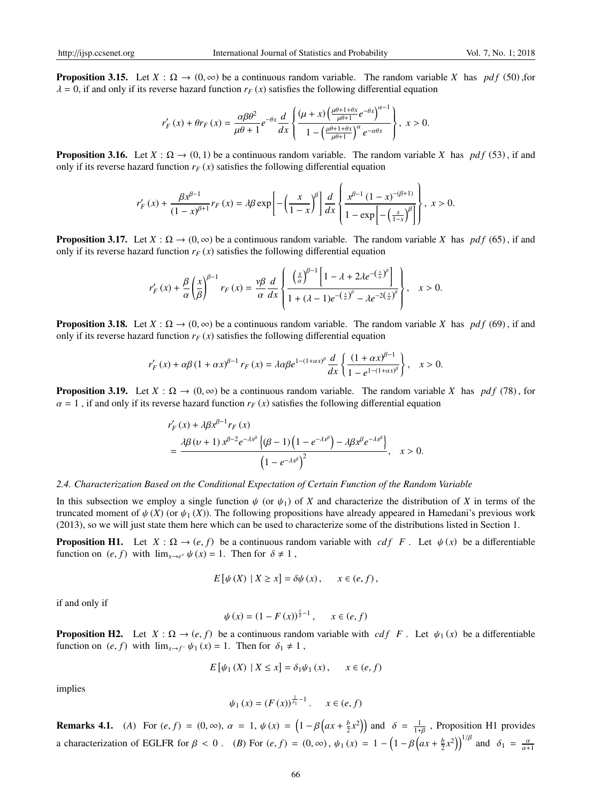**Proposition 3.15.** Let  $X : \Omega \to (0, \infty)$  be a continuous random variable. The random variable X has *pdf* (50) for  $\lambda = 0$ , if and only if its reverse hazard function  $r_F(x)$  satisfies the following differential equation

$$
r_F'\left(x\right) + \theta r_F\left(x\right) = \frac{\alpha \beta \theta^2}{\mu \theta + 1} e^{-\theta x} \frac{d}{dx} \left\{ \frac{(\mu + x) \left(\frac{\mu \theta + 1 + \theta x}{\mu \theta + 1} e^{-\theta x}\right)^{\alpha - 1}}{1 - \left(\frac{\mu \theta + 1 + \theta x}{\mu \theta + 1}\right)^{\alpha} e^{-\alpha \theta x}} \right\}, \ x > 0.
$$

**Proposition 3.16.** Let  $X : \Omega \to (0, 1)$  be a continuous random variable. The random variable X has *pdf* (53), if and only if its reverse hazard function  $r_F(x)$  satisfies the following differential equation

$$
r'_{F}(x) + \frac{\beta x^{\beta-1}}{(1-x)^{\beta+1}} r_{F}(x) = \lambda \beta \exp\left[-\left(\frac{x}{1-x}\right)^{\beta}\right] \frac{d}{dx} \left\{\frac{x^{\beta-1} (1-x)^{-(\beta+1)}}{1-\exp\left[-\left(\frac{x}{1-x}\right)^{\beta}\right]}\right\}, x > 0.
$$

**Proposition 3.17.** Let  $X : \Omega \to (0, \infty)$  be a continuous random variable. The random variable X has *pdf* (65), if and only if its reverse hazard function  $r_F(x)$  satisfies the following differential equation

$$
r'_{F}(x) + \frac{\beta}{\alpha} \left(\frac{x}{\beta}\right)^{\beta-1} r_{F}(x) = \frac{\gamma \beta}{\alpha} \frac{d}{dx} \left\{ \frac{\left(\frac{x}{\alpha}\right)^{\beta-1} \left[1 - \lambda + 2\lambda e^{-\left(\frac{x}{\alpha}\right)^{\beta}}\right]}{1 + (\lambda - 1)e^{-\left(\frac{x}{\alpha}\right)^{\beta}} - \lambda e^{-2\left(\frac{x}{\alpha}\right)^{\beta}} \right\}}, \quad x > 0.
$$

**Proposition 3.18.** Let  $X : \Omega \to (0, \infty)$  be a continuous random variable. The random variable *X* has *pdf* (69), if and only if its reverse hazard function  $r_F(x)$  satisfies the following differential equation

$$
r_F'(x) + \alpha \beta (1 + \alpha x)^{\beta - 1} r_F(x) = \lambda \alpha \beta e^{1 - (1 + \alpha x)^{\beta}} \frac{d}{dx} \left\{ \frac{(1 + \alpha x)^{\beta - 1}}{1 - e^{1 - (1 + \alpha x)^{\beta}}} \right\}, \quad x > 0.
$$

**Proposition 3.19.** Let  $X : \Omega \to (0, \infty)$  be a continuous random variable. The random variable X has *pdf* (78), for  $\alpha = 1$ , if and only if its reverse hazard function  $r_F(x)$  satisfies the following differential equation

$$
r'_{F}(x) + \lambda \beta x^{\beta - 1} r_{F}(x)
$$
  
= 
$$
\frac{\lambda \beta (\nu + 1) x^{\beta - 2} e^{-\lambda x^{\beta}} \left\{ (\beta - 1) \left( 1 - e^{-\lambda x^{\beta}} \right) - \lambda \beta x^{\beta} e^{-\lambda x^{\beta}} \right\}}{\left( 1 - e^{-\lambda x^{\beta}} \right)^{2}}, \quad x > 0.
$$

#### *2.4. Characterization Based on the Conditional Expectation of Certain Function of the Random Variable*

In this subsection we employ a single function  $\psi$  (or  $\psi_1$ ) of *X* and characterize the distribution of *X* in terms of the truncated moment of  $\psi(X)$  (or  $\psi_1(X)$ ). The following propositions have already appeared in Hamedani's previous work (2013), so we will just state them here which can be used to characterize some of the distributions listed in Section 1.

**Proposition H1.** Let  $X : \Omega \to (e, f)$  be a continuous random variable with *cdf F*. Let  $\psi(x)$  be a differentiable function on  $(e, f)$  with  $\lim_{x \to e^+} \psi(x) = 1$ . Then for  $\delta \neq 1$ ,

$$
E[\psi(X) | X \ge x] = \delta \psi(x), \quad x \in (e, f),
$$

if and only if

$$
\psi(x) = (1 - F(x))^{\frac{1}{\delta} - 1}, \quad x \in (e, f)
$$

**Proposition H2.** Let  $X : \Omega \to (e, f)$  be a continuous random variable with *cdf F*. Let  $\psi_1(x)$  be a differentiable function on  $(e, f)$  with  $\lim_{x \to f^-} \psi_1(x) = 1$ . Then for  $\delta_1 \neq 1$ ,

$$
E[\psi_1(X) | X \le x] = \delta_1 \psi_1(x), \quad x \in (e, f)
$$

implies

$$
\psi_1(x) = (F(x))^{\frac{1}{\delta_1} - 1}
$$
.  $x \in (e, f)$ 

**Remarks 4.1.** (A) For  $(e, f) = (0, \infty)$ ,  $\alpha = 1$ ,  $\psi(x) = \left(1 - \beta\left(ax + \frac{b}{2}x^2\right)\right)$  and  $\delta = \frac{1}{1+\beta}$ , Proposition H1 provides a characterization of EGLFR for  $\beta < 0$ . (*B*) For  $(e, f) = (0, \infty)$ ,  $\psi_1(x) = 1 - \left(1 - \beta \left(ax + \frac{b}{2}x^2\right)\right)^{1/\beta}$  and  $\delta_1 = \frac{\alpha}{\alpha+1}$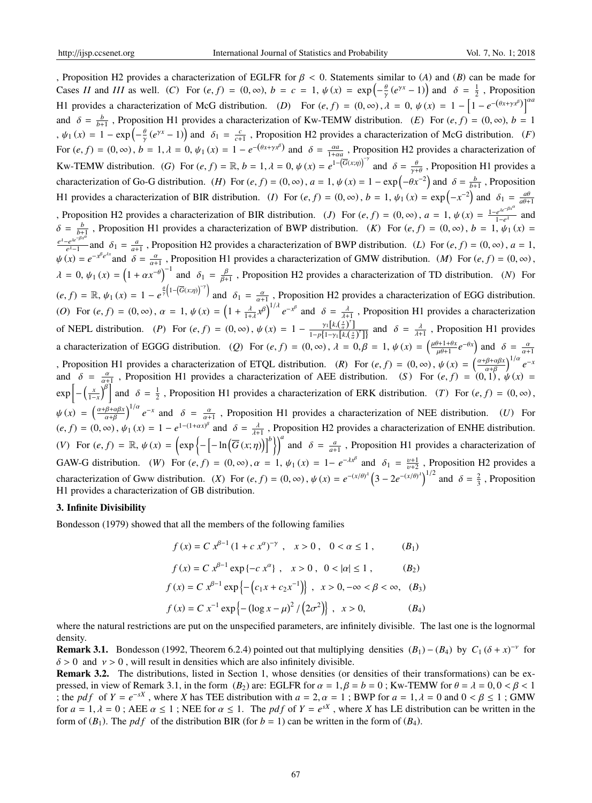, Proposition H2 provides a characterization of EGLFR for β < 0. Statements similar to (*A*) and (*B*) can be made for Cases *II* and *III* as well. (*C*) For  $(e, f) = (0, \infty)$ ,  $b = c = 1$ ,  $\psi(x) = \exp\left(-\frac{\theta}{\gamma}(e^{\gamma x} - 1)\right)$  and  $\delta = \frac{1}{2}$ , Proposition H1 provides a characterization of McG distribution. (*D*) For  $(e, f) = (0, \infty)$ ,  $\lambda = 0$ ,  $\psi(x) = 1 - \left[1 - e^{-(\theta x + \gamma x^{\beta})}\right]^{\alpha \alpha}$ and  $\delta = \frac{b}{b+1}$ , Proposition H1 provides a characterization of Kw-TEMW distribution. (*E*) For  $(e, f) = (0, \infty)$ ,  $b = 1$  $\psi_1(x) = 1 - \exp\left(-\frac{\theta}{\gamma}(e^{\gamma x} - 1)\right)$  and  $\delta_1 = \frac{c}{c+1}$ , Proposition H2 provides a characterization of McG distribution. (*F*) For  $(e, f) = (0, \infty)$ ,  $b = 1, \lambda = 0$ ,  $\psi_1(x) = 1 - e^{-(\theta x + \gamma x^{\beta})}$  and  $\delta = \frac{\alpha a}{1 + \alpha a}$ , Proposition H2 provides a characterization of Kw-TEMW distribution. (*G*) For  $(e, f) = \mathbb{R}$ ,  $b = 1$ ,  $\lambda = 0$ ,  $\psi(x) = e^{1-(\overline{G}(x;\eta))^{-\gamma}}$  and  $\delta = \frac{\theta}{\gamma+\theta}$ , Proposition H1 provides a characterization of Go-G distribution. (*H*) For  $(e, f) = (0, \infty)$ ,  $a = 1$ ,  $\psi(x) = 1 - \exp(-\theta x^{-2})$  and  $\delta = \frac{b}{b+1}$ , Proposition H1 provides a characterization of BIR distribution. (*I*) For  $(e, f) = (0, \infty)$ ,  $b = 1$ ,  $\psi_1(x) = \exp(-x^{-2})$  and  $\delta_1 = \frac{a\theta}{a\theta+1}$ , Proposition H2 provides a characterization of BIR distribution. (*J*) For  $(e, f) = (0, \infty)$ ,  $a = 1$ ,  $\psi(x) = \frac{1-e^{\lambda e^{-\beta x^2}}}{1-e^{\lambda x}}$  $\frac{e^{ae}}{1-e^{A}}$  and  $\delta = \frac{b}{b+1}$ , Proposition H1 provides a characterization of BWP distribution. (*K*) For  $(e, f) = (0, \infty)$ ,  $b = 1$ ,  $\psi_1(x) =$ *e* <sup>λ</sup>−*e* λ*e* −β*x* α  $e^{e^{i\theta}}$  and  $\delta_1 = \frac{a}{a+1}$ , Proposition H2 provides a characterization of BWP distribution. (*L*) For  $(e, f) = (0, \infty)$ ,  $a = 1$ ,  $\psi(x) = e^{-x^{\beta}e^{\lambda x}}$  and  $\delta = \frac{\alpha}{\alpha+1}$ , Proposition H1 provides a characterization of GMW distribution. (*M*) For  $(e, f) = (0, \infty)$ ,  $\lambda = 0, \psi_1(x) = (1 + \alpha x^{-\theta})^{-1}$  and  $\delta_1 = \frac{\beta}{\beta + \theta}$  $\frac{\beta}{\beta+1}$ , Proposition H2 provides a characterization of TD distribution. (*N*) For  $(e, f) = \mathbb{R}, \psi_1(x) = 1 - e^{\frac{\theta}{\gamma} \left(1 - (\overline{G}(x, \eta))\right)^{-\gamma}}\right)$  and  $\delta_1 = \frac{\alpha}{\alpha + 1}$ , Proposition H2 provides a characterization of EGG distribution. (*O*) For  $(e, f) = (0, \infty)$ ,  $\alpha = 1$ ,  $\psi(x) = \left(1 + \frac{\lambda}{1+\lambda}x^{\beta}\right)^{1/\lambda}e^{-x^{\beta}}$  and  $\delta = \frac{\lambda}{\lambda+1}$ , Proposition H1 provides a characterization of NEPL distribution. (*P*) For  $(e, f) = (0, \infty)$ ,  $\psi(x) = 1 - \frac{\gamma_1 [k(\frac{x}{\alpha})^T]}{\frac{1}{\alpha} \int_{0}^{x} k(x)}$  $\frac{\gamma_1[k(\frac{a}{\alpha})]}{1-p\{1-\gamma_1[k(\frac{x}{\alpha})^{\tau}]\}}$  and  $\delta = \frac{\lambda}{\lambda+1}$ , Proposition H1 provides a characterization of EGGG distribution. (*Q*) For  $(e, f) = (0, \infty)$ ,  $\lambda = 0, \beta = 1$ ,  $\psi(x) = \left(\frac{\mu\theta + 1 + \theta x}{\mu\theta + 1}\right)$  $\frac{\partial^2+1+\theta x}{\partial x^2}e^{-\theta x}$  and  $\delta = \frac{\alpha}{\alpha+1}$ , Proposition H1 provides a characterization of ETQL distribution. (R) For  $(e, f) = (0, \infty)$ ,  $\psi(x) = \left(\frac{\alpha + \beta + \alpha\beta x}{\alpha + \beta}\right)$  $\frac{\beta + \alpha \beta x}{\alpha + \beta}$ <sup>1/ $\alpha$ </sup>  $e^{-\lambda}$ and  $\delta = \frac{a}{\alpha+1}$ , Proposition H1 provides a characterization of AEE distribution. (*S*) For  $(e, f) = (0, 1)$ ,  $\psi(x) = (0, 1)$  $\exp\left[-\left(\frac{x}{1-x}\right)^{\beta}\right]$  and  $\delta = \frac{1}{2}$ , Proposition H1 provides a characterization of ERK distribution. (*T*) For  $(e, f) = (0, \infty)$ ,  $\psi(x) = \left(\frac{\alpha+\beta+\alpha\beta x}{\alpha+\beta}\right)$  $\left(\frac{\beta+\alpha\beta x}{\alpha+\beta}\right)^{1/\alpha}e^{-x}$  and  $\delta = \frac{\alpha}{\alpha+1}$ , Proposition H1 provides a characterization of NEE distribution. (*U*) For  $(e, f) = (0, \infty), \psi_1(x) = 1 - e^{1 - (1 + \alpha x)^{\beta}}$  and  $\delta = \frac{\lambda}{\lambda + 1}$ , Proposition H2 provides a characterization of ENHE distribution. (*V*) For  $(e, f) = \mathbb{R}, \psi(x) = \left(\exp\left\{-\left[-\ln\left(\overline{G}\left(x; \eta\right)\right)\right]^b\right\}\right)^a$  and  $\delta = \frac{a}{a+1}$ , Proposition H1 provides a characterization of GAW-G distribution. (*W*) For  $(e, f) = (0, \infty)$ ,  $\alpha = 1$ ,  $\psi_1(x) = 1 - e^{-\lambda x^{\beta}}$  and  $\delta_1 = \frac{v+1}{v+2}$ , Proposition H2 provides a characterization of Gww distribution. (*X*) For  $(e, f) = (0, \infty)$ ,  $\psi(x) = e^{-(x/\theta)^{\lambda}} \left(3 - 2e^{-(x/\theta)^{\lambda}}\right)^{1/2}$  and  $\delta = \frac{2}{3}$ , Proposition H1 provides a characterization of GB distribution.

#### 3. Infinite Divisibility

Bondesson (1979) showed that all the members of the following families

$$
f(x) = C x^{\beta - 1} (1 + c x^{\alpha})^{-\gamma}, \quad x > 0, \quad 0 < \alpha \le 1, \quad (B_1)
$$
  

$$
f(x) = C x^{\beta - 1} \exp \{-c x^{\alpha}\}, \quad x > 0, \quad 0 < |\alpha| \le 1, \quad (B_2)
$$
  

$$
f(x) = C x^{\beta - 1} \exp \{-\left(c_1 x + c_2 x^{-1}\right)\}, \quad x > 0, -\infty < \beta < \infty, \quad (B_3)
$$
  

$$
f(x) = C x^{-1} \exp \{-\left(\log x - \mu\right)^2 / \left(2\sigma^2\right)\}, \quad x > 0, \quad (B_4)
$$

where the natural restrictions are put on the unspecified parameters, are infinitely divisible. The last one is the lognormal density.

**Remark 3.1.** Bondesson (1992, Theorem 6.2.4) pointed out that multiplying densities  $(B_1) - (B_4)$  by  $C_1 (\delta + x)^{-\nu}$  for  $\delta > 0$  and  $\nu > 0$ , will result in densities which are also infinitely divisible.

Remark 3.2. The distributions, listed in Section 1, whose densities (or densities of their transformations) can be expressed, in view of Remark 3.1, in the form  $(B_2)$  are: EGLFR for  $\alpha = 1, \beta = b = 0$ ; Kw-TEMW for  $\theta = \lambda = 0, 0 < \beta < 1$ ; the *pdf* of  $Y = e^{-sX}$ , where *X* has TEE distribution with  $a = 2, \alpha = 1$ ; BWP for  $a = 1, \lambda = 0$  and  $0 < \beta \le 1$ ; GMW for  $a = 1, \lambda = 0$ ; AEE  $\alpha \le 1$ ; NEE for  $\alpha \le 1$ . The *pdf* of  $Y = e^{sX}$ , where *X* has LE distribution can be written in the form of  $(B_1)$ . The *pdf* of the distribution BIR (for  $b = 1$ ) can be written in the form of  $(B_4)$ .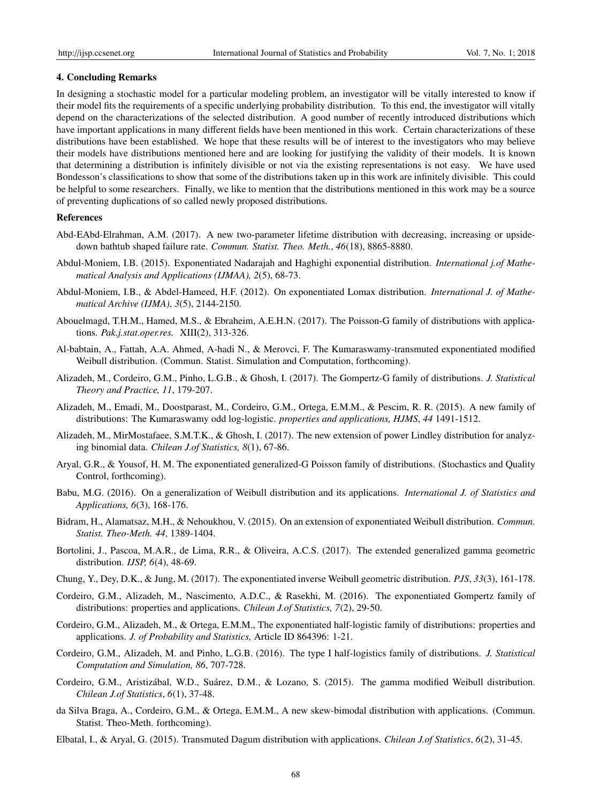#### 4. Concluding Remarks

In designing a stochastic model for a particular modeling problem, an investigator will be vitally interested to know if their model fits the requirements of a specific underlying probability distribution. To this end, the investigator will vitally depend on the characterizations of the selected distribution. A good number of recently introduced distributions which have important applications in many different fields have been mentioned in this work. Certain characterizations of these distributions have been established. We hope that these results will be of interest to the investigators who may believe their models have distributions mentioned here and are looking for justifying the validity of their models. It is known that determining a distribution is infinitely divisible or not via the existing representations is not easy. We have used Bondesson's classifications to show that some of the distributions taken up in this work are infinitely divisible. This could be helpful to some researchers. Finally, we like to mention that the distributions mentioned in this work may be a source of preventing duplications of so called newly proposed distributions.

#### References

- Abd-EAbd-Elrahman, A.M. (2017). A new two-parameter lifetime distribution with decreasing, increasing or upsidedown bathtub shaped failure rate. *Commun. Statist. Theo. Meth.*, *46*(18), 8865-8880.
- Abdul-Moniem, I.B. (2015). Exponentiated Nadarajah and Haghighi exponential distribution. *International j.of Mathematical Analysis and Applications (IJMAA), 2*(5), 68-73.
- Abdul-Moniem, I.B., & Abdel-Hameed, H.F. (2012). On exponentiated Lomax distribution. *International J. of Mathematical Archive (IJMA)*, *3*(5), 2144-2150.
- Abouelmagd, T.H.M., Hamed, M.S., & Ebraheim, A.E.H.N. (2017). The Poisson-G family of distributions with applications. *Pak.j.stat.oper.res.* XIII(2), 313-326.
- Al-babtain, A., Fattah, A.A. Ahmed, A-hadi N., & Merovci, F. The Kumaraswamy-transmuted exponentiated modified Weibull distribution. (Commun. Statist. Simulation and Computation, forthcoming).
- Alizadeh, M., Cordeiro, G.M., Pinho, L.G.B., & Ghosh, I. (2017). The Gompertz-G family of distributions. *J. Statistical Theory and Practice, 11*, 179-207.
- Alizadeh, M., Emadi, M., Doostparast, M., Cordeiro, G.M., Ortega, E.M.M., & Pescim, R. R. (2015). A new family of distributions: The Kumaraswamy odd log-logistic. *properties and applications, HJMS*, *44* 1491-1512.
- Alizadeh, M., MirMostafaee, S.M.T.K., & Ghosh, I. (2017). The new extension of power Lindley distribution for analyzing binomial data. *Chilean J.of Statistics, 8*(1), 67-86.
- Aryal, G.R., & Yousof, H. M. The exponentiated generalized-G Poisson family of distributions. (Stochastics and Quality Control, forthcoming).
- Babu, M.G. (2016). On a generalization of Weibull distribution and its applications. *International J. of Statistics and Applications, 6*(3), 168-176.
- Bidram, H., Alamatsaz, M.H., & Nehoukhou, V. (2015). On an extension of exponentiated Weibull distribution. *Commun. Statist. Theo-Meth. 44*, 1389-1404.
- Bortolini, J., Pascoa, M.A.R., de Lima, R.R., & Oliveira, A.C.S. (2017). The extended generalized gamma geometric distribution. *IJSP, 6*(4), 48-69.
- Chung, Y., Dey, D.K., & Jung, M. (2017). The exponentiated inverse Weibull geometric distribution. *PJS*, *33*(3), 161-178.
- Cordeiro, G.M., Alizadeh, M., Nascimento, A.D.C., & Rasekhi, M. (2016). The exponentiated Gompertz family of distributions: properties and applications. *Chilean J.of Statistics, 7*(2), 29-50.
- Cordeiro, G.M., Alizadeh, M., & Ortega, E.M.M., The exponentiated half-logistic family of distributions: properties and applications. *J. of Probability and Statistics,* Article ID 864396: 1-21.
- Cordeiro, G.M., Alizadeh, M. and Pinho, L.G.B. (2016). The type I half-logistics family of distributions. *J. Statistical Computation and Simulation, 86*, 707-728.
- Cordeiro, G.M., Aristizábal, W.D., Suárez, D.M., & Lozano, S. (2015). The gamma modified Weibull distribution. *Chilean J.of Statistics*, *6*(1), 37-48.
- da Silva Braga, A., Cordeiro, G.M., & Ortega, E.M.M., A new skew-bimodal distribution with applications. (Commun. Statist. Theo-Meth. forthcoming).
- Elbatal, I., & Aryal, G. (2015). Transmuted Dagum distribution with applications. *Chilean J.of Statistics*, *6*(2), 31-45.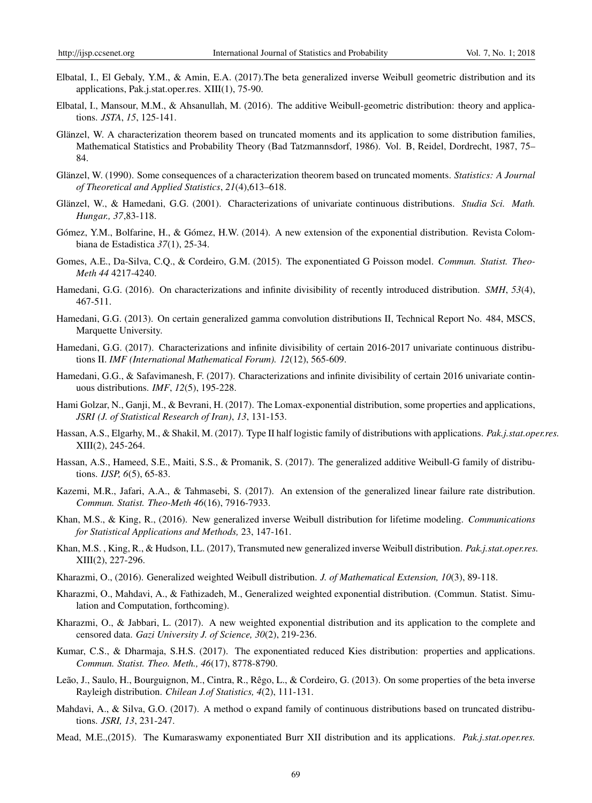- Elbatal, I., El Gebaly, Y.M., & Amin, E.A. (2017).The beta generalized inverse Weibull geometric distribution and its applications, Pak.j.stat.oper.res. XIII(1), 75-90.
- Elbatal, I., Mansour, M.M., & Ahsanullah, M. (2016). The additive Weibull-geometric distribution: theory and applications. *JSTA*, *15*, 125-141.
- Glänzel, W. A characterization theorem based on truncated moments and its application to some distribution families, Mathematical Statistics and Probability Theory (Bad Tatzmannsdorf, 1986). Vol. B, Reidel, Dordrecht, 1987, 75– 84.
- Glänzel, W. (1990). Some consequences of a characterization theorem based on truncated moments. *Statistics: A Journal of Theoretical and Applied Statistics*, *21*(4),613–618.
- Glänzel, W., & Hamedani, G.G. (2001). Characterizations of univariate continuous distributions. *Studia Sci. Math. Hungar., 37*,83-118.
- Gómez, Y.M., Bolfarine, H., & Gómez, H.W. (2014). A new extension of the exponential distribution. Revista Colombiana de Estadistica *37*(1), 25-34.
- Gomes, A.E., Da-Silva, C.Q., & Cordeiro, G.M. (2015). The exponentiated G Poisson model. *Commun. Statist. Theo-Meth 44* 4217-4240.
- Hamedani, G.G. (2016). On characterizations and infinite divisibility of recently introduced distribution. *SMH*, *53*(4), 467-511.
- Hamedani, G.G. (2013). On certain generalized gamma convolution distributions II, Technical Report No. 484, MSCS, Marquette University.
- Hamedani, G.G. (2017). Characterizations and infinite divisibility of certain 2016-2017 univariate continuous distributions II. *IMF (International Mathematical Forum). 12*(12), 565-609.
- Hamedani, G.G., & Safavimanesh, F. (2017). Characterizations and infinite divisibility of certain 2016 univariate continuous distributions. *IMF*, *12*(5), 195-228.
- Hami Golzar, N., Ganji, M., & Bevrani, H. (2017). The Lomax-exponential distribution, some properties and applications, *JSRI (J. of Statistical Research of Iran)*, *13*, 131-153.
- Hassan, A.S., Elgarhy, M., & Shakil, M. (2017). Type II half logistic family of distributions with applications. *Pak.j.stat.oper.res.* XIII(2), 245-264.
- Hassan, A.S., Hameed, S.E., Maiti, S.S., & Promanik, S. (2017). The generalized additive Weibull-G family of distributions. *IJSP, 6*(5), 65-83.
- Kazemi, M.R., Jafari, A.A., & Tahmasebi, S. (2017). An extension of the generalized linear failure rate distribution. *Commun. Statist. Theo-Meth 46*(16), 7916-7933.
- Khan, M.S., & King, R., (2016). New generalized inverse Weibull distribution for lifetime modeling. *Communications for Statistical Applications and Methods,* 23, 147-161.
- Khan, M.S. , King, R., & Hudson, I.L. (2017), Transmuted new generalized inverse Weibull distribution. *Pak.j.stat.oper.res.* XIII(2), 227-296.
- Kharazmi, O., (2016). Generalized weighted Weibull distribution. *J. of Mathematical Extension, 10*(3), 89-118.
- Kharazmi, O., Mahdavi, A., & Fathizadeh, M., Generalized weighted exponential distribution. (Commun. Statist. Simulation and Computation, forthcoming).
- Kharazmi, O., & Jabbari, L. (2017). A new weighted exponential distribution and its application to the complete and censored data. *Gazi University J. of Science, 30*(2), 219-236.
- Kumar, C.S., & Dharmaja, S.H.S. (2017). The exponentiated reduced Kies distribution: properties and applications. *Commun. Statist. Theo. Meth., 46*(17), 8778-8790.
- Leão, J., Saulo, H., Bourguignon, M., Cintra, R., Rêgo, L., & Cordeiro, G. (2013). On some properties of the beta inverse Rayleigh distribution. *Chilean J.of Statistics, 4*(2), 111-131.
- Mahdavi, A., & Silva, G.O. (2017). A method o expand family of continuous distributions based on truncated distributions. *JSRI, 13*, 231-247.
- Mead, M.E.,(2015). The Kumaraswamy exponentiated Burr XII distribution and its applications. *Pak.j.stat.oper.res.*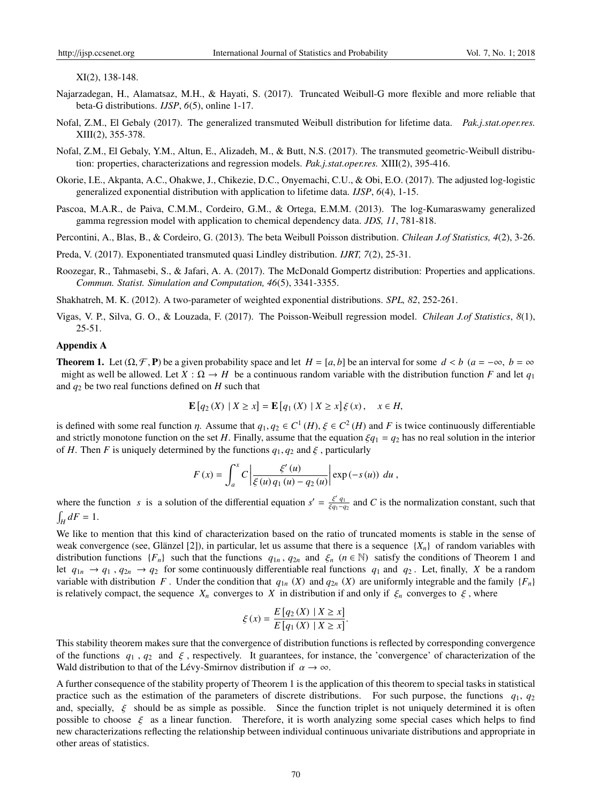XI(2), 138-148.

- Najarzadegan, H., Alamatsaz, M.H., & Hayati, S. (2017). Truncated Weibull-G more flexible and more reliable that beta-G distributions. *IJSP*, *6*(5), online 1-17.
- Nofal, Z.M., El Gebaly (2017). The generalized transmuted Weibull distribution for lifetime data. *Pak.j.stat.oper.res.* XIII(2), 355-378.
- Nofal, Z.M., El Gebaly, Y.M., Altun, E., Alizadeh, M., & Butt, N.S. (2017). The transmuted geometric-Weibull distribution: properties, characterizations and regression models. *Pak.j.stat.oper.res.* XIII(2), 395-416.
- Okorie, I.E., Akpanta, A.C., Ohakwe, J., Chikezie, D.C., Onyemachi, C.U., & Obi, E.O. (2017). The adjusted log-logistic generalized exponential distribution with application to lifetime data. *IJSP*, *6*(4), 1-15.
- Pascoa, M.A.R., de Paiva, C.M.M., Cordeiro, G.M., & Ortega, E.M.M. (2013). The log-Kumaraswamy generalized gamma regression model with application to chemical dependency data. *JDS, 11*, 781-818.
- Percontini, A., Blas, B., & Cordeiro, G. (2013). The beta Weibull Poisson distribution. *Chilean J.of Statistics, 4*(2), 3-26.
- Preda, V. (2017). Exponentiated transmuted quasi Lindley distribution. *IJRT, 7*(2), 25-31.
- Roozegar, R., Tahmasebi, S., & Jafari, A. A. (2017). The McDonald Gompertz distribution: Properties and applications. *Commun. Statist. Simulation and Computation, 46*(5), 3341-3355.

Shakhatreh, M. K. (2012). A two-parameter of weighted exponential distributions. *SPL, 82*, 252-261.

Vigas, V. P., Silva, G. O., & Louzada, F. (2017). The Poisson-Weibull regression model. *Chilean J.of Statistics*, *8*(1), 25-51.

#### Appendix A

**Theorem 1.** Let  $(\Omega, \mathcal{F}, \mathbf{P})$  be a given probability space and let  $H = [a, b]$  be an interval for some  $d < b$  ( $a = -\infty$ ,  $b = \infty$ ) might as well be allowed. Let  $X : \Omega \to H$  be a continuous random variable with the distribution function *F* and let  $q_1$ and  $q_2$  be two real functions defined on  $H$  such that

$$
\mathbf{E}[q_2(X) | X \ge x] = \mathbf{E}[q_1(X) | X \ge x] \xi(x), \quad x \in H,
$$

is defined with some real function  $\eta$ . Assume that  $q_1, q_2 \in C^1(H)$ ,  $\xi \in C^2(H)$  and F is twice continuously differentiable and strictly monotone function on the set *H*. Finally, assume that the equation  $\zeta q_1 = q_2$  has no real solution in the interior of *H*. Then *F* is uniquely determined by the functions  $q_1, q_2$  and  $\xi$ , particularly

$$
F(x) = \int_{a}^{x} C \left| \frac{\xi'(u)}{\xi(u) q_1(u) - q_2(u)} \right| \exp(-s(u)) \ du,
$$

where the function *s* is a solution of the differential equation  $s' = \frac{\xi' q_1}{\xi q_1 - \xi}$  $\frac{\xi q_1}{\xi q_1 - q_2}$  and *C* is the normalization constant, such that  $\int_H dF = 1.$ 

We like to mention that this kind of characterization based on the ratio of truncated moments is stable in the sense of weak convergence (see, Glänzel [2]), in particular, let us assume that there is a sequence  $\{X_n\}$  of random variables with distribution functions  $\{F_n\}$  such that the functions  $q_{1n}$ ,  $q_{2n}$  and  $\xi_n$  ( $n \in \mathbb{N}$ ) satisfy the conditions of Theorem 1 and let  $q_{1n} \rightarrow q_1$ ,  $q_{2n} \rightarrow q_2$  for some continuously differentiable real functions  $q_1$  and  $q_2$ . Let, finally, *X* be a random variable with distribution *F*. Under the condition that  $q_{1n}$  (*X*) and  $q_{2n}$  (*X*) are uniformly integrable and the family {*F<sub>n</sub>*} is relatively compact, the sequence  $X_n$  converges to  $X$  in distribution if and only if  $\xi_n$  converges to  $\xi$ , where

$$
\xi(x) = \frac{E\left[q_2\left(X\right) \mid X \ge x\right]}{E\left[q_1\left(X\right) \mid X \ge x\right]}.
$$

This stability theorem makes sure that the convergence of distribution functions is reflected by corresponding convergence of the functions  $q_1$ ,  $q_2$  and  $\xi$ , respectively. It guarantees, for instance, the 'convergence' of characterization of the Wald distribution to that of the Lévy-Smirnov distribution if  $\alpha \to \infty$ .

A further consequence of the stability property of Theorem 1 is the application of this theorem to special tasks in statistical practice such as the estimation of the parameters of discrete distributions. For such purpose, the functions *q*1, *q*<sup>2</sup> and, specially,  $\xi$  should be as simple as possible. Since the function triplet is not uniquely determined it is often possible to choose  $\xi$  as a linear function. Therefore, it is worth analyzing some special cases which helps to find new characterizations reflecting the relationship between individual continuous univariate distributions and appropriate in other areas of statistics.